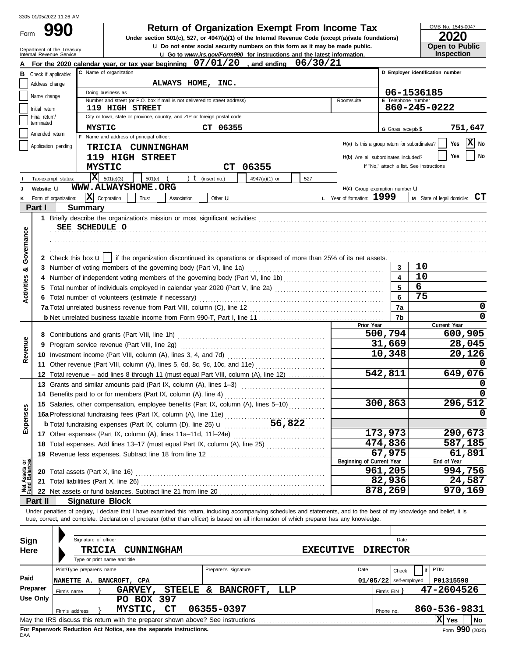**990 1990 2020**<br>
Under section 501(c), 527, or 4947(a)(1) of the Internal Revenue Code (except private foundations) **2020** 

OMB No. 1545-0047

| ZUZU                  |  |
|-----------------------|--|
| <b>Open to Public</b> |  |
| Insnection            |  |

|                                                                             |                               | Department of the Treasury<br>Internal Revenue Service | <b>u</b> Do not enter social security numbers on this form as it may be made public.                                                                                       |                      | <b>u</b> Go to www.irs.gov/Form990 for instructions and the latest information. |     |                  |                                               |                          |                       | Open to Public<br><b>Inspection</b>      |
|-----------------------------------------------------------------------------|-------------------------------|--------------------------------------------------------|----------------------------------------------------------------------------------------------------------------------------------------------------------------------------|----------------------|---------------------------------------------------------------------------------|-----|------------------|-----------------------------------------------|--------------------------|-----------------------|------------------------------------------|
|                                                                             |                               |                                                        | For the 2020 calendar year, or tax year beginning $07/01/20$ , and ending                                                                                                  |                      |                                                                                 |     | 06/30/21         |                                               |                          |                       |                                          |
|                                                                             | <b>B</b> Check if applicable: |                                                        | C Name of organization                                                                                                                                                     |                      |                                                                                 |     |                  |                                               |                          |                       | D Employer identification number         |
|                                                                             | Address change                |                                                        | ALWAYS HOME,                                                                                                                                                               | INC.                 |                                                                                 |     |                  |                                               |                          |                       |                                          |
|                                                                             |                               |                                                        | Doing business as                                                                                                                                                          |                      |                                                                                 |     |                  |                                               |                          |                       | 06-1536185                               |
|                                                                             | Name change                   |                                                        | Number and street (or P.O. box if mail is not delivered to street address)                                                                                                 |                      |                                                                                 |     |                  | Room/suite                                    |                          | E Telephone number    |                                          |
|                                                                             | Initial return                |                                                        | <b>119 HIGH STREET</b>                                                                                                                                                     |                      |                                                                                 |     |                  |                                               |                          |                       | 860-245-0222                             |
|                                                                             | Final return/<br>terminated   |                                                        | City or town, state or province, country, and ZIP or foreign postal code                                                                                                   |                      |                                                                                 |     |                  |                                               |                          |                       |                                          |
|                                                                             | Amended return                |                                                        | <b>MYSTIC</b>                                                                                                                                                              | CT 06355             |                                                                                 |     |                  |                                               |                          | G Gross receipts \$   | 751,647                                  |
|                                                                             |                               |                                                        | F Name and address of principal officer:                                                                                                                                   |                      |                                                                                 |     |                  | H(a) Is this a group return for subordinates? |                          |                       | $ \mathbf{X} $ No<br>Yes                 |
|                                                                             | Application pending           |                                                        | <b>TRICIA CUNNINGHAM</b>                                                                                                                                                   |                      |                                                                                 |     |                  |                                               |                          |                       | No<br>Yes                                |
|                                                                             |                               |                                                        | 119 HIGH STREET                                                                                                                                                            |                      |                                                                                 |     |                  | H(b) Are all subordinates included?           |                          |                       | If "No," attach a list. See instructions |
|                                                                             |                               |                                                        | <b>MYSTIC</b>                                                                                                                                                              |                      | CT 06355                                                                        |     |                  |                                               |                          |                       |                                          |
|                                                                             | Tax-exempt status:            |                                                        | $ \mathbf{X} $ 501(c)(3)<br>501(c)                                                                                                                                         | ) $t$ (insert no.)   | 4947(a)(1) or                                                                   | 527 |                  |                                               |                          |                       |                                          |
|                                                                             | Website: U                    |                                                        | WWW.ALWAYSHOME.ORG                                                                                                                                                         |                      |                                                                                 |     |                  | H(c) Group exemption number LI                |                          |                       |                                          |
| ĸ                                                                           | Form of organization:         |                                                        | $ \mathbf{X} $ Corporation<br>Trust<br>Association                                                                                                                         | Other $\mathbf u$    |                                                                                 |     |                  | L Year of formation: 1999                     |                          |                       | M State of legal domicile: CT            |
|                                                                             | Part I                        | <b>Summary</b>                                         |                                                                                                                                                                            |                      |                                                                                 |     |                  |                                               |                          |                       |                                          |
|                                                                             |                               |                                                        |                                                                                                                                                                            |                      |                                                                                 |     |                  |                                               |                          |                       |                                          |
|                                                                             |                               | SEE SCHEDULE O                                         |                                                                                                                                                                            |                      |                                                                                 |     |                  |                                               |                          |                       |                                          |
| Governance                                                                  |                               |                                                        |                                                                                                                                                                            |                      |                                                                                 |     |                  |                                               |                          |                       |                                          |
|                                                                             |                               |                                                        |                                                                                                                                                                            |                      |                                                                                 |     |                  |                                               |                          |                       |                                          |
|                                                                             |                               |                                                        | 2 Check this box $\mathbf{u}$   if the organization discontinued its operations or disposed of more than 25% of its net assets.                                            |                      |                                                                                 |     |                  |                                               |                          |                       | 10                                       |
| య                                                                           |                               |                                                        |                                                                                                                                                                            |                      |                                                                                 |     |                  |                                               |                          | 3<br>$\blacktriangle$ | 10                                       |
| <b>Activities</b>                                                           | 4<br>5                        |                                                        |                                                                                                                                                                            |                      |                                                                                 |     |                  |                                               |                          | 5                     | 6                                        |
|                                                                             |                               |                                                        | Total number of individuals employed in calendar year 2020 (Part V, line 2a) [[[[[[[[[[[[[[[[[[[[[[[[[[[[[[[[<br>6 Total number of volunteers (estimate if necessary)      |                      |                                                                                 |     |                  |                                               |                          | 6                     | 75                                       |
|                                                                             |                               |                                                        |                                                                                                                                                                            |                      |                                                                                 |     |                  |                                               |                          | 7a                    | 0                                        |
|                                                                             |                               |                                                        |                                                                                                                                                                            |                      |                                                                                 |     |                  |                                               |                          | 7b                    | 0                                        |
|                                                                             |                               |                                                        |                                                                                                                                                                            |                      |                                                                                 |     |                  | Prior Year                                    |                          |                       | Current Year                             |
|                                                                             |                               |                                                        |                                                                                                                                                                            |                      | 500,794                                                                         |     | 600,905          |                                               |                          |                       |                                          |
| Revenue                                                                     |                               |                                                        |                                                                                                                                                                            |                      |                                                                                 |     |                  |                                               | 31,669                   |                       | 28,045                                   |
|                                                                             |                               |                                                        | 10,348                                                                                                                                                                     |                      | 20,126                                                                          |     |                  |                                               |                          |                       |                                          |
|                                                                             |                               |                                                        | 11 Other revenue (Part VIII, column (A), lines 5, 6d, 8c, 9c, 10c, and 11e)                                                                                                |                      |                                                                                 |     |                  |                                               |                          |                       |                                          |
|                                                                             |                               |                                                        | 12 Total revenue - add lines 8 through 11 (must equal Part VIII, column (A), line 12)                                                                                      |                      |                                                                                 |     |                  |                                               | 542,811                  |                       | 649,076                                  |
|                                                                             |                               |                                                        | 13 Grants and similar amounts paid (Part IX, column (A), lines 1-3)                                                                                                        |                      |                                                                                 |     |                  |                                               |                          |                       |                                          |
|                                                                             |                               |                                                        | 14 Benefits paid to or for members (Part IX, column (A), line 4)                                                                                                           |                      |                                                                                 |     |                  |                                               |                          |                       |                                          |
|                                                                             |                               |                                                        | 15 Salaries, other compensation, employee benefits (Part IX, column (A), lines 5-10)                                                                                       |                      |                                                                                 |     |                  |                                               | 300,863                  |                       | 296,512                                  |
| <b>Ses</b>                                                                  |                               |                                                        | 16a Professional fundraising fees (Part IX, column (A), line 11e)                                                                                                          |                      |                                                                                 |     |                  |                                               |                          |                       |                                          |
| Expen                                                                       |                               |                                                        | <b>b</b> Total fundraising expenses (Part IX, column (D), line 25) $\mathbf{u}$ ____________56,822                                                                         |                      |                                                                                 |     |                  |                                               |                          |                       |                                          |
|                                                                             |                               |                                                        |                                                                                                                                                                            |                      |                                                                                 |     |                  |                                               | 173,973                  |                       | 290,673                                  |
|                                                                             |                               |                                                        | 18 Total expenses. Add lines 13-17 (must equal Part IX, column (A), line 25)                                                                                               |                      |                                                                                 |     |                  |                                               | 474,836                  |                       | 587,185                                  |
|                                                                             | 19                            |                                                        |                                                                                                                                                                            |                      |                                                                                 |     |                  |                                               | 67,975                   |                       | 61,891                                   |
|                                                                             |                               |                                                        |                                                                                                                                                                            |                      |                                                                                 |     |                  | Beginning of Current Year                     | 961,205                  |                       | End of Year<br>994,756                   |
|                                                                             | 20                            | Total assets (Part X, line 16)                         |                                                                                                                                                                            |                      |                                                                                 |     |                  |                                               | 82,936                   |                       | 24,587                                   |
| Net Assets or<br>Fund Balances<br>Total liabilities (Part X, line 26)<br>21 |                               |                                                        |                                                                                                                                                                            |                      |                                                                                 |     |                  |                                               |                          |                       | 970,169                                  |
|                                                                             | Part II                       |                                                        | <b>Signature Block</b>                                                                                                                                                     |                      |                                                                                 |     |                  |                                               | 878,269                  |                       |                                          |
|                                                                             |                               |                                                        | Under penalties of perjury, I declare that I have examined this return, including accompanying schedules and statements, and to the best of my knowledge and belief, it is |                      |                                                                                 |     |                  |                                               |                          |                       |                                          |
|                                                                             |                               |                                                        | true, correct, and complete. Declaration of preparer (other than officer) is based on all information of which preparer has any knowledge.                                 |                      |                                                                                 |     |                  |                                               |                          |                       |                                          |
|                                                                             |                               |                                                        |                                                                                                                                                                            |                      |                                                                                 |     |                  |                                               |                          |                       |                                          |
| Sign                                                                        |                               | Signature of officer                                   |                                                                                                                                                                            |                      |                                                                                 |     |                  |                                               |                          | Date                  |                                          |
| Here                                                                        |                               |                                                        | <b>TRICIA</b><br><b>CUNNINGHAM</b>                                                                                                                                         |                      |                                                                                 |     | <b>EXECUTIVE</b> |                                               | <b>DIRECTOR</b>          |                       |                                          |
|                                                                             |                               |                                                        | Type or print name and title                                                                                                                                               |                      |                                                                                 |     |                  |                                               |                          |                       |                                          |
|                                                                             |                               | Print/Type preparer's name                             |                                                                                                                                                                            | Preparer's signature |                                                                                 |     |                  | Date                                          |                          | Check                 | <b>PTIN</b>                              |
| Paid                                                                        |                               |                                                        | NANETTE A. BANCROFT, CPA                                                                                                                                                   |                      |                                                                                 |     |                  |                                               | $01/05/22$ self-employed |                       | P01315598                                |
|                                                                             | Preparer                      | Firm's name                                            | <b>GARVEY,</b>                                                                                                                                                             | STEELE & BANCROFT,   | LLP                                                                             |     |                  |                                               | Firm's $EIN$ }           |                       | 47-2604526                               |
|                                                                             | <b>Use Only</b>               |                                                        | PO BOX 397                                                                                                                                                                 |                      |                                                                                 |     |                  |                                               |                          |                       |                                          |
|                                                                             |                               | Firm's address                                         | MYSTIC, CT                                                                                                                                                                 | 06355-0397           |                                                                                 |     |                  |                                               | Phone no.                |                       | 860-536-9831                             |
|                                                                             |                               |                                                        | May the IRS discuss this return with the preparer shown above? See instructions                                                                                            |                      |                                                                                 |     |                  |                                               |                          |                       | X Yes<br><b>No</b>                       |

| Sign<br>Here | Signature of officer<br>TRICIA<br><b>CUNNINGHAM</b><br><b>EXECUTIVE</b>         | <b>DIRECTOR</b>          | Date                    |
|--------------|---------------------------------------------------------------------------------|--------------------------|-------------------------|
|              | Type or print name and title                                                    |                          |                         |
|              | Print/Type preparer's name<br>Preparer's signature                              | Date                     | <b>PTIN</b><br>Check    |
| Paid         | BANCROFT, CPA<br>NANETTE A.                                                     | $01/05/22$ self-employed | P01315598               |
| Preparer     | BANCROFT, LLP<br>STEELE &<br><b>GARVEY,</b><br>Firm's name                      | Firm's EIN               | 47-2604526              |
| Use Only     | BOX 397<br>PO.                                                                  |                          |                         |
|              | CT<br>06355-0397<br>MYSTIC,<br>Firm's address                                   | Phone no.                | 860-536-9831            |
|              | May the IRS discuss this return with the preparer shown above? See instructions |                          | lxl<br><b>No</b><br>Yes |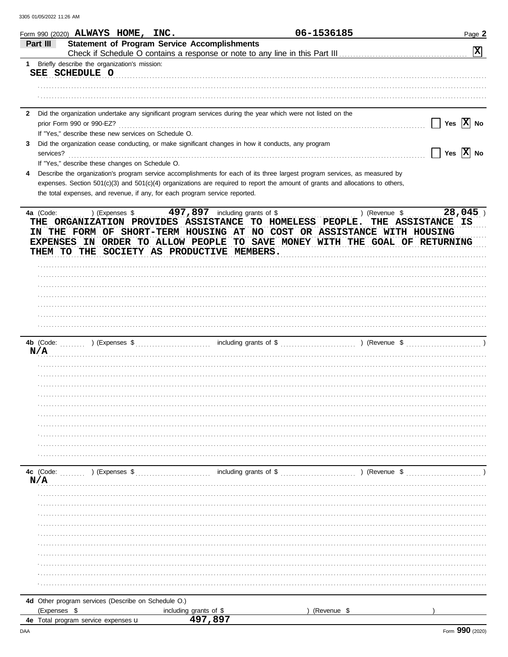|                                     | Form 990 (2020) ALWAYS HOME, INC.                    |                                                                                                              | 06-1536185                                                                                                                     | Page 2                      |
|-------------------------------------|------------------------------------------------------|--------------------------------------------------------------------------------------------------------------|--------------------------------------------------------------------------------------------------------------------------------|-----------------------------|
| Part III                            |                                                      | <b>Statement of Program Service Accomplishments</b>                                                          |                                                                                                                                |                             |
|                                     |                                                      |                                                                                                              |                                                                                                                                | $\boxed{\mathbf{X}}$        |
| 1.                                  | Briefly describe the organization's mission:         |                                                                                                              |                                                                                                                                |                             |
| SEE SCHEDULE O                      |                                                      |                                                                                                              |                                                                                                                                |                             |
|                                     |                                                      |                                                                                                              |                                                                                                                                |                             |
|                                     |                                                      |                                                                                                              |                                                                                                                                |                             |
| $\mathbf{2}$                        |                                                      | Did the organization undertake any significant program services during the year which were not listed on the |                                                                                                                                |                             |
| prior Form 990 or 990-EZ?           |                                                      |                                                                                                              |                                                                                                                                | Yes $X$ No                  |
|                                     | If "Yes," describe these new services on Schedule O. |                                                                                                              |                                                                                                                                |                             |
| 3                                   |                                                      | Did the organization cease conducting, or make significant changes in how it conducts, any program           |                                                                                                                                |                             |
| services?                           |                                                      |                                                                                                              |                                                                                                                                | $\sqrt{}$ Yes $\sqrt{X}$ No |
|                                     | If "Yes," describe these changes on Schedule O.      |                                                                                                              |                                                                                                                                |                             |
| 4                                   |                                                      |                                                                                                              | Describe the organization's program service accomplishments for each of its three largest program services, as measured by     |                             |
|                                     |                                                      |                                                                                                              | expenses. Section 501(c)(3) and 501(c)(4) organizations are required to report the amount of grants and allocations to others, |                             |
|                                     |                                                      | the total expenses, and revenue, if any, for each program service reported.                                  |                                                                                                                                |                             |
|                                     |                                                      |                                                                                                              |                                                                                                                                |                             |
| 4a (Code:                           | ) (Expenses \$                                       | $497,897$ including grants of \$<br>THE ORGANIZATION PROVIDES ASSISTANCE TO HOMELESS PEOPLE.                 | ) (Revenue \$<br>IN THE FORM OF SHORT-TERM HOUSING AT NO COST OR ASSISTANCE WITH HOUSING                                       | 28,045<br>THE ASSISTANCE IS |
|                                     |                                                      |                                                                                                              | EXPENSES IN ORDER TO ALLOW PEOPLE TO SAVE MONEY WITH THE GOAL OF RETURNING                                                     |                             |
|                                     |                                                      | THEM TO THE SOCIETY AS PRODUCTIVE MEMBERS.                                                                   |                                                                                                                                |                             |
|                                     |                                                      |                                                                                                              |                                                                                                                                |                             |
|                                     |                                                      |                                                                                                              |                                                                                                                                |                             |
|                                     |                                                      |                                                                                                              |                                                                                                                                |                             |
|                                     |                                                      |                                                                                                              |                                                                                                                                |                             |
|                                     |                                                      |                                                                                                              |                                                                                                                                |                             |
|                                     |                                                      |                                                                                                              |                                                                                                                                |                             |
|                                     |                                                      |                                                                                                              |                                                                                                                                |                             |
|                                     |                                                      |                                                                                                              |                                                                                                                                |                             |
|                                     |                                                      |                                                                                                              |                                                                                                                                |                             |
| N/A                                 |                                                      |                                                                                                              |                                                                                                                                |                             |
|                                     |                                                      |                                                                                                              |                                                                                                                                |                             |
|                                     |                                                      |                                                                                                              |                                                                                                                                |                             |
|                                     |                                                      |                                                                                                              |                                                                                                                                |                             |
|                                     |                                                      |                                                                                                              |                                                                                                                                |                             |
|                                     |                                                      |                                                                                                              |                                                                                                                                |                             |
|                                     |                                                      |                                                                                                              |                                                                                                                                |                             |
|                                     |                                                      |                                                                                                              |                                                                                                                                |                             |
|                                     |                                                      |                                                                                                              |                                                                                                                                |                             |
|                                     |                                                      |                                                                                                              |                                                                                                                                |                             |
|                                     |                                                      |                                                                                                              |                                                                                                                                |                             |
|                                     |                                                      |                                                                                                              |                                                                                                                                |                             |
| N/A                                 |                                                      |                                                                                                              |                                                                                                                                |                             |
|                                     |                                                      |                                                                                                              |                                                                                                                                |                             |
|                                     |                                                      |                                                                                                              |                                                                                                                                |                             |
|                                     |                                                      |                                                                                                              |                                                                                                                                |                             |
|                                     |                                                      |                                                                                                              |                                                                                                                                |                             |
|                                     |                                                      |                                                                                                              |                                                                                                                                |                             |
|                                     |                                                      |                                                                                                              |                                                                                                                                |                             |
|                                     |                                                      |                                                                                                              |                                                                                                                                |                             |
|                                     |                                                      |                                                                                                              |                                                                                                                                |                             |
|                                     |                                                      |                                                                                                              |                                                                                                                                |                             |
|                                     |                                                      |                                                                                                              |                                                                                                                                |                             |
|                                     | 4d Other program services (Describe on Schedule O.)  |                                                                                                              |                                                                                                                                |                             |
| (Expenses \$                        |                                                      | including grants of \$                                                                                       | (Revenue \$                                                                                                                    |                             |
| 4e Total program service expenses u |                                                      | 497,897                                                                                                      |                                                                                                                                |                             |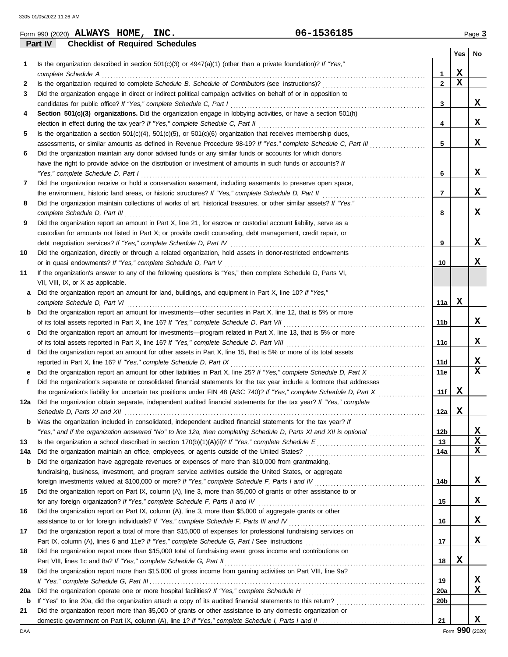|     | <b>Checklist of Required Schedules</b><br><b>Part IV</b>                                                                |                 |             |                         |
|-----|-------------------------------------------------------------------------------------------------------------------------|-----------------|-------------|-------------------------|
|     |                                                                                                                         |                 | Yes         | No                      |
| 1   | Is the organization described in section $501(c)(3)$ or $4947(a)(1)$ (other than a private foundation)? If "Yes,"       |                 |             |                         |
|     | complete Schedule A                                                                                                     | 1               | x           |                         |
| 2   |                                                                                                                         | $\mathbf{2}$    | $\mathbf x$ |                         |
| 3   | Did the organization engage in direct or indirect political campaign activities on behalf of or in opposition to        |                 |             |                         |
|     | candidates for public office? If "Yes," complete Schedule C, Part I                                                     | 3               |             | x                       |
| 4   | Section 501(c)(3) organizations. Did the organization engage in lobbying activities, or have a section 501(h)           |                 |             |                         |
|     | election in effect during the tax year? If "Yes," complete Schedule C, Part II                                          | 4               |             | x                       |
| 5   | Is the organization a section $501(c)(4)$ , $501(c)(5)$ , or $501(c)(6)$ organization that receives membership dues,    |                 |             |                         |
|     | assessments, or similar amounts as defined in Revenue Procedure 98-19? If "Yes," complete Schedule C, Part III          | 5               |             | x                       |
| 6   | Did the organization maintain any donor advised funds or any similar funds or accounts for which donors                 |                 |             |                         |
|     | have the right to provide advice on the distribution or investment of amounts in such funds or accounts? If             |                 |             |                         |
|     | "Yes," complete Schedule D, Part I                                                                                      | 6               |             | X                       |
| 7   | Did the organization receive or hold a conservation easement, including easements to preserve open space,               |                 |             |                         |
|     |                                                                                                                         | 7               |             | x                       |
| 8   | Did the organization maintain collections of works of art, historical treasures, or other similar assets? If "Yes,"     |                 |             |                         |
|     | complete Schedule D, Part III                                                                                           | 8               |             | X                       |
| 9   | Did the organization report an amount in Part X, line 21, for escrow or custodial account liability, serve as a         |                 |             |                         |
|     | custodian for amounts not listed in Part X; or provide credit counseling, debt management, credit repair, or            |                 |             |                         |
|     | debt negotiation services? If "Yes," complete Schedule D, Part IV                                                       | 9               |             | X                       |
| 10  | Did the organization, directly or through a related organization, hold assets in donor-restricted endowments            |                 |             |                         |
|     | or in quasi endowments? If "Yes," complete Schedule D, Part V                                                           | 10              |             | X                       |
| 11  | If the organization's answer to any of the following questions is "Yes," then complete Schedule D, Parts VI,            |                 |             |                         |
|     | VII, VIII, IX, or X as applicable.                                                                                      |                 |             |                         |
|     | Did the organization report an amount for land, buildings, and equipment in Part X, line 10? If "Yes,"                  |                 |             |                         |
| a   |                                                                                                                         |                 | x           |                         |
|     | complete Schedule D, Part VI                                                                                            | 11a             |             |                         |
| b   | Did the organization report an amount for investments—other securities in Part X, line 12, that is 5% or more           |                 |             | X                       |
|     | of its total assets reported in Part X, line 16? If "Yes," complete Schedule D, Part VII                                | 11b             |             |                         |
| c   | Did the organization report an amount for investments—program related in Part X, line 13, that is 5% or more            |                 |             |                         |
|     | of its total assets reported in Part X, line 16? If "Yes," complete Schedule D, Part VIII                               | 11c             |             | x                       |
| d   | Did the organization report an amount for other assets in Part X, line 15, that is 5% or more of its total assets       |                 |             |                         |
|     | reported in Part X, line 16? If "Yes," complete Schedule D, Part IX                                                     | 11d             |             | X                       |
| е   | Did the organization report an amount for other liabilities in Part X, line 25? If "Yes," complete Schedule D, Part X   | 11e             |             | $\overline{\mathbf{x}}$ |
| f   | Did the organization's separate or consolidated financial statements for the tax year include a footnote that addresses |                 |             |                         |
|     | the organization's liability for uncertain tax positions under FIN 48 (ASC 740)? If "Yes," complete Schedule D, Part X  | 11f             | x           |                         |
| 12a | Did the organization obtain separate, independent audited financial statements for the tax year? If "Yes," complete     |                 |             |                         |
|     | Schedule D, Parts XI and XII                                                                                            | 12a             | х           |                         |
| b   | Was the organization included in consolidated, independent audited financial statements for the tax year? If            |                 |             |                         |
|     | "Yes," and if the organization answered "No" to line 12a, then completing Schedule D, Parts XI and XII is optional      | 12 <sub>b</sub> |             | x                       |
| 13  |                                                                                                                         | 13              |             | X                       |
| 14a | Did the organization maintain an office, employees, or agents outside of the United States?                             | 14a             |             | x                       |
| b   | Did the organization have aggregate revenues or expenses of more than \$10,000 from grantmaking,                        |                 |             |                         |
|     | fundraising, business, investment, and program service activities outside the United States, or aggregate               |                 |             |                         |
|     |                                                                                                                         | 14b             |             | x                       |
| 15  | Did the organization report on Part IX, column (A), line 3, more than \$5,000 of grants or other assistance to or       |                 |             |                         |
|     | for any foreign organization? If "Yes," complete Schedule F, Parts II and IV                                            | 15              |             | x                       |
| 16  | Did the organization report on Part IX, column (A), line 3, more than \$5,000 of aggregate grants or other              |                 |             |                         |
|     |                                                                                                                         | 16              |             | x                       |
| 17  | Did the organization report a total of more than \$15,000 of expenses for professional fundraising services on          |                 |             |                         |
|     |                                                                                                                         | 17              |             | X.                      |
| 18  | Did the organization report more than \$15,000 total of fundraising event gross income and contributions on             |                 |             |                         |
|     |                                                                                                                         | 18              | X           |                         |
| 19  |                                                                                                                         |                 |             |                         |
|     | Did the organization report more than \$15,000 of gross income from gaming activities on Part VIII, line 9a?            |                 |             | x                       |
|     |                                                                                                                         | 19              |             | x                       |
| 20a |                                                                                                                         | <b>20a</b>      |             |                         |
| b   |                                                                                                                         | 20b             |             |                         |
| 21  | Did the organization report more than \$5,000 of grants or other assistance to any domestic organization or             |                 |             |                         |
|     |                                                                                                                         | 21              |             | X.                      |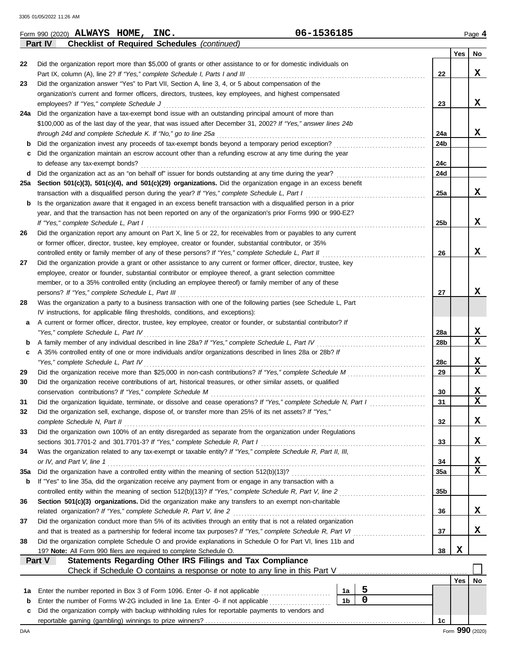|     | <b>Checklist of Required Schedules (continued)</b><br>Part IV                                                       |                 |     |                 |
|-----|---------------------------------------------------------------------------------------------------------------------|-----------------|-----|-----------------|
|     |                                                                                                                     |                 | Yes | No              |
| 22  | Did the organization report more than \$5,000 of grants or other assistance to or for domestic individuals on       |                 |     |                 |
|     | Part IX, column (A), line 2? If "Yes," complete Schedule I, Parts I and III                                         | 22              |     | X               |
| 23  | Did the organization answer "Yes" to Part VII, Section A, line 3, 4, or 5 about compensation of the                 |                 |     |                 |
|     | organization's current and former officers, directors, trustees, key employees, and highest compensated             |                 |     |                 |
|     | employees? If "Yes," complete Schedule J                                                                            | 23              |     | X               |
|     | 24a Did the organization have a tax-exempt bond issue with an outstanding principal amount of more than             |                 |     |                 |
|     | \$100,000 as of the last day of the year, that was issued after December 31, 2002? If "Yes," answer lines 24b       |                 |     |                 |
|     | through 24d and complete Schedule K. If "No," go to line 25a                                                        | 24a             |     | x               |
|     | Did the organization invest any proceeds of tax-exempt bonds beyond a temporary period exception?                   | 24 <sub>b</sub> |     |                 |
|     |                                                                                                                     |                 |     |                 |
|     | Did the organization maintain an escrow account other than a refunding escrow at any time during the year           |                 |     |                 |
|     | to defease any tax-exempt bonds?                                                                                    | 24c             |     |                 |
| d   |                                                                                                                     | 24d             |     |                 |
|     | 25a Section 501(c)(3), 501(c)(4), and 501(c)(29) organizations. Did the organization engage in an excess benefit    |                 |     |                 |
|     | transaction with a disqualified person during the year? If "Yes," complete Schedule L, Part I                       | 25a             |     | x               |
| b   | Is the organization aware that it engaged in an excess benefit transaction with a disqualified person in a prior    |                 |     |                 |
|     | year, and that the transaction has not been reported on any of the organization's prior Forms 990 or 990-EZ?        |                 |     |                 |
|     | If "Yes," complete Schedule L, Part I                                                                               | 25b             |     | X               |
| 26  | Did the organization report any amount on Part X, line 5 or 22, for receivables from or payables to any current     |                 |     |                 |
|     | or former officer, director, trustee, key employee, creator or founder, substantial contributor, or 35%             |                 |     |                 |
|     | controlled entity or family member of any of these persons? If "Yes," complete Schedule L, Part II                  | 26              |     | X               |
| 27  | Did the organization provide a grant or other assistance to any current or former officer, director, trustee, key   |                 |     |                 |
|     | employee, creator or founder, substantial contributor or employee thereof, a grant selection committee              |                 |     |                 |
|     | member, or to a 35% controlled entity (including an employee thereof) or family member of any of these              |                 |     |                 |
|     | persons? If "Yes," complete Schedule L, Part III                                                                    | 27              |     | x               |
| 28  | Was the organization a party to a business transaction with one of the following parties (see Schedule L, Part      |                 |     |                 |
|     | IV instructions, for applicable filing thresholds, conditions, and exceptions):                                     |                 |     |                 |
| а   | A current or former officer, director, trustee, key employee, creator or founder, or substantial contributor? If    |                 |     |                 |
|     | "Yes," complete Schedule L, Part IV                                                                                 | 28a             |     | X               |
| b   | A family member of any individual described in line 28a? If "Yes," complete Schedule L, Part IV                     | 28b             |     | X               |
| c   | A 35% controlled entity of one or more individuals and/or organizations described in lines 28a or 28b? If           |                 |     |                 |
|     | "Yes," complete Schedule L, Part IV                                                                                 | 28c             |     | X               |
| 29  | Did the organization receive more than \$25,000 in non-cash contributions? If "Yes," complete Schedule M            | 29              |     | X               |
| 30  | Did the organization receive contributions of art, historical treasures, or other similar assets, or qualified      |                 |     |                 |
|     | conservation contributions? If "Yes," complete Schedule M                                                           | 30              |     | X               |
|     | Did the organization liquidate, terminate, or dissolve and cease operations? If "Yes," complete Schedule N, Part I  | 31              |     | x               |
| 31  |                                                                                                                     |                 |     |                 |
| 32  | Did the organization sell, exchange, dispose of, or transfer more than 25% of its net assets? If "Yes,"             |                 |     |                 |
|     | complete Schedule N, Part II                                                                                        | 32              |     | X               |
| 33  | Did the organization own 100% of an entity disregarded as separate from the organization under Regulations          |                 |     |                 |
|     |                                                                                                                     | 33              |     | X               |
| 34  | Was the organization related to any tax-exempt or taxable entity? If "Yes," complete Schedule R, Part II, III,      |                 |     |                 |
|     | or IV, and Part V, line 1                                                                                           | 34              |     | х               |
| 35a |                                                                                                                     | 35a             |     | $\mathbf x$     |
| b   | If "Yes" to line 35a, did the organization receive any payment from or engage in any transaction with a             |                 |     |                 |
|     | controlled entity within the meaning of section 512(b)(13)? If "Yes," complete Schedule R, Part V, line 2           | 35 <sub>b</sub> |     |                 |
| 36  | Section 501(c)(3) organizations. Did the organization make any transfers to an exempt non-charitable                |                 |     |                 |
|     | related organization? If "Yes," complete Schedule R, Part V, line 2                                                 | 36              |     | x               |
| 37  | Did the organization conduct more than 5% of its activities through an entity that is not a related organization    |                 |     |                 |
|     | and that is treated as a partnership for federal income tax purposes? If "Yes," complete Schedule R, Part VI        | 37              |     | X               |
| 38  | Did the organization complete Schedule O and provide explanations in Schedule O for Part VI, lines 11b and          |                 |     |                 |
|     | 19? Note: All Form 990 filers are required to complete Schedule O.                                                  | 38              | X   |                 |
|     | Part V<br>Statements Regarding Other IRS Filings and Tax Compliance                                                 |                 |     |                 |
|     |                                                                                                                     |                 |     |                 |
|     |                                                                                                                     |                 | Yes | No              |
| 1a  | 5<br>Enter the number reported in Box 3 of Form 1096. Enter -0- if not applicable<br>1a                             |                 |     |                 |
| b   | $\overline{0}$<br>1 <sub>b</sub><br>Enter the number of Forms W-2G included in line 1a. Enter -0- if not applicable |                 |     |                 |
| c   | Did the organization comply with backup withholding rules for reportable payments to vendors and                    |                 |     |                 |
|     |                                                                                                                     | 1c              |     |                 |
| DAA |                                                                                                                     |                 |     | Form 990 (2020) |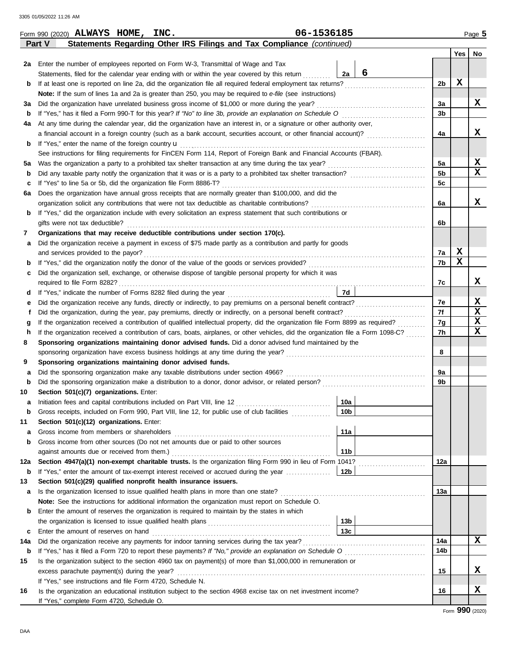| 2a Enter the number of employees reported on Form W-3, Transmittal of Wage and Tax<br>6<br>2a<br>Statements, filed for the calendar year ending with or within the year covered by this return<br>2b<br>b<br>Note: If the sum of lines 1a and 2a is greater than 250, you may be required to e-file (see instructions)<br>Did the organization have unrelated business gross income of \$1,000 or more during the year?<br>3a<br>За<br>3b<br>b<br>At any time during the calendar year, did the organization have an interest in, or a signature or other authority over,<br>4a<br>a financial account in a foreign country (such as a bank account, securities account, or other financial account)?<br>4a<br>If "Yes," enter the name of the foreign country $\mathbf u$<br>b<br>See instructions for filing requirements for FinCEN Form 114, Report of Foreign Bank and Financial Accounts (FBAR).<br>5a<br>5а<br>5 <sub>b</sub><br>Did any taxable party notify the organization that it was or is a party to a prohibited tax shelter transaction?<br>b<br>If "Yes" to line 5a or 5b, did the organization file Form 8886-T?<br>5с<br>c<br>Does the organization have annual gross receipts that are normally greater than \$100,000, and did the<br>6а<br>6a<br>If "Yes," did the organization include with every solicitation an express statement that such contributions or<br>b<br>gifts were not tax deductible?<br>6b<br>Organizations that may receive deductible contributions under section 170(c).<br>7<br>Did the organization receive a payment in excess of \$75 made partly as a contribution and partly for goods<br>а<br>and services provided to the payor?<br>7a<br>7b<br>b<br>Did the organization sell, exchange, or otherwise dispose of tangible personal property for which it was<br>с<br>7c<br>7d<br>d<br>7e<br>е<br>7f<br>Did the organization, during the year, pay premiums, directly or indirectly, on a personal benefit contract?<br>Ť<br>If the organization received a contribution of qualified intellectual property, did the organization file Form 8899 as required?<br>7g<br>g<br>If the organization received a contribution of cars, boats, airplanes, or other vehicles, did the organization file a Form 1098-C?<br>7h<br>h<br>Sponsoring organizations maintaining donor advised funds. Did a donor advised fund maintained by the<br>8<br>8<br>Sponsoring organizations maintaining donor advised funds.<br>9<br>Did the sponsoring organization make any taxable distributions under section 4966?<br>9a<br>a<br>9b<br>b<br>Section 501(c)(7) organizations. Enter:<br>10<br>10a<br>a<br>10 <sub>b</sub><br>Gross receipts, included on Form 990, Part VIII, line 12, for public use of club facilities<br>11<br>Section 501(c)(12) organizations. Enter:<br>11a<br>Gross income from members or shareholders<br>a<br>Gross income from other sources (Do not net amounts due or paid to other sources<br>b<br>11 <sub>b</sub> | Yes<br>No<br>X<br>X<br>X<br>X<br>$\mathbf{x}$<br>x |
|------------------------------------------------------------------------------------------------------------------------------------------------------------------------------------------------------------------------------------------------------------------------------------------------------------------------------------------------------------------------------------------------------------------------------------------------------------------------------------------------------------------------------------------------------------------------------------------------------------------------------------------------------------------------------------------------------------------------------------------------------------------------------------------------------------------------------------------------------------------------------------------------------------------------------------------------------------------------------------------------------------------------------------------------------------------------------------------------------------------------------------------------------------------------------------------------------------------------------------------------------------------------------------------------------------------------------------------------------------------------------------------------------------------------------------------------------------------------------------------------------------------------------------------------------------------------------------------------------------------------------------------------------------------------------------------------------------------------------------------------------------------------------------------------------------------------------------------------------------------------------------------------------------------------------------------------------------------------------------------------------------------------------------------------------------------------------------------------------------------------------------------------------------------------------------------------------------------------------------------------------------------------------------------------------------------------------------------------------------------------------------------------------------------------------------------------------------------------------------------------------------------------------------------------------------------------------------------------------------------------------------------------------------------------------------------------------------------------------------------------------------------------------------------------------------------------------------------------------------------------------------------------------------------------------------------------------------------------------------|----------------------------------------------------|
|                                                                                                                                                                                                                                                                                                                                                                                                                                                                                                                                                                                                                                                                                                                                                                                                                                                                                                                                                                                                                                                                                                                                                                                                                                                                                                                                                                                                                                                                                                                                                                                                                                                                                                                                                                                                                                                                                                                                                                                                                                                                                                                                                                                                                                                                                                                                                                                                                                                                                                                                                                                                                                                                                                                                                                                                                                                                                                                                                                                    |                                                    |
|                                                                                                                                                                                                                                                                                                                                                                                                                                                                                                                                                                                                                                                                                                                                                                                                                                                                                                                                                                                                                                                                                                                                                                                                                                                                                                                                                                                                                                                                                                                                                                                                                                                                                                                                                                                                                                                                                                                                                                                                                                                                                                                                                                                                                                                                                                                                                                                                                                                                                                                                                                                                                                                                                                                                                                                                                                                                                                                                                                                    |                                                    |
|                                                                                                                                                                                                                                                                                                                                                                                                                                                                                                                                                                                                                                                                                                                                                                                                                                                                                                                                                                                                                                                                                                                                                                                                                                                                                                                                                                                                                                                                                                                                                                                                                                                                                                                                                                                                                                                                                                                                                                                                                                                                                                                                                                                                                                                                                                                                                                                                                                                                                                                                                                                                                                                                                                                                                                                                                                                                                                                                                                                    |                                                    |
|                                                                                                                                                                                                                                                                                                                                                                                                                                                                                                                                                                                                                                                                                                                                                                                                                                                                                                                                                                                                                                                                                                                                                                                                                                                                                                                                                                                                                                                                                                                                                                                                                                                                                                                                                                                                                                                                                                                                                                                                                                                                                                                                                                                                                                                                                                                                                                                                                                                                                                                                                                                                                                                                                                                                                                                                                                                                                                                                                                                    |                                                    |
|                                                                                                                                                                                                                                                                                                                                                                                                                                                                                                                                                                                                                                                                                                                                                                                                                                                                                                                                                                                                                                                                                                                                                                                                                                                                                                                                                                                                                                                                                                                                                                                                                                                                                                                                                                                                                                                                                                                                                                                                                                                                                                                                                                                                                                                                                                                                                                                                                                                                                                                                                                                                                                                                                                                                                                                                                                                                                                                                                                                    |                                                    |
|                                                                                                                                                                                                                                                                                                                                                                                                                                                                                                                                                                                                                                                                                                                                                                                                                                                                                                                                                                                                                                                                                                                                                                                                                                                                                                                                                                                                                                                                                                                                                                                                                                                                                                                                                                                                                                                                                                                                                                                                                                                                                                                                                                                                                                                                                                                                                                                                                                                                                                                                                                                                                                                                                                                                                                                                                                                                                                                                                                                    |                                                    |
|                                                                                                                                                                                                                                                                                                                                                                                                                                                                                                                                                                                                                                                                                                                                                                                                                                                                                                                                                                                                                                                                                                                                                                                                                                                                                                                                                                                                                                                                                                                                                                                                                                                                                                                                                                                                                                                                                                                                                                                                                                                                                                                                                                                                                                                                                                                                                                                                                                                                                                                                                                                                                                                                                                                                                                                                                                                                                                                                                                                    |                                                    |
|                                                                                                                                                                                                                                                                                                                                                                                                                                                                                                                                                                                                                                                                                                                                                                                                                                                                                                                                                                                                                                                                                                                                                                                                                                                                                                                                                                                                                                                                                                                                                                                                                                                                                                                                                                                                                                                                                                                                                                                                                                                                                                                                                                                                                                                                                                                                                                                                                                                                                                                                                                                                                                                                                                                                                                                                                                                                                                                                                                                    |                                                    |
|                                                                                                                                                                                                                                                                                                                                                                                                                                                                                                                                                                                                                                                                                                                                                                                                                                                                                                                                                                                                                                                                                                                                                                                                                                                                                                                                                                                                                                                                                                                                                                                                                                                                                                                                                                                                                                                                                                                                                                                                                                                                                                                                                                                                                                                                                                                                                                                                                                                                                                                                                                                                                                                                                                                                                                                                                                                                                                                                                                                    |                                                    |
|                                                                                                                                                                                                                                                                                                                                                                                                                                                                                                                                                                                                                                                                                                                                                                                                                                                                                                                                                                                                                                                                                                                                                                                                                                                                                                                                                                                                                                                                                                                                                                                                                                                                                                                                                                                                                                                                                                                                                                                                                                                                                                                                                                                                                                                                                                                                                                                                                                                                                                                                                                                                                                                                                                                                                                                                                                                                                                                                                                                    |                                                    |
|                                                                                                                                                                                                                                                                                                                                                                                                                                                                                                                                                                                                                                                                                                                                                                                                                                                                                                                                                                                                                                                                                                                                                                                                                                                                                                                                                                                                                                                                                                                                                                                                                                                                                                                                                                                                                                                                                                                                                                                                                                                                                                                                                                                                                                                                                                                                                                                                                                                                                                                                                                                                                                                                                                                                                                                                                                                                                                                                                                                    |                                                    |
|                                                                                                                                                                                                                                                                                                                                                                                                                                                                                                                                                                                                                                                                                                                                                                                                                                                                                                                                                                                                                                                                                                                                                                                                                                                                                                                                                                                                                                                                                                                                                                                                                                                                                                                                                                                                                                                                                                                                                                                                                                                                                                                                                                                                                                                                                                                                                                                                                                                                                                                                                                                                                                                                                                                                                                                                                                                                                                                                                                                    |                                                    |
|                                                                                                                                                                                                                                                                                                                                                                                                                                                                                                                                                                                                                                                                                                                                                                                                                                                                                                                                                                                                                                                                                                                                                                                                                                                                                                                                                                                                                                                                                                                                                                                                                                                                                                                                                                                                                                                                                                                                                                                                                                                                                                                                                                                                                                                                                                                                                                                                                                                                                                                                                                                                                                                                                                                                                                                                                                                                                                                                                                                    |                                                    |
|                                                                                                                                                                                                                                                                                                                                                                                                                                                                                                                                                                                                                                                                                                                                                                                                                                                                                                                                                                                                                                                                                                                                                                                                                                                                                                                                                                                                                                                                                                                                                                                                                                                                                                                                                                                                                                                                                                                                                                                                                                                                                                                                                                                                                                                                                                                                                                                                                                                                                                                                                                                                                                                                                                                                                                                                                                                                                                                                                                                    |                                                    |
|                                                                                                                                                                                                                                                                                                                                                                                                                                                                                                                                                                                                                                                                                                                                                                                                                                                                                                                                                                                                                                                                                                                                                                                                                                                                                                                                                                                                                                                                                                                                                                                                                                                                                                                                                                                                                                                                                                                                                                                                                                                                                                                                                                                                                                                                                                                                                                                                                                                                                                                                                                                                                                                                                                                                                                                                                                                                                                                                                                                    |                                                    |
|                                                                                                                                                                                                                                                                                                                                                                                                                                                                                                                                                                                                                                                                                                                                                                                                                                                                                                                                                                                                                                                                                                                                                                                                                                                                                                                                                                                                                                                                                                                                                                                                                                                                                                                                                                                                                                                                                                                                                                                                                                                                                                                                                                                                                                                                                                                                                                                                                                                                                                                                                                                                                                                                                                                                                                                                                                                                                                                                                                                    |                                                    |
|                                                                                                                                                                                                                                                                                                                                                                                                                                                                                                                                                                                                                                                                                                                                                                                                                                                                                                                                                                                                                                                                                                                                                                                                                                                                                                                                                                                                                                                                                                                                                                                                                                                                                                                                                                                                                                                                                                                                                                                                                                                                                                                                                                                                                                                                                                                                                                                                                                                                                                                                                                                                                                                                                                                                                                                                                                                                                                                                                                                    |                                                    |
|                                                                                                                                                                                                                                                                                                                                                                                                                                                                                                                                                                                                                                                                                                                                                                                                                                                                                                                                                                                                                                                                                                                                                                                                                                                                                                                                                                                                                                                                                                                                                                                                                                                                                                                                                                                                                                                                                                                                                                                                                                                                                                                                                                                                                                                                                                                                                                                                                                                                                                                                                                                                                                                                                                                                                                                                                                                                                                                                                                                    |                                                    |
|                                                                                                                                                                                                                                                                                                                                                                                                                                                                                                                                                                                                                                                                                                                                                                                                                                                                                                                                                                                                                                                                                                                                                                                                                                                                                                                                                                                                                                                                                                                                                                                                                                                                                                                                                                                                                                                                                                                                                                                                                                                                                                                                                                                                                                                                                                                                                                                                                                                                                                                                                                                                                                                                                                                                                                                                                                                                                                                                                                                    |                                                    |
|                                                                                                                                                                                                                                                                                                                                                                                                                                                                                                                                                                                                                                                                                                                                                                                                                                                                                                                                                                                                                                                                                                                                                                                                                                                                                                                                                                                                                                                                                                                                                                                                                                                                                                                                                                                                                                                                                                                                                                                                                                                                                                                                                                                                                                                                                                                                                                                                                                                                                                                                                                                                                                                                                                                                                                                                                                                                                                                                                                                    |                                                    |
|                                                                                                                                                                                                                                                                                                                                                                                                                                                                                                                                                                                                                                                                                                                                                                                                                                                                                                                                                                                                                                                                                                                                                                                                                                                                                                                                                                                                                                                                                                                                                                                                                                                                                                                                                                                                                                                                                                                                                                                                                                                                                                                                                                                                                                                                                                                                                                                                                                                                                                                                                                                                                                                                                                                                                                                                                                                                                                                                                                                    | $\mathbf x$                                        |
|                                                                                                                                                                                                                                                                                                                                                                                                                                                                                                                                                                                                                                                                                                                                                                                                                                                                                                                                                                                                                                                                                                                                                                                                                                                                                                                                                                                                                                                                                                                                                                                                                                                                                                                                                                                                                                                                                                                                                                                                                                                                                                                                                                                                                                                                                                                                                                                                                                                                                                                                                                                                                                                                                                                                                                                                                                                                                                                                                                                    | x                                                  |
|                                                                                                                                                                                                                                                                                                                                                                                                                                                                                                                                                                                                                                                                                                                                                                                                                                                                                                                                                                                                                                                                                                                                                                                                                                                                                                                                                                                                                                                                                                                                                                                                                                                                                                                                                                                                                                                                                                                                                                                                                                                                                                                                                                                                                                                                                                                                                                                                                                                                                                                                                                                                                                                                                                                                                                                                                                                                                                                                                                                    |                                                    |
|                                                                                                                                                                                                                                                                                                                                                                                                                                                                                                                                                                                                                                                                                                                                                                                                                                                                                                                                                                                                                                                                                                                                                                                                                                                                                                                                                                                                                                                                                                                                                                                                                                                                                                                                                                                                                                                                                                                                                                                                                                                                                                                                                                                                                                                                                                                                                                                                                                                                                                                                                                                                                                                                                                                                                                                                                                                                                                                                                                                    | x                                                  |
|                                                                                                                                                                                                                                                                                                                                                                                                                                                                                                                                                                                                                                                                                                                                                                                                                                                                                                                                                                                                                                                                                                                                                                                                                                                                                                                                                                                                                                                                                                                                                                                                                                                                                                                                                                                                                                                                                                                                                                                                                                                                                                                                                                                                                                                                                                                                                                                                                                                                                                                                                                                                                                                                                                                                                                                                                                                                                                                                                                                    |                                                    |
|                                                                                                                                                                                                                                                                                                                                                                                                                                                                                                                                                                                                                                                                                                                                                                                                                                                                                                                                                                                                                                                                                                                                                                                                                                                                                                                                                                                                                                                                                                                                                                                                                                                                                                                                                                                                                                                                                                                                                                                                                                                                                                                                                                                                                                                                                                                                                                                                                                                                                                                                                                                                                                                                                                                                                                                                                                                                                                                                                                                    | X                                                  |
|                                                                                                                                                                                                                                                                                                                                                                                                                                                                                                                                                                                                                                                                                                                                                                                                                                                                                                                                                                                                                                                                                                                                                                                                                                                                                                                                                                                                                                                                                                                                                                                                                                                                                                                                                                                                                                                                                                                                                                                                                                                                                                                                                                                                                                                                                                                                                                                                                                                                                                                                                                                                                                                                                                                                                                                                                                                                                                                                                                                    | X                                                  |
|                                                                                                                                                                                                                                                                                                                                                                                                                                                                                                                                                                                                                                                                                                                                                                                                                                                                                                                                                                                                                                                                                                                                                                                                                                                                                                                                                                                                                                                                                                                                                                                                                                                                                                                                                                                                                                                                                                                                                                                                                                                                                                                                                                                                                                                                                                                                                                                                                                                                                                                                                                                                                                                                                                                                                                                                                                                                                                                                                                                    | $\mathbf x$                                        |
|                                                                                                                                                                                                                                                                                                                                                                                                                                                                                                                                                                                                                                                                                                                                                                                                                                                                                                                                                                                                                                                                                                                                                                                                                                                                                                                                                                                                                                                                                                                                                                                                                                                                                                                                                                                                                                                                                                                                                                                                                                                                                                                                                                                                                                                                                                                                                                                                                                                                                                                                                                                                                                                                                                                                                                                                                                                                                                                                                                                    | x                                                  |
|                                                                                                                                                                                                                                                                                                                                                                                                                                                                                                                                                                                                                                                                                                                                                                                                                                                                                                                                                                                                                                                                                                                                                                                                                                                                                                                                                                                                                                                                                                                                                                                                                                                                                                                                                                                                                                                                                                                                                                                                                                                                                                                                                                                                                                                                                                                                                                                                                                                                                                                                                                                                                                                                                                                                                                                                                                                                                                                                                                                    |                                                    |
|                                                                                                                                                                                                                                                                                                                                                                                                                                                                                                                                                                                                                                                                                                                                                                                                                                                                                                                                                                                                                                                                                                                                                                                                                                                                                                                                                                                                                                                                                                                                                                                                                                                                                                                                                                                                                                                                                                                                                                                                                                                                                                                                                                                                                                                                                                                                                                                                                                                                                                                                                                                                                                                                                                                                                                                                                                                                                                                                                                                    |                                                    |
|                                                                                                                                                                                                                                                                                                                                                                                                                                                                                                                                                                                                                                                                                                                                                                                                                                                                                                                                                                                                                                                                                                                                                                                                                                                                                                                                                                                                                                                                                                                                                                                                                                                                                                                                                                                                                                                                                                                                                                                                                                                                                                                                                                                                                                                                                                                                                                                                                                                                                                                                                                                                                                                                                                                                                                                                                                                                                                                                                                                    |                                                    |
|                                                                                                                                                                                                                                                                                                                                                                                                                                                                                                                                                                                                                                                                                                                                                                                                                                                                                                                                                                                                                                                                                                                                                                                                                                                                                                                                                                                                                                                                                                                                                                                                                                                                                                                                                                                                                                                                                                                                                                                                                                                                                                                                                                                                                                                                                                                                                                                                                                                                                                                                                                                                                                                                                                                                                                                                                                                                                                                                                                                    |                                                    |
|                                                                                                                                                                                                                                                                                                                                                                                                                                                                                                                                                                                                                                                                                                                                                                                                                                                                                                                                                                                                                                                                                                                                                                                                                                                                                                                                                                                                                                                                                                                                                                                                                                                                                                                                                                                                                                                                                                                                                                                                                                                                                                                                                                                                                                                                                                                                                                                                                                                                                                                                                                                                                                                                                                                                                                                                                                                                                                                                                                                    |                                                    |
|                                                                                                                                                                                                                                                                                                                                                                                                                                                                                                                                                                                                                                                                                                                                                                                                                                                                                                                                                                                                                                                                                                                                                                                                                                                                                                                                                                                                                                                                                                                                                                                                                                                                                                                                                                                                                                                                                                                                                                                                                                                                                                                                                                                                                                                                                                                                                                                                                                                                                                                                                                                                                                                                                                                                                                                                                                                                                                                                                                                    |                                                    |
|                                                                                                                                                                                                                                                                                                                                                                                                                                                                                                                                                                                                                                                                                                                                                                                                                                                                                                                                                                                                                                                                                                                                                                                                                                                                                                                                                                                                                                                                                                                                                                                                                                                                                                                                                                                                                                                                                                                                                                                                                                                                                                                                                                                                                                                                                                                                                                                                                                                                                                                                                                                                                                                                                                                                                                                                                                                                                                                                                                                    |                                                    |
|                                                                                                                                                                                                                                                                                                                                                                                                                                                                                                                                                                                                                                                                                                                                                                                                                                                                                                                                                                                                                                                                                                                                                                                                                                                                                                                                                                                                                                                                                                                                                                                                                                                                                                                                                                                                                                                                                                                                                                                                                                                                                                                                                                                                                                                                                                                                                                                                                                                                                                                                                                                                                                                                                                                                                                                                                                                                                                                                                                                    |                                                    |
|                                                                                                                                                                                                                                                                                                                                                                                                                                                                                                                                                                                                                                                                                                                                                                                                                                                                                                                                                                                                                                                                                                                                                                                                                                                                                                                                                                                                                                                                                                                                                                                                                                                                                                                                                                                                                                                                                                                                                                                                                                                                                                                                                                                                                                                                                                                                                                                                                                                                                                                                                                                                                                                                                                                                                                                                                                                                                                                                                                                    |                                                    |
|                                                                                                                                                                                                                                                                                                                                                                                                                                                                                                                                                                                                                                                                                                                                                                                                                                                                                                                                                                                                                                                                                                                                                                                                                                                                                                                                                                                                                                                                                                                                                                                                                                                                                                                                                                                                                                                                                                                                                                                                                                                                                                                                                                                                                                                                                                                                                                                                                                                                                                                                                                                                                                                                                                                                                                                                                                                                                                                                                                                    |                                                    |
|                                                                                                                                                                                                                                                                                                                                                                                                                                                                                                                                                                                                                                                                                                                                                                                                                                                                                                                                                                                                                                                                                                                                                                                                                                                                                                                                                                                                                                                                                                                                                                                                                                                                                                                                                                                                                                                                                                                                                                                                                                                                                                                                                                                                                                                                                                                                                                                                                                                                                                                                                                                                                                                                                                                                                                                                                                                                                                                                                                                    |                                                    |
| Section 4947(a)(1) non-exempt charitable trusts. Is the organization filing Form 990 in lieu of Form 1041?<br>12a<br>12a                                                                                                                                                                                                                                                                                                                                                                                                                                                                                                                                                                                                                                                                                                                                                                                                                                                                                                                                                                                                                                                                                                                                                                                                                                                                                                                                                                                                                                                                                                                                                                                                                                                                                                                                                                                                                                                                                                                                                                                                                                                                                                                                                                                                                                                                                                                                                                                                                                                                                                                                                                                                                                                                                                                                                                                                                                                           |                                                    |
| 12b<br>If "Yes," enter the amount of tax-exempt interest received or accrued during the year<br>b                                                                                                                                                                                                                                                                                                                                                                                                                                                                                                                                                                                                                                                                                                                                                                                                                                                                                                                                                                                                                                                                                                                                                                                                                                                                                                                                                                                                                                                                                                                                                                                                                                                                                                                                                                                                                                                                                                                                                                                                                                                                                                                                                                                                                                                                                                                                                                                                                                                                                                                                                                                                                                                                                                                                                                                                                                                                                  |                                                    |
| Section 501(c)(29) qualified nonprofit health insurance issuers.<br>13                                                                                                                                                                                                                                                                                                                                                                                                                                                                                                                                                                                                                                                                                                                                                                                                                                                                                                                                                                                                                                                                                                                                                                                                                                                                                                                                                                                                                                                                                                                                                                                                                                                                                                                                                                                                                                                                                                                                                                                                                                                                                                                                                                                                                                                                                                                                                                                                                                                                                                                                                                                                                                                                                                                                                                                                                                                                                                             |                                                    |
| Is the organization licensed to issue qualified health plans in more than one state?<br>13а<br>а                                                                                                                                                                                                                                                                                                                                                                                                                                                                                                                                                                                                                                                                                                                                                                                                                                                                                                                                                                                                                                                                                                                                                                                                                                                                                                                                                                                                                                                                                                                                                                                                                                                                                                                                                                                                                                                                                                                                                                                                                                                                                                                                                                                                                                                                                                                                                                                                                                                                                                                                                                                                                                                                                                                                                                                                                                                                                   |                                                    |
| Note: See the instructions for additional information the organization must report on Schedule O.                                                                                                                                                                                                                                                                                                                                                                                                                                                                                                                                                                                                                                                                                                                                                                                                                                                                                                                                                                                                                                                                                                                                                                                                                                                                                                                                                                                                                                                                                                                                                                                                                                                                                                                                                                                                                                                                                                                                                                                                                                                                                                                                                                                                                                                                                                                                                                                                                                                                                                                                                                                                                                                                                                                                                                                                                                                                                  |                                                    |
| Enter the amount of reserves the organization is required to maintain by the states in which<br>b                                                                                                                                                                                                                                                                                                                                                                                                                                                                                                                                                                                                                                                                                                                                                                                                                                                                                                                                                                                                                                                                                                                                                                                                                                                                                                                                                                                                                                                                                                                                                                                                                                                                                                                                                                                                                                                                                                                                                                                                                                                                                                                                                                                                                                                                                                                                                                                                                                                                                                                                                                                                                                                                                                                                                                                                                                                                                  |                                                    |
| 13 <sub>b</sub>                                                                                                                                                                                                                                                                                                                                                                                                                                                                                                                                                                                                                                                                                                                                                                                                                                                                                                                                                                                                                                                                                                                                                                                                                                                                                                                                                                                                                                                                                                                                                                                                                                                                                                                                                                                                                                                                                                                                                                                                                                                                                                                                                                                                                                                                                                                                                                                                                                                                                                                                                                                                                                                                                                                                                                                                                                                                                                                                                                    |                                                    |
| 13 <sub>c</sub><br>Enter the amount of reserves on hand<br>c                                                                                                                                                                                                                                                                                                                                                                                                                                                                                                                                                                                                                                                                                                                                                                                                                                                                                                                                                                                                                                                                                                                                                                                                                                                                                                                                                                                                                                                                                                                                                                                                                                                                                                                                                                                                                                                                                                                                                                                                                                                                                                                                                                                                                                                                                                                                                                                                                                                                                                                                                                                                                                                                                                                                                                                                                                                                                                                       |                                                    |
| Did the organization receive any payments for indoor tanning services during the tax year?<br>14a<br>14a                                                                                                                                                                                                                                                                                                                                                                                                                                                                                                                                                                                                                                                                                                                                                                                                                                                                                                                                                                                                                                                                                                                                                                                                                                                                                                                                                                                                                                                                                                                                                                                                                                                                                                                                                                                                                                                                                                                                                                                                                                                                                                                                                                                                                                                                                                                                                                                                                                                                                                                                                                                                                                                                                                                                                                                                                                                                           | X                                                  |
| 14b<br>b                                                                                                                                                                                                                                                                                                                                                                                                                                                                                                                                                                                                                                                                                                                                                                                                                                                                                                                                                                                                                                                                                                                                                                                                                                                                                                                                                                                                                                                                                                                                                                                                                                                                                                                                                                                                                                                                                                                                                                                                                                                                                                                                                                                                                                                                                                                                                                                                                                                                                                                                                                                                                                                                                                                                                                                                                                                                                                                                                                           |                                                    |
| Is the organization subject to the section 4960 tax on payment(s) of more than \$1,000,000 in remuneration or<br>15                                                                                                                                                                                                                                                                                                                                                                                                                                                                                                                                                                                                                                                                                                                                                                                                                                                                                                                                                                                                                                                                                                                                                                                                                                                                                                                                                                                                                                                                                                                                                                                                                                                                                                                                                                                                                                                                                                                                                                                                                                                                                                                                                                                                                                                                                                                                                                                                                                                                                                                                                                                                                                                                                                                                                                                                                                                                |                                                    |
| excess parachute payment(s) during the year?<br>15                                                                                                                                                                                                                                                                                                                                                                                                                                                                                                                                                                                                                                                                                                                                                                                                                                                                                                                                                                                                                                                                                                                                                                                                                                                                                                                                                                                                                                                                                                                                                                                                                                                                                                                                                                                                                                                                                                                                                                                                                                                                                                                                                                                                                                                                                                                                                                                                                                                                                                                                                                                                                                                                                                                                                                                                                                                                                                                                 |                                                    |
| If "Yes," see instructions and file Form 4720, Schedule N.                                                                                                                                                                                                                                                                                                                                                                                                                                                                                                                                                                                                                                                                                                                                                                                                                                                                                                                                                                                                                                                                                                                                                                                                                                                                                                                                                                                                                                                                                                                                                                                                                                                                                                                                                                                                                                                                                                                                                                                                                                                                                                                                                                                                                                                                                                                                                                                                                                                                                                                                                                                                                                                                                                                                                                                                                                                                                                                         |                                                    |
| 16<br>Is the organization an educational institution subject to the section 4968 excise tax on net investment income?<br>16                                                                                                                                                                                                                                                                                                                                                                                                                                                                                                                                                                                                                                                                                                                                                                                                                                                                                                                                                                                                                                                                                                                                                                                                                                                                                                                                                                                                                                                                                                                                                                                                                                                                                                                                                                                                                                                                                                                                                                                                                                                                                                                                                                                                                                                                                                                                                                                                                                                                                                                                                                                                                                                                                                                                                                                                                                                        | X                                                  |
| If "Yes," complete Form 4720, Schedule O.                                                                                                                                                                                                                                                                                                                                                                                                                                                                                                                                                                                                                                                                                                                                                                                                                                                                                                                                                                                                                                                                                                                                                                                                                                                                                                                                                                                                                                                                                                                                                                                                                                                                                                                                                                                                                                                                                                                                                                                                                                                                                                                                                                                                                                                                                                                                                                                                                                                                                                                                                                                                                                                                                                                                                                                                                                                                                                                                          | X                                                  |

|  | Form 990 | (2020) | <b>ALWAYS</b> | <b>HOME</b> | TNC. | 1536185 | $a$ ade $b$ |
|--|----------|--------|---------------|-------------|------|---------|-------------|
|--|----------|--------|---------------|-------------|------|---------|-------------|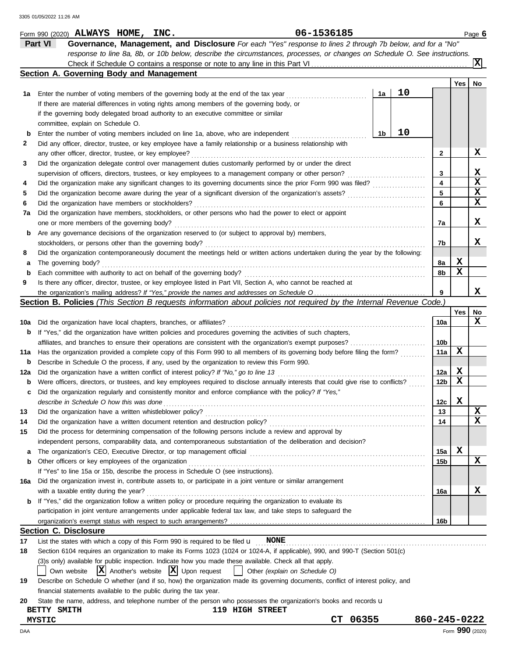|     | 06-1536185<br>Form 990 (2020) ALWAYS HOME, INC.                                                                                     |    |    |              |             | Page 6          |
|-----|-------------------------------------------------------------------------------------------------------------------------------------|----|----|--------------|-------------|-----------------|
|     | Part VI<br>Governance, Management, and Disclosure For each "Yes" response to lines 2 through 7b below, and for a "No"               |    |    |              |             |                 |
|     | response to line 8a, 8b, or 10b below, describe the circumstances, processes, or changes on Schedule O. See instructions.           |    |    |              |             |                 |
|     |                                                                                                                                     |    |    |              |             | ΙxΙ             |
|     | Section A. Governing Body and Management                                                                                            |    |    |              |             |                 |
|     |                                                                                                                                     |    |    |              | Yes         | No              |
| 1а  | Enter the number of voting members of the governing body at the end of the tax year                                                 | 1a | 10 |              |             |                 |
|     | If there are material differences in voting rights among members of the governing body, or                                          |    |    |              |             |                 |
|     | if the governing body delegated broad authority to an executive committee or similar                                                |    |    |              |             |                 |
|     | committee, explain on Schedule O.                                                                                                   |    |    |              |             |                 |
| b   | Enter the number of voting members included on line 1a, above, who are independent                                                  | 1b | 10 |              |             |                 |
| 2   | Did any officer, director, trustee, or key employee have a family relationship or a business relationship with                      |    |    |              |             |                 |
|     | any other officer, director, trustee, or key employee?                                                                              |    |    | 2            |             | X               |
| 3   | Did the organization delegate control over management duties customarily performed by or under the direct                           |    |    |              |             |                 |
|     | supervision of officers, directors, trustees, or key employees to a management company or other person?                             |    |    | 3            |             | x               |
| 4   | Did the organization make any significant changes to its governing documents since the prior Form 990 was filed?                    |    |    | 4            |             | X               |
| 5   |                                                                                                                                     |    |    | 5            |             | х               |
| 6   | Did the organization have members or stockholders?                                                                                  |    |    | 6            |             | x               |
| 7a  | Did the organization have members, stockholders, or other persons who had the power to elect or appoint                             |    |    |              |             |                 |
|     | one or more members of the governing body?                                                                                          |    |    | 7a           |             | X               |
| b   | Are any governance decisions of the organization reserved to (or subject to approval by) members,                                   |    |    |              |             |                 |
|     | stockholders, or persons other than the governing body?                                                                             |    |    | 7b           |             | X               |
| 8   | Did the organization contemporaneously document the meetings held or written actions undertaken during the year by the following:   |    |    |              |             |                 |
| a   | The governing body?                                                                                                                 |    |    | 8a           | X           |                 |
| b   | Each committee with authority to act on behalf of the governing body?                                                               |    |    | 8b           | x           |                 |
| 9   | Is there any officer, director, trustee, or key employee listed in Part VII, Section A, who cannot be reached at                    |    |    |              |             |                 |
|     |                                                                                                                                     |    |    | 9            |             | x               |
|     | <b>Section B. Policies</b> (This Section B requests information about policies not required by the Internal Revenue Code.)          |    |    |              |             |                 |
|     |                                                                                                                                     |    |    |              | Yes         | No              |
|     |                                                                                                                                     |    |    | 10a          |             | x               |
| 10a | Did the organization have local chapters, branches, or affiliates?                                                                  |    |    |              |             |                 |
| b   | If "Yes," did the organization have written policies and procedures governing the activities of such chapters,                      |    |    |              |             |                 |
|     | affiliates, and branches to ensure their operations are consistent with the organization's exempt purposes?                         |    |    | 10b          | х           |                 |
| 11a | Has the organization provided a complete copy of this Form 990 to all members of its governing body before filing the form?         |    |    | 11a          |             |                 |
| b   | Describe in Schedule O the process, if any, used by the organization to review this Form 990.                                       |    |    |              |             |                 |
| 12a | Did the organization have a written conflict of interest policy? If "No," go to line 13                                             |    |    | 12a          | X           |                 |
| b   | Were officers, directors, or trustees, and key employees required to disclose annually interests that could give rise to conflicts? |    |    | 12b          | x           |                 |
| c   | Did the organization regularly and consistently monitor and enforce compliance with the policy? If "Yes,"                           |    |    |              |             |                 |
|     | describe in Schedule O how this was done                                                                                            |    |    | 12c          | $\mathbf x$ |                 |
| 13  | Did the organization have a written whistleblower policy?                                                                           |    |    | 13           |             | X               |
| 14  | Did the organization have a written document retention and destruction policy?                                                      |    |    | 14           |             | x               |
| 15  | Did the process for determining compensation of the following persons include a review and approval by                              |    |    |              |             |                 |
|     | independent persons, comparability data, and contemporaneous substantiation of the deliberation and decision?                       |    |    |              |             |                 |
| a   |                                                                                                                                     |    |    | 15a          | X           |                 |
| b   | Other officers or key employees of the organization                                                                                 |    |    | 15b          |             | x               |
|     | If "Yes" to line 15a or 15b, describe the process in Schedule O (see instructions).                                                 |    |    |              |             |                 |
| 16a | Did the organization invest in, contribute assets to, or participate in a joint venture or similar arrangement                      |    |    |              |             |                 |
|     | with a taxable entity during the year?                                                                                              |    |    | 16a          |             | X               |
| b   | If "Yes," did the organization follow a written policy or procedure requiring the organization to evaluate its                      |    |    |              |             |                 |
|     | participation in joint venture arrangements under applicable federal tax law, and take steps to safeguard the                       |    |    |              |             |                 |
|     |                                                                                                                                     |    |    | 16b          |             |                 |
|     | <b>Section C. Disclosure</b>                                                                                                        |    |    |              |             |                 |
| 17  | List the states with which a copy of this Form 990 is required to be filed $\mathbf u$ NONE                                         |    |    |              |             |                 |
| 18  | Section 6104 requires an organization to make its Forms 1023 (1024 or 1024-A, if applicable), 990, and 990-T (Section 501(c)        |    |    |              |             |                 |
|     | (3)s only) available for public inspection. Indicate how you made these available. Check all that apply.                            |    |    |              |             |                 |
|     | $ \mathbf{X} $ Another's website $ \mathbf{X} $ Upon request<br>Other (explain on Schedule O)<br>Own website                        |    |    |              |             |                 |
| 19  | Describe on Schedule O whether (and if so, how) the organization made its governing documents, conflict of interest policy, and     |    |    |              |             |                 |
|     | financial statements available to the public during the tax year.                                                                   |    |    |              |             |                 |
| 20  | State the name, address, and telephone number of the person who possesses the organization's books and records u                    |    |    |              |             |                 |
|     | 119 HIGH STREET<br>BETTY SMITH                                                                                                      |    |    |              |             |                 |
|     | 06355<br>СT<br><b>MYSTIC</b>                                                                                                        |    |    | 860-245-0222 |             |                 |
| DAA |                                                                                                                                     |    |    |              |             | Form 990 (2020) |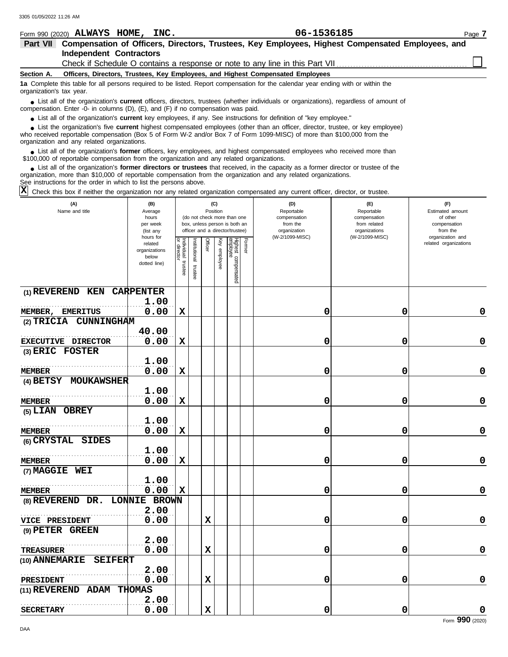| 06-1536185<br>Form 990 (2020) ALWAYS HOME, INC.<br>Page 7<br>Compensation of Officers, Directors, Trustees, Key Employees, Highest Compensated Employees, and<br>Part VII<br><b>Independent Contractors</b><br>Officers, Directors, Trustees, Key Employees, and Highest Compensated Employees<br>Section A.<br>1a Complete this table for all persons required to be listed. Report compensation for the calendar year ending with or within the<br>organization's tax year.<br>• List all of the organization's <b>current</b> officers, directors, trustees (whether individuals or organizations), regardless of amount of<br>compensation. Enter -0- in columns (D), (E), and (F) if no compensation was paid.<br>• List all of the organization's current key employees, if any. See instructions for definition of "key employee."<br>• List the organization's five current highest compensated employees (other than an officer, director, trustee, or key employee)<br>who received reportable compensation (Box 5 of Form W-2 and/or Box 7 of Form 1099-MISC) of more than \$100,000 from the<br>organization and any related organizations.<br>• List all of the organization's former officers, key employees, and highest compensated employees who received more than<br>\$100,000 of reportable compensation from the organization and any related organizations.<br>• List all of the organization's former directors or trustees that received, in the capacity as a former director or trustee of the<br>organization, more than \$10,000 of reportable compensation from the organization and any related organizations.<br>See instructions for the order in which to list the persons above.<br>X<br>Check this box if neither the organization nor any related organization compensated any current officer, director, or trustee.<br>(D)<br>(B)<br>(C)<br>(E)<br>(F)<br>(A)<br>Name and title<br>Position<br>Reportable<br>Estimated amount<br>Average<br>Reportable<br>(do not check more than one<br>of other<br>hours<br>compensation<br>compensation<br>box, unless person is both an<br>from the<br>from related<br>per week<br>compensation<br>officer and a director/trustee)<br>organizations<br>from the<br>organization<br>(list any<br>(W-2/1099-MISC)<br>(W-2/1099-MISC)<br>organization and<br>hours for<br><b>q</b><br>Former<br>Institutional<br>Key<br>Officer<br>related organizations<br>related<br>directo<br>organizations<br>below |                            |              |                    |         |  |          |                                 |  |   |   |  |   |  |
|---------------------------------------------------------------------------------------------------------------------------------------------------------------------------------------------------------------------------------------------------------------------------------------------------------------------------------------------------------------------------------------------------------------------------------------------------------------------------------------------------------------------------------------------------------------------------------------------------------------------------------------------------------------------------------------------------------------------------------------------------------------------------------------------------------------------------------------------------------------------------------------------------------------------------------------------------------------------------------------------------------------------------------------------------------------------------------------------------------------------------------------------------------------------------------------------------------------------------------------------------------------------------------------------------------------------------------------------------------------------------------------------------------------------------------------------------------------------------------------------------------------------------------------------------------------------------------------------------------------------------------------------------------------------------------------------------------------------------------------------------------------------------------------------------------------------------------------------------------------------------------------------------------------------------------------------------------------------------------------------------------------------------------------------------------------------------------------------------------------------------------------------------------------------------------------------------------------------------------------------------------------------------------------------------------------------------------------------------------------------------------------------------------------------------------------------------------------------------------|----------------------------|--------------|--------------------|---------|--|----------|---------------------------------|--|---|---|--|---|--|
|                                                                                                                                                                                                                                                                                                                                                                                                                                                                                                                                                                                                                                                                                                                                                                                                                                                                                                                                                                                                                                                                                                                                                                                                                                                                                                                                                                                                                                                                                                                                                                                                                                                                                                                                                                                                                                                                                                                                                                                                                                                                                                                                                                                                                                                                                                                                                                                                                                                                                 |                            |              |                    |         |  |          |                                 |  |   |   |  |   |  |
|                                                                                                                                                                                                                                                                                                                                                                                                                                                                                                                                                                                                                                                                                                                                                                                                                                                                                                                                                                                                                                                                                                                                                                                                                                                                                                                                                                                                                                                                                                                                                                                                                                                                                                                                                                                                                                                                                                                                                                                                                                                                                                                                                                                                                                                                                                                                                                                                                                                                                 |                            |              |                    |         |  |          |                                 |  |   |   |  |   |  |
|                                                                                                                                                                                                                                                                                                                                                                                                                                                                                                                                                                                                                                                                                                                                                                                                                                                                                                                                                                                                                                                                                                                                                                                                                                                                                                                                                                                                                                                                                                                                                                                                                                                                                                                                                                                                                                                                                                                                                                                                                                                                                                                                                                                                                                                                                                                                                                                                                                                                                 |                            |              |                    |         |  |          |                                 |  |   |   |  |   |  |
|                                                                                                                                                                                                                                                                                                                                                                                                                                                                                                                                                                                                                                                                                                                                                                                                                                                                                                                                                                                                                                                                                                                                                                                                                                                                                                                                                                                                                                                                                                                                                                                                                                                                                                                                                                                                                                                                                                                                                                                                                                                                                                                                                                                                                                                                                                                                                                                                                                                                                 |                            |              |                    |         |  |          |                                 |  |   |   |  |   |  |
|                                                                                                                                                                                                                                                                                                                                                                                                                                                                                                                                                                                                                                                                                                                                                                                                                                                                                                                                                                                                                                                                                                                                                                                                                                                                                                                                                                                                                                                                                                                                                                                                                                                                                                                                                                                                                                                                                                                                                                                                                                                                                                                                                                                                                                                                                                                                                                                                                                                                                 |                            |              |                    |         |  |          |                                 |  |   |   |  |   |  |
|                                                                                                                                                                                                                                                                                                                                                                                                                                                                                                                                                                                                                                                                                                                                                                                                                                                                                                                                                                                                                                                                                                                                                                                                                                                                                                                                                                                                                                                                                                                                                                                                                                                                                                                                                                                                                                                                                                                                                                                                                                                                                                                                                                                                                                                                                                                                                                                                                                                                                 |                            |              |                    |         |  |          |                                 |  |   |   |  |   |  |
|                                                                                                                                                                                                                                                                                                                                                                                                                                                                                                                                                                                                                                                                                                                                                                                                                                                                                                                                                                                                                                                                                                                                                                                                                                                                                                                                                                                                                                                                                                                                                                                                                                                                                                                                                                                                                                                                                                                                                                                                                                                                                                                                                                                                                                                                                                                                                                                                                                                                                 |                            |              |                    |         |  |          |                                 |  |   |   |  |   |  |
|                                                                                                                                                                                                                                                                                                                                                                                                                                                                                                                                                                                                                                                                                                                                                                                                                                                                                                                                                                                                                                                                                                                                                                                                                                                                                                                                                                                                                                                                                                                                                                                                                                                                                                                                                                                                                                                                                                                                                                                                                                                                                                                                                                                                                                                                                                                                                                                                                                                                                 |                            |              |                    |         |  |          |                                 |  |   |   |  |   |  |
|                                                                                                                                                                                                                                                                                                                                                                                                                                                                                                                                                                                                                                                                                                                                                                                                                                                                                                                                                                                                                                                                                                                                                                                                                                                                                                                                                                                                                                                                                                                                                                                                                                                                                                                                                                                                                                                                                                                                                                                                                                                                                                                                                                                                                                                                                                                                                                                                                                                                                 |                            |              |                    |         |  |          |                                 |  |   |   |  |   |  |
|                                                                                                                                                                                                                                                                                                                                                                                                                                                                                                                                                                                                                                                                                                                                                                                                                                                                                                                                                                                                                                                                                                                                                                                                                                                                                                                                                                                                                                                                                                                                                                                                                                                                                                                                                                                                                                                                                                                                                                                                                                                                                                                                                                                                                                                                                                                                                                                                                                                                                 |                            |              |                    |         |  |          |                                 |  |   |   |  |   |  |
|                                                                                                                                                                                                                                                                                                                                                                                                                                                                                                                                                                                                                                                                                                                                                                                                                                                                                                                                                                                                                                                                                                                                                                                                                                                                                                                                                                                                                                                                                                                                                                                                                                                                                                                                                                                                                                                                                                                                                                                                                                                                                                                                                                                                                                                                                                                                                                                                                                                                                 |                            |              |                    |         |  |          |                                 |  |   |   |  |   |  |
|                                                                                                                                                                                                                                                                                                                                                                                                                                                                                                                                                                                                                                                                                                                                                                                                                                                                                                                                                                                                                                                                                                                                                                                                                                                                                                                                                                                                                                                                                                                                                                                                                                                                                                                                                                                                                                                                                                                                                                                                                                                                                                                                                                                                                                                                                                                                                                                                                                                                                 |                            |              |                    |         |  |          |                                 |  |   |   |  |   |  |
|                                                                                                                                                                                                                                                                                                                                                                                                                                                                                                                                                                                                                                                                                                                                                                                                                                                                                                                                                                                                                                                                                                                                                                                                                                                                                                                                                                                                                                                                                                                                                                                                                                                                                                                                                                                                                                                                                                                                                                                                                                                                                                                                                                                                                                                                                                                                                                                                                                                                                 |                            |              |                    |         |  |          |                                 |  |   |   |  |   |  |
|                                                                                                                                                                                                                                                                                                                                                                                                                                                                                                                                                                                                                                                                                                                                                                                                                                                                                                                                                                                                                                                                                                                                                                                                                                                                                                                                                                                                                                                                                                                                                                                                                                                                                                                                                                                                                                                                                                                                                                                                                                                                                                                                                                                                                                                                                                                                                                                                                                                                                 |                            | dotted line) | Individual trustee | trustee |  | employee | Highest compensated<br>employee |  |   |   |  |   |  |
| <b>CARPENTER</b><br>$(1)$ REVEREND KEN                                                                                                                                                                                                                                                                                                                                                                                                                                                                                                                                                                                                                                                                                                                                                                                                                                                                                                                                                                                                                                                                                                                                                                                                                                                                                                                                                                                                                                                                                                                                                                                                                                                                                                                                                                                                                                                                                                                                                                                                                                                                                                                                                                                                                                                                                                                                                                                                                                          |                            |              |                    |         |  |          |                                 |  |   |   |  |   |  |
| 1.00                                                                                                                                                                                                                                                                                                                                                                                                                                                                                                                                                                                                                                                                                                                                                                                                                                                                                                                                                                                                                                                                                                                                                                                                                                                                                                                                                                                                                                                                                                                                                                                                                                                                                                                                                                                                                                                                                                                                                                                                                                                                                                                                                                                                                                                                                                                                                                                                                                                                            |                            |              |                    |         |  |          |                                 |  |   |   |  |   |  |
|                                                                                                                                                                                                                                                                                                                                                                                                                                                                                                                                                                                                                                                                                                                                                                                                                                                                                                                                                                                                                                                                                                                                                                                                                                                                                                                                                                                                                                                                                                                                                                                                                                                                                                                                                                                                                                                                                                                                                                                                                                                                                                                                                                                                                                                                                                                                                                                                                                                                                 | <b>EMERITUS</b><br>MEMBER, | 0.00         | X                  |         |  |          |                                 |  | 0 | 0 |  | 0 |  |
|                                                                                                                                                                                                                                                                                                                                                                                                                                                                                                                                                                                                                                                                                                                                                                                                                                                                                                                                                                                                                                                                                                                                                                                                                                                                                                                                                                                                                                                                                                                                                                                                                                                                                                                                                                                                                                                                                                                                                                                                                                                                                                                                                                                                                                                                                                                                                                                                                                                                                 | CIMNINGHAM<br>$(2)$ TRTCTA |              |                    |         |  |          |                                 |  |   |   |  |   |  |

| MEMBER, EMERITUS              | 0.00  | $\mathbf x$ |   | 0 | 0 | $\mathbf 0$     |
|-------------------------------|-------|-------------|---|---|---|-----------------|
| (2) TRICIA CUNNINGHAM         |       |             |   |   |   |                 |
|                               | 40.00 |             |   |   |   |                 |
| EXECUTIVE DIRECTOR            | 0.00  | $\mathbf x$ |   | 0 | 0 | 0               |
| (3) ERIC FOSTER               |       |             |   |   |   |                 |
|                               | 1.00  |             |   |   |   |                 |
| <b>MEMBER</b>                 | 0.00  | $\mathbf x$ |   | 0 | 0 | $\mathbf 0$     |
| (4) BETSY MOUKAWSHER          |       |             |   |   |   |                 |
|                               | 1.00  |             |   |   |   |                 |
| <b>MEMBER</b>                 | 0.00  | $\mathbf x$ |   | 0 | 0 | 0               |
| (5) LIAN OBREY                |       |             |   |   |   |                 |
|                               | 1.00  |             |   |   |   |                 |
| <b>MEMBER</b>                 | 0.00  | X           |   | 0 | 0 | 0               |
| (6) CRYSTAL SIDES             |       |             |   |   |   |                 |
|                               | 1.00  |             |   |   |   |                 |
| <b>MEMBER</b>                 | 0.00  | X           |   | 0 | 0 | 0               |
| (7) MAGGIE WEI                |       |             |   |   |   |                 |
|                               | 1.00  |             |   |   |   |                 |
| <b>MEMBER</b>                 | 0.00  | x           |   | 0 | 0 | 0               |
| (8) REVEREND DR. LONNIE BROWN |       |             |   |   |   |                 |
|                               | 2.00  |             |   |   |   |                 |
| VICE PRESIDENT                | 0.00  |             | х | 0 | 0 | $\mathbf 0$     |
| (9) PETER GREEN               |       |             |   |   |   |                 |
|                               | 2.00  |             |   |   |   |                 |
| <b>TREASURER</b>              | 0.00  |             | X | 0 | 0 | $\mathbf 0$     |
| (10) ANNEMARIE SEIFERT        |       |             |   |   |   |                 |
|                               | 2.00  |             |   |   |   |                 |
| PRESIDENT                     | 0.00  |             | X | 0 | 0 | 0               |
| (11) REVEREND ADAM THOMAS     |       |             |   |   |   |                 |
|                               | 2.00  |             |   |   |   |                 |
| <b>SECRETARY</b>              | 0.00  |             | X | 0 | 0 | 0               |
|                               |       |             |   |   |   | Form 990 (2020) |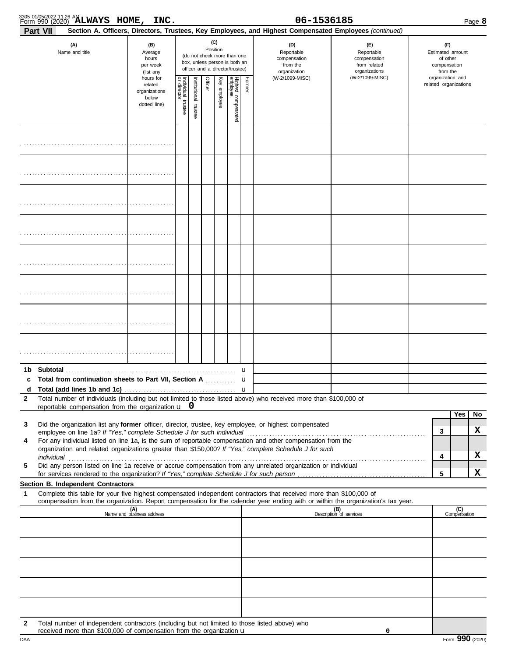| Form 990 (2020) <b>ALWAYS HOME, INC.</b>                                                                                                                                                                                                                                                                                                                                                                                                                                                            |                                                                             |                                                  |                       |         |                                                              |                                                                    |                                                                                                                                                         | 06-1536185                                        |                                  |                                                     |                                                       | Page 8                   |
|-----------------------------------------------------------------------------------------------------------------------------------------------------------------------------------------------------------------------------------------------------------------------------------------------------------------------------------------------------------------------------------------------------------------------------------------------------------------------------------------------------|-----------------------------------------------------------------------------|--------------------------------------------------|-----------------------|---------|--------------------------------------------------------------|--------------------------------------------------------------------|---------------------------------------------------------------------------------------------------------------------------------------------------------|---------------------------------------------------|----------------------------------|-----------------------------------------------------|-------------------------------------------------------|--------------------------|
| <b>Part VII</b><br>(A)<br>Name and title                                                                                                                                                                                                                                                                                                                                                                                                                                                            |                                                                             |                                                  | Position              | (C)     | (do not check more than one<br>box, unless person is both an |                                                                    | Section A. Officers, Directors, Trustees, Key Employees, and Highest Compensated Employees (continued)<br>(D)<br>Reportable<br>compensation<br>from the | (E)<br>Reportable<br>compensation<br>from related |                                  | (F)<br>Estimated amount<br>of other<br>compensation |                                                       |                          |
|                                                                                                                                                                                                                                                                                                                                                                                                                                                                                                     | (list any<br>hours for<br>related<br>organizations<br>below<br>dotted line) | Individual<br>or director<br>director<br>trustee | Institutional trustee | Officer | Key employee                                                 | officer and a director/trustee)<br>Highest compensated<br>employee | Former                                                                                                                                                  | organization<br>(W-2/1099-MISC)                   | organizations<br>(W-2/1099-MISC) |                                                     | from the<br>organization and<br>related organizations |                          |
|                                                                                                                                                                                                                                                                                                                                                                                                                                                                                                     |                                                                             |                                                  |                       |         |                                                              |                                                                    |                                                                                                                                                         |                                                   |                                  |                                                     |                                                       |                          |
|                                                                                                                                                                                                                                                                                                                                                                                                                                                                                                     |                                                                             |                                                  |                       |         |                                                              |                                                                    |                                                                                                                                                         |                                                   |                                  |                                                     |                                                       |                          |
|                                                                                                                                                                                                                                                                                                                                                                                                                                                                                                     |                                                                             |                                                  |                       |         |                                                              |                                                                    |                                                                                                                                                         |                                                   |                                  |                                                     |                                                       |                          |
|                                                                                                                                                                                                                                                                                                                                                                                                                                                                                                     |                                                                             |                                                  |                       |         |                                                              |                                                                    |                                                                                                                                                         |                                                   |                                  |                                                     |                                                       |                          |
|                                                                                                                                                                                                                                                                                                                                                                                                                                                                                                     |                                                                             |                                                  |                       |         |                                                              |                                                                    |                                                                                                                                                         |                                                   |                                  |                                                     |                                                       |                          |
|                                                                                                                                                                                                                                                                                                                                                                                                                                                                                                     |                                                                             |                                                  |                       |         |                                                              |                                                                    |                                                                                                                                                         |                                                   |                                  |                                                     |                                                       |                          |
|                                                                                                                                                                                                                                                                                                                                                                                                                                                                                                     |                                                                             |                                                  |                       |         |                                                              |                                                                    |                                                                                                                                                         |                                                   |                                  |                                                     |                                                       |                          |
|                                                                                                                                                                                                                                                                                                                                                                                                                                                                                                     |                                                                             |                                                  |                       |         |                                                              |                                                                    |                                                                                                                                                         |                                                   |                                  |                                                     |                                                       |                          |
| 1b Subtotal<br>c<br>Total number of individuals (including but not limited to those listed above) who received more than \$100,000 of<br>$\mathbf{2}$<br>reportable compensation from the organization $\mathbf{u} \cdot \mathbf{0}$                                                                                                                                                                                                                                                                |                                                                             |                                                  |                       |         |                                                              |                                                                    |                                                                                                                                                         |                                                   |                                  |                                                     |                                                       |                          |
| Did the organization list any former officer, director, trustee, key employee, or highest compensated<br>3<br>For any individual listed on line 1a, is the sum of reportable compensation and other compensation from the<br>4<br>organization and related organizations greater than \$150,000? If "Yes," complete Schedule J for such<br>Did any person listed on line 1a receive or accrue compensation from any unrelated organization or individual<br>5<br>Section B. Independent Contractors |                                                                             |                                                  |                       |         |                                                              |                                                                    |                                                                                                                                                         |                                                   |                                  | 3<br>4<br>5                                         | Yes                                                   | <b>No</b><br>X<br>X<br>x |
| Complete this table for your five highest compensated independent contractors that received more than \$100,000 of<br>1<br>compensation from the organization. Report compensation for the calendar year ending with or within the organization's tax year.                                                                                                                                                                                                                                         |                                                                             |                                                  |                       |         |                                                              |                                                                    |                                                                                                                                                         |                                                   |                                  |                                                     |                                                       |                          |
|                                                                                                                                                                                                                                                                                                                                                                                                                                                                                                     | (A)<br>Name and business address                                            |                                                  |                       |         |                                                              |                                                                    |                                                                                                                                                         |                                                   | (B)<br>Description of services   |                                                     | (C)<br>Compensation                                   |                          |
|                                                                                                                                                                                                                                                                                                                                                                                                                                                                                                     |                                                                             |                                                  |                       |         |                                                              |                                                                    |                                                                                                                                                         |                                                   |                                  |                                                     |                                                       |                          |
|                                                                                                                                                                                                                                                                                                                                                                                                                                                                                                     |                                                                             |                                                  |                       |         |                                                              |                                                                    |                                                                                                                                                         |                                                   |                                  |                                                     |                                                       |                          |
| Total number of independent contractors (including but not limited to those listed above) who<br>2<br>received more than \$100,000 of compensation from the organization u                                                                                                                                                                                                                                                                                                                          |                                                                             |                                                  |                       |         |                                                              |                                                                    |                                                                                                                                                         |                                                   | 0                                |                                                     |                                                       |                          |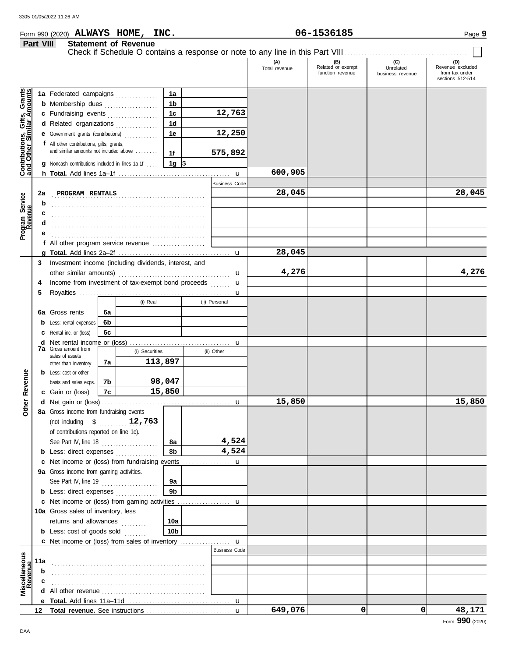#### Form 990 (2020) Page **9 ALWAYS HOME, INC. 06-1536185**

|                                                           | Part VIII        |                                                        |    | <b>Statement of Revenue</b> |                |                      |                      |                                              |                                      |                                                               |
|-----------------------------------------------------------|------------------|--------------------------------------------------------|----|-----------------------------|----------------|----------------------|----------------------|----------------------------------------------|--------------------------------------|---------------------------------------------------------------|
|                                                           |                  |                                                        |    |                             |                |                      | (A)<br>Total revenue | (B)<br>Related or exempt<br>function revenue | (C)<br>Unrelated<br>business revenue | (D)<br>Revenue excluded<br>from tax under<br>sections 512-514 |
|                                                           |                  | 1a Federated campaigns                                 |    |                             | 1a             |                      |                      |                                              |                                      |                                                               |
|                                                           |                  | <b>b</b> Membership dues                               |    |                             | 1 <sub>b</sub> |                      |                      |                                              |                                      |                                                               |
|                                                           |                  | c Fundraising events                                   |    |                             | 1 <sub>c</sub> | 12,763               |                      |                                              |                                      |                                                               |
| Contributions, Gifts, Grants<br>and Other Similar Amounts |                  | d Related organizations                                |    |                             | 1 <sub>d</sub> |                      |                      |                                              |                                      |                                                               |
|                                                           |                  | e Government grants (contributions)                    |    |                             | 1e             | 12,250               |                      |                                              |                                      |                                                               |
|                                                           |                  | f All other contributions, gifts, grants,              |    |                             |                |                      |                      |                                              |                                      |                                                               |
|                                                           |                  | and similar amounts not included above                 |    |                             | 1f             | 575,892              |                      |                                              |                                      |                                                               |
|                                                           |                  | <b>g</b> Noncash contributions included in lines 1a-1f |    |                             | 1g $\sqrt{3}$  |                      |                      |                                              |                                      |                                                               |
|                                                           |                  |                                                        |    |                             |                | $\mathbf u$          | 600,905              |                                              |                                      |                                                               |
|                                                           |                  |                                                        |    |                             |                | <b>Business Code</b> |                      |                                              |                                      |                                                               |
|                                                           | 2a               | PROGRAM RENTALS                                        |    |                             |                |                      | 28,045               |                                              |                                      | 28,045                                                        |
| Program Service<br>Revenue                                | b                |                                                        |    |                             |                |                      |                      |                                              |                                      |                                                               |
|                                                           | c                |                                                        |    |                             |                |                      |                      |                                              |                                      |                                                               |
|                                                           | d                |                                                        |    |                             |                |                      |                      |                                              |                                      |                                                               |
|                                                           | е                |                                                        |    |                             |                |                      |                      |                                              |                                      |                                                               |
|                                                           |                  | f All other program service revenue                    |    |                             |                |                      |                      |                                              |                                      |                                                               |
|                                                           |                  |                                                        |    |                             |                |                      | 28,045               |                                              |                                      |                                                               |
|                                                           | 3                | Investment income (including dividends, interest, and  |    |                             |                |                      |                      |                                              |                                      |                                                               |
|                                                           |                  |                                                        |    |                             |                | $\mathbf u$          | 4,276                |                                              |                                      | 4,276                                                         |
|                                                           | 4                | Income from investment of tax-exempt bond proceeds     |    |                             |                | $\mathbf u$          |                      |                                              |                                      |                                                               |
|                                                           | 5                |                                                        |    |                             |                | u                    |                      |                                              |                                      |                                                               |
|                                                           |                  |                                                        |    | (i) Real                    |                | (ii) Personal        |                      |                                              |                                      |                                                               |
|                                                           |                  | <b>6a</b> Gross rents                                  | 6a |                             |                |                      |                      |                                              |                                      |                                                               |
|                                                           |                  | <b>b</b> Less: rental expenses                         | 6b |                             |                |                      |                      |                                              |                                      |                                                               |
|                                                           |                  | <b>c</b> Rental inc. or (loss)                         | 6с |                             |                |                      |                      |                                              |                                      |                                                               |
|                                                           |                  | <b>7a</b> Gross amount from                            |    |                             |                | u                    |                      |                                              |                                      |                                                               |
|                                                           |                  | sales of assets                                        |    | (i) Securities<br>113,897   |                | (ii) Other           |                      |                                              |                                      |                                                               |
|                                                           |                  | other than inventory                                   | 7a |                             |                |                      |                      |                                              |                                      |                                                               |
|                                                           |                  | <b>b</b> Less: cost or other                           | 7b |                             | 98,047         |                      |                      |                                              |                                      |                                                               |
| Revenue                                                   |                  | basis and sales exps.<br>c Gain or (loss)              | 7c |                             | 15,850         |                      |                      |                                              |                                      |                                                               |
|                                                           |                  |                                                        |    |                             |                | $\mathbf u$          | 15,850               |                                              |                                      | 15,850                                                        |
| <b>Ither</b>                                              |                  | 8a Gross income from fundraising events                |    |                             |                |                      |                      |                                              |                                      |                                                               |
|                                                           |                  | (not including \$                                      |    | 12,763                      |                |                      |                      |                                              |                                      |                                                               |
|                                                           |                  | of contributions reported on line 1c).                 |    |                             |                |                      |                      |                                              |                                      |                                                               |
|                                                           |                  | See Part IV, line 18                                   |    |                             | 8а             | 4,524                |                      |                                              |                                      |                                                               |
|                                                           |                  | <b>b</b> Less: direct expenses <i>minimum</i>          |    |                             | 8b             | 4,524                |                      |                                              |                                      |                                                               |
|                                                           |                  | c Net income or (loss) from fundraising events         |    |                             |                | u                    |                      |                                              |                                      |                                                               |
|                                                           |                  | 9a Gross income from gaming activities.                |    |                             |                |                      |                      |                                              |                                      |                                                               |
|                                                           |                  | See Part IV, line 19                                   |    |                             | 9а             |                      |                      |                                              |                                      |                                                               |
|                                                           |                  | <b>b</b> Less: direct expenses                         |    |                             | 9b             |                      |                      |                                              |                                      |                                                               |
|                                                           |                  | c Net income or (loss) from gaming activities          |    |                             |                | u                    |                      |                                              |                                      |                                                               |
|                                                           |                  | 10a Gross sales of inventory, less                     |    |                             |                |                      |                      |                                              |                                      |                                                               |
|                                                           |                  | returns and allowances                                 |    |                             | 10a            |                      |                      |                                              |                                      |                                                               |
|                                                           |                  | <b>b</b> Less: cost of goods sold $\ldots$             |    |                             | 10b            |                      |                      |                                              |                                      |                                                               |
|                                                           |                  | c Net income or (loss) from sales of inventory         |    |                             |                | u                    |                      |                                              |                                      |                                                               |
|                                                           |                  |                                                        |    |                             |                | <b>Business Code</b> |                      |                                              |                                      |                                                               |
|                                                           | 11a              |                                                        |    |                             |                |                      |                      |                                              |                                      |                                                               |
| Miscellaneous<br>Revenue                                  | b                |                                                        |    |                             |                |                      |                      |                                              |                                      |                                                               |
|                                                           | c                |                                                        |    |                             |                |                      |                      |                                              |                                      |                                                               |
|                                                           | d                |                                                        |    |                             |                |                      |                      |                                              |                                      |                                                               |
|                                                           |                  |                                                        |    |                             |                |                      |                      |                                              |                                      |                                                               |
|                                                           | 12 <sup>12</sup> |                                                        |    |                             |                |                      | 649,076              | 0                                            | 0                                    | 48,171                                                        |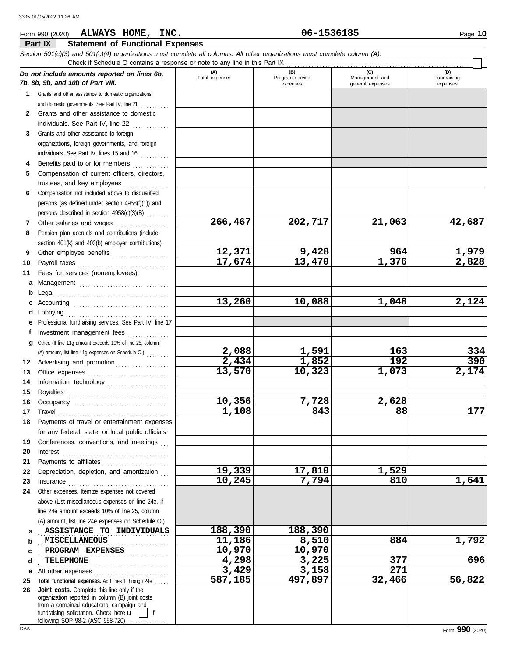#### **Part IX Statement of Functional Expenses** Form 990 (2020) Page **10 ALWAYS HOME, INC. 06-1536185** *Section 501(c)(3) and 501(c)(4) organizations must complete all columns. All other organizations must complete column (A). Do not include amounts reported on lines 6b, 7b, 8b, 9b, and 10b of Part VIII.* **1** Grants and other assistance to domestic organizations and domestic governments. See Part IV, line 21 **(A) (B) (C) (D)** Total expenses | Program service | Management and expenses | general expenses Fundraising expenses Check if Schedule O contains a response or note to any line in this Part IX . . . . . . . . . . . . . . . . . . . . . . . . . . . . . . . . . . . . . . . . . . . . . . . . . . . . . . . . . . . . . . . . .

**17,674 13,470 1,376 2,828**

**266,467 202,717 21,063 42,687**

**12,371 9,428 964 1,979**

**13,260 10,088 1,048 2,124**

**2,088 1,591 163 334 2,434 1,852 192 390 13,570 10,323 1,073 2,174**

**1,108 843 88 177**

**10,245 7,794 810 1,641**

**587,185 497,897 32,466 56,822**

**10,356 7,728 2,628**

**19,339 17,810 1,529**

**3,429 3,158 271**

| and domestic quyerments. See Fail IV, line ZT<br>. |
|----------------------------------------------------|
| Grants and other assistance to domestic            |
| individuals. See Part IV. line 22                  |

- **3** Grants and other assistance to foreign organizations, foreign governments, and foreign individuals. See Part IV, lines 15 and 16  $\ldots$
- **4 5** Benefits paid to or for members ............. Compensation of current officers, directors, trustees, and key employees
- **6** Compensation not included above to disqualified persons (as defined under section 4958(f)(1)) and persons described in section 4958(c)(3)(B) . . . . . . . .
- **7 8** Other salaries and wages ................... Pension plan accruals and contributions (include section 401(k) and 403(b) employer contributions)
- **9 10** Other employee benefits ..................... Payroll taxes . . . . . . . . . . . . . . . . . . . . . . . . . . . . . . . . .
- **11** Fees for services (nonemployees):
- **a** Management ................................. **b** Legal **c** Accounting . . . . . . . . . . . . . . . . . . . . . . . . . . . . . . . . . . **d** Lobbying . . . . . . . . . . . . . . . . . . . . . . . . . . . . . . . . . . . . . **e** . . . . . . . . . . . . . . . . . . . . . . . . . . . . . . . . . . . . . . . . Professional fundraising services. See Part IV, line 17
- **f g** Other. (If line 11g amount exceeds 10% of line 25, column **12** Advertising and promotion . . . . . . . . . . . . . . . . . . **13 14 15** Investment management fees ................ Office expenses ................................ Information technology . . . . . . . . . . . . . . . . . . . . . . Royalties . . . . . . . . . . . . . . . . . . . . . . . . . . . . . . . . . . . . (A) amount, list line 11g expenses on Schedule O.) . . . . . . . .
- **16 17 18 19 20** Occupancy . . . . . . . . . . . . . . . . . . . . . . . . . . . . . . . . . . Travel . . . . . . . . . . . . . . . . . . . . . . . . . . . . . . . . . . . . . . . . Payments of travel or entertainment expenses for any federal, state, or local public officials Conferences, conventions, and meetings Interest . . . . . . . . . . . . . . . . . . . . . . . . . . . . . . . . . . . . . .
- **21 22 23 24** Other expenses. Itemize expenses not covered Payments to affiliates . . . . . . . . . . . . . . . . . . . . . . . . Depreciation, depletion, and amortization Insurance . . . . . . . . . . . . . . . . . . . . . . . . . . . . . . . . . . . . above (List miscellaneous expenses on line 24e. If
- **a** . ASSISTANCE TO INDIVIDUALS 288,390 188,390 **b** line 24e amount exceeds 10% of line 25, column (A) amount, list line 24e expenses on Schedule O.) . . . . . . . . . . . . . . . . . . . . . . . . . . . . . . . . . . . . . . . . . . . . . . . **MISCELLANEOUS 11,186 8,510 884 1,792**
- **c d e** All other expenses . . . . . . . . . . . . . . . . . . . . . . . . . . . **25 Total functional expenses.** Add lines 1 through 24e . . . . . **26** . . . . . . . . . . . . . . . . . . . . . . . . . . . . . . . . . . . . . . . . . . . . . . . **PROGRAM EXPENSES 10,970 10,970** . . . . . . . . . . . . . . . . . . . . . . . . . . . . . . . . . . . . . . . . . . . . . . . **TELEPHONE 4,298 3,225 377 696 Joint costs.** Complete this line only if the

fundraising solicitation. Check here  $\mathbf{u}$  | if organization reported in column (B) joint costs from a combined educational campaign and following SOP 98-2 (ASC 958-720) ...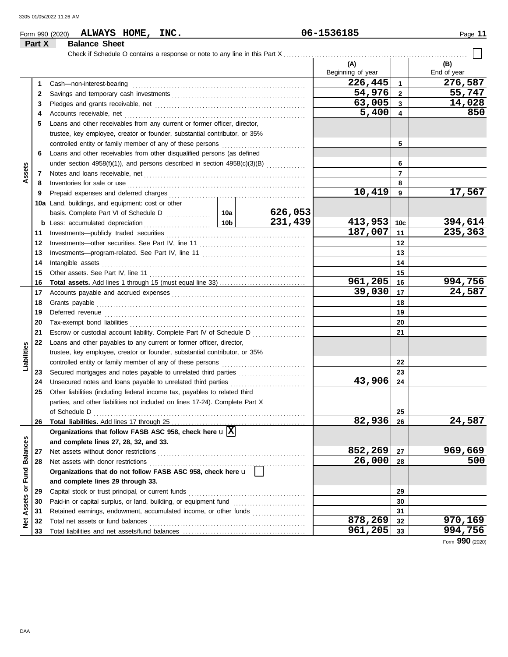**Part X Balance Sheet**

## Form 990 (2020) Page **11 ALWAYS HOME, INC. 06-1536185**

#### Check if Schedule O contains a response or note to any line in this Part X **(A) (B)** Beginning of year | | End of year **226,445 276,587** Cash—non-interest-bearing . . . . . . . . . . . . . . . . . . . . . . . . . . . . . . . . . . . . . . . . . . . . . . . . . . . . . . . . . . . . . . **1 1** Savings and temporary cash investments . . . . . . . . . . . . . . . . . . . . . . . . . . . . . . . . . . . . . . . . . . . . . . . . **54,976 55,747 2 2 63,005 14,028 3 3** Pledges and grants receivable, net . . . . . . . . . . . . . . . . . . . . . . . . . . . . . . . . . . . . . . . . . . . . . . . . . . . . . . **5,400 850 4 4** Accounts receivable, net . . . . . . . . . . . . . . . . . . . . . . . . . . . . . . . . . . . . . . . . . . . . . . . . . . . . . . . . . . . . . . . . . **5** Loans and other receivables from any current or former officer, director, trustee, key employee, creator or founder, substantial contributor, or 35% controlled entity or family member of any of these persons . . . . . . . . . . . . . . . . . . . . . . . . . . . . . . **5 6** Loans and other receivables from other disqualified persons (as defined **6** under section 4958(f)(1)), and persons described in section  $4958(c)(3)(B)$  ............. **Assets 7 7** Notes and loans receivable, net . . . . . . . . . . . . . . . . . . . . . . . . . . . . . . . . . . . . . . . . . . . . . . . . . . . . . . . . . . **8 8** Inventories for sale or use . . . . . . . . . . . . . . . . . . . . . . . . . . . . . . . . . . . . . . . . . . . . . . . . . . . . . . . . . . . . . . . . Prepaid expenses and deferred charges . . . . . . . . . . . . . . . . . . . . . . . . . . . . . . . . . . . . . . . . . . . . . . . . . **10,419 17,567 9 9 10a** Land, buildings, and equipment: cost or other basis. Complete Part VI of Schedule D ................ **10a 626,053 231,439 413,953 394,614 10c b** Less: accumulated depreciation . . . . . . . . . . . . . . . . . . . . . . . . **10b 11** Investments—publicly traded securities . . . . . . . . . . . . . . . . . . . . . . . . . . . . . . . . . . . . . . . . . . . . . . . . . . **187,007 235,363 11** Investments—other securities. See Part IV, line 11 . . . . . . . . . . . . . . . . . . . . . . . . . . . . . . . . . . . . . . **12 12** Investments—program-related. See Part IV, line 11 . . . . . . . . . . . . . . . . . . . . . . . . . . . . . . . . . . . . . **13 13 14** Intangible assets . . . . . . . . . . . . . . . . . . . . . . . . . . . . . . . . . . . . . . . . . . . . . . . . . . . . . . . . . . . . . . . . . . . . . . . . . **14** Other assets. See Part IV, line 11 . . . . . . . . . . . . . . . . . . . . . . . . . . . . . . . . . . . . . . . . . . . . . . . . . . . . . . . . **15 15 Total assets.** Add lines 1 through 15 (must equal line 33) . . . . . . . . . . . . . . . . . . . . . . . . . . . . . . . **961,205** 16 994,756<br>39,030 17 24,587 **16 16 39,030 24,587 17** Accounts payable and accrued expenses . . . . . . . . . . . . . . . . . . . . . . . . . . . . . . . . . . . . . . . . . . . . . . . . **17 18** Grants payable . . . . . . . . . . . . . . . . . . . . . . . . . . . . . . . . . . . . . . . . . . . . . . . . . . . . . . . . . . . . . . . . . . . . . . . . . . . **18** Deferred revenue . . . . . . . . . . . . . . . . . . . . . . . . . . . . . . . . . . . . . . . . . . . . . . . . . . . . . . . . . . . . . . . . . . . . . . . . **19 19** Tax-exempt bond liabilities . . . . . . . . . . . . . . . . . . . . . . . . . . . . . . . . . . . . . . . . . . . . . . . . . . . . . . . . . . . . . . . **20 20 21** Escrow or custodial account liability. Complete Part IV of Schedule D ................... **21 22** Loans and other payables to any current or former officer, director, **Liabilities** trustee, key employee, creator or founder, substantial contributor, or 35% controlled entity or family member of any of these persons . . . . . . . . . . . . . . . . . . . . . . . . . . . . . . **22** Secured mortgages and notes payable to unrelated third parties ........................ **23 23 43,906** Unsecured notes and loans payable to unrelated third parties . . . . . . . . . . . . . . . . . . . . . . . . . . . **24 24 25** Other liabilities (including federal income tax, payables to related third parties, and other liabilities not included on lines 17-24). Complete Part X of Schedule D . . . . . . . . . . . . . . . . . . . . . . . . . . . . . . . . . . . . . . . . . . . . . . . . . . . . . . . . . . . . . . . . . . . . . . . . . . . . **25 82,936 24,587 26** Total liabilities. Add lines 17 through 25 . . . . . . . . **26 Organizations that follow FASB ASC 958, check here** u **X Balances Net Assets or Fund Balances and complete lines 27, 28, 32, and 33. 852,269 969,669 27** Net assets without donor restrictions . . . . . . . . . . . . . . . . . . . . . . . . . . . . . . . . . . . . . . . . . . . . . . . . . . . . . **27** Net assets with donor restrictions . . . . . . . . . . . . . . . . . . . . . . . . . . . . . . . . . . . . . . . . . . . . . . . . . . . . . . . . **26,000 500 28 28** Net Assets or Fund **Organizations that do not follow FASB ASC 958, check here** u **and complete lines 29 through 33.** Capital stock or trust principal, or current funds . . . . . . . . . . . . . . . . . . . . . . . . . . . . . . . . . . . . . . . . . . **29 29** Paid-in or capital surplus, or land, building, or equipment fund ............................ **30 30 31** Retained earnings, endowment, accumulated income, or other funds ................... **31 878,269 970,169** Total net assets or fund balances . . . . . . . . . . . . . . . . . . . . . . . . . . . . . . . . . . . . . . . . . . . . . . . . . . . . . . . . **32 32 961,205 994,756 33 33** Total liabilities and net assets/fund balances .................................

Form **990** (2020)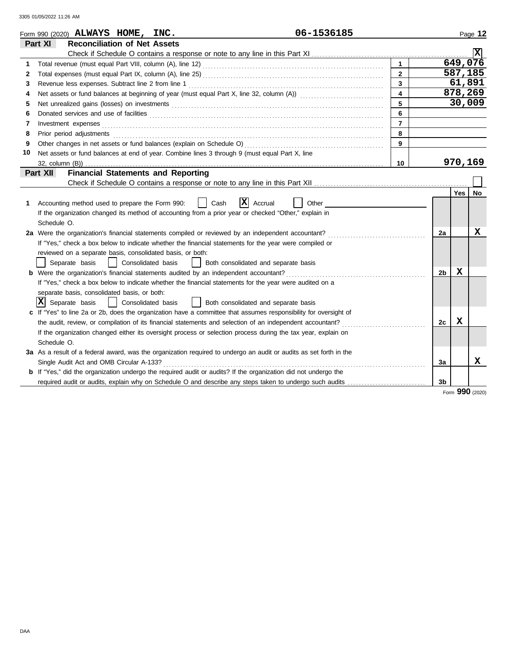|    | 06-1536185<br>Form 990 (2020) $ALWAYS$ HOME, INC.                                                                                                                                                                              |                |                |         | Page 12 |
|----|--------------------------------------------------------------------------------------------------------------------------------------------------------------------------------------------------------------------------------|----------------|----------------|---------|---------|
|    | Part XI<br><b>Reconciliation of Net Assets</b>                                                                                                                                                                                 |                |                |         |         |
|    |                                                                                                                                                                                                                                |                |                |         | Ixl     |
| 1  |                                                                                                                                                                                                                                | $\mathbf{1}$   |                | 649,076 |         |
| 2  |                                                                                                                                                                                                                                | $\overline{2}$ |                | 587,185 |         |
| 3  |                                                                                                                                                                                                                                | 3              |                | 61,891  |         |
| 4  |                                                                                                                                                                                                                                | 4              |                | 878,269 |         |
| 5  |                                                                                                                                                                                                                                | 5              |                |         | 30,009  |
| 6  |                                                                                                                                                                                                                                | 6              |                |         |         |
| 7  | Investment expenses                                                                                                                                                                                                            | $\overline{7}$ |                |         |         |
| 8  | Prior period adjustments entertainments and a statement of a statement of a statement of a statement of a statement of a statement of a statement of a statement of a statement of a statement of a statement of a statement o | 8              |                |         |         |
| 9  |                                                                                                                                                                                                                                | 9              |                |         |         |
| 10 | Net assets or fund balances at end of year. Combine lines 3 through 9 (must equal Part X, line                                                                                                                                 |                |                |         |         |
|    |                                                                                                                                                                                                                                | 10             |                | 970,169 |         |
|    | <b>Financial Statements and Reporting</b><br>Part XII                                                                                                                                                                          |                |                |         |         |
|    |                                                                                                                                                                                                                                |                |                |         |         |
|    |                                                                                                                                                                                                                                |                |                | Yes     | No      |
| 1  | $ X $ Accrual<br>Accounting method used to prepare the Form 990:<br>Cash<br>Other                                                                                                                                              |                |                |         |         |
|    | If the organization changed its method of accounting from a prior year or checked "Other," explain in                                                                                                                          |                |                |         |         |
|    | Schedule O.                                                                                                                                                                                                                    |                |                |         |         |
|    | 2a Were the organization's financial statements compiled or reviewed by an independent accountant?                                                                                                                             |                | 2a             |         | X       |
|    | If "Yes," check a box below to indicate whether the financial statements for the year were compiled or                                                                                                                         |                |                |         |         |
|    | reviewed on a separate basis, consolidated basis, or both:                                                                                                                                                                     |                |                |         |         |
|    | Separate basis<br>Consolidated basis<br>Both consolidated and separate basis                                                                                                                                                   |                |                |         |         |
|    | <b>b</b> Were the organization's financial statements audited by an independent accountant?                                                                                                                                    |                | 2 <sub>b</sub> | x       |         |
|    | If "Yes," check a box below to indicate whether the financial statements for the year were audited on a                                                                                                                        |                |                |         |         |
|    | separate basis, consolidated basis, or both:                                                                                                                                                                                   |                |                |         |         |
|    | ΙXΙ<br>Separate basis<br>Consolidated basis<br>  Both consolidated and separate basis                                                                                                                                          |                |                |         |         |
|    | c If "Yes" to line 2a or 2b, does the organization have a committee that assumes responsibility for oversight of                                                                                                               |                |                |         |         |
|    | the audit, review, or compilation of its financial statements and selection of an independent accountant?                                                                                                                      |                | 2c             | x       |         |
|    | If the organization changed either its oversight process or selection process during the tax year, explain on                                                                                                                  |                |                |         |         |
|    | Schedule O.                                                                                                                                                                                                                    |                |                |         |         |
|    | 3a As a result of a federal award, was the organization required to undergo an audit or audits as set forth in the                                                                                                             |                |                |         |         |
|    | Single Audit Act and OMB Circular A-133?                                                                                                                                                                                       |                | 3a             |         | X       |
|    | <b>b</b> If "Yes," did the organization undergo the required audit or audits? If the organization did not undergo the                                                                                                          |                |                |         |         |
|    | required audit or audits, explain why on Schedule O and describe any steps taken to undergo such audits                                                                                                                        |                | 3b             |         |         |
|    |                                                                                                                                                                                                                                |                |                | nnn     |         |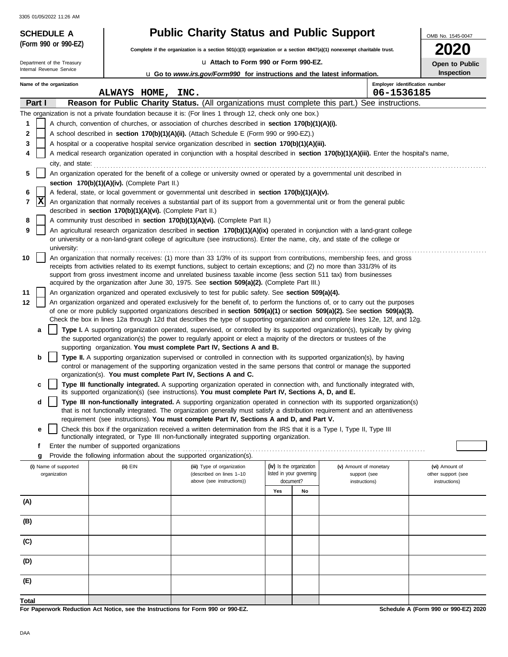**(Form 990 or 990-EZ)**

# **SCHEDULE A Public Charity Status and Public Support**

**Complete if the organization is a section 501(c)(3) organization or a section 4947(a)(1) nonexempt charitable trust.**

u **Attach to Form 990 or Form 990-EZ.**

**2020 Open to Public**

OMB No. 1545-0047

| Department of the Treasury |        |                          |  |                                                                                                      | Open to Public                                                                                                                                                                                                                                                 |                                              |                          |                        |  |                    |  |
|----------------------------|--------|--------------------------|--|------------------------------------------------------------------------------------------------------|----------------------------------------------------------------------------------------------------------------------------------------------------------------------------------------------------------------------------------------------------------------|----------------------------------------------|--------------------------|------------------------|--|--------------------|--|
| Internal Revenue Service   |        |                          |  | <b>Inspection</b><br><b>u</b> Go to www.irs.gov/Form990 for instructions and the latest information. |                                                                                                                                                                                                                                                                |                                              |                          |                        |  |                    |  |
|                            |        | Name of the organization |  | ALWAYS HOME,                                                                                         | INC.                                                                                                                                                                                                                                                           | Employer identification number<br>06-1536185 |                          |                        |  |                    |  |
|                            | Part I |                          |  |                                                                                                      | Reason for Public Charity Status. (All organizations must complete this part.) See instructions.                                                                                                                                                               |                                              |                          |                        |  |                    |  |
|                            |        |                          |  |                                                                                                      | The organization is not a private foundation because it is: (For lines 1 through 12, check only one box.)                                                                                                                                                      |                                              |                          |                        |  |                    |  |
| 1                          |        |                          |  |                                                                                                      | A church, convention of churches, or association of churches described in <b>section 170(b)(1)(A)(i).</b>                                                                                                                                                      |                                              |                          |                        |  |                    |  |
| 2                          |        |                          |  |                                                                                                      | A school described in section 170(b)(1)(A)(ii). (Attach Schedule E (Form 990 or 990-EZ).)                                                                                                                                                                      |                                              |                          |                        |  |                    |  |
| 3                          |        |                          |  |                                                                                                      | A hospital or a cooperative hospital service organization described in section 170(b)(1)(A)(iii).                                                                                                                                                              |                                              |                          |                        |  |                    |  |
|                            |        |                          |  |                                                                                                      | A medical research organization operated in conjunction with a hospital described in section 170(b)(1)(A)(iii). Enter the hospital's name,                                                                                                                     |                                              |                          |                        |  |                    |  |
|                            |        | city, and state:         |  |                                                                                                      |                                                                                                                                                                                                                                                                |                                              |                          |                        |  |                    |  |
| 5                          |        |                          |  |                                                                                                      | An organization operated for the benefit of a college or university owned or operated by a governmental unit described in                                                                                                                                      |                                              |                          |                        |  |                    |  |
|                            |        |                          |  | section 170(b)(1)(A)(iv). (Complete Part II.)                                                        |                                                                                                                                                                                                                                                                |                                              |                          |                        |  |                    |  |
| 6                          |        |                          |  |                                                                                                      | A federal, state, or local government or governmental unit described in section 170(b)(1)(A)(v).                                                                                                                                                               |                                              |                          |                        |  |                    |  |
| 7                          | X      |                          |  | described in section 170(b)(1)(A)(vi). (Complete Part II.)                                           | An organization that normally receives a substantial part of its support from a governmental unit or from the general public                                                                                                                                   |                                              |                          |                        |  |                    |  |
| 8                          |        |                          |  |                                                                                                      | A community trust described in section 170(b)(1)(A)(vi). (Complete Part II.)                                                                                                                                                                                   |                                              |                          |                        |  |                    |  |
| 9                          |        |                          |  |                                                                                                      | An agricultural research organization described in section 170(b)(1)(A)(ix) operated in conjunction with a land-grant college                                                                                                                                  |                                              |                          |                        |  |                    |  |
|                            |        |                          |  |                                                                                                      | or university or a non-land-grant college of agriculture (see instructions). Enter the name, city, and state of the college or                                                                                                                                 |                                              |                          |                        |  |                    |  |
| 10                         |        | university:              |  |                                                                                                      | An organization that normally receives: (1) more than 33 1/3% of its support from contributions, membership fees, and gross                                                                                                                                    |                                              |                          |                        |  |                    |  |
|                            |        |                          |  |                                                                                                      | receipts from activities related to its exempt functions, subject to certain exceptions; and (2) no more than 331/3% of its                                                                                                                                    |                                              |                          |                        |  |                    |  |
|                            |        |                          |  |                                                                                                      | support from gross investment income and unrelated business taxable income (less section 511 tax) from businesses                                                                                                                                              |                                              |                          |                        |  |                    |  |
|                            |        |                          |  |                                                                                                      | acquired by the organization after June 30, 1975. See section 509(a)(2). (Complete Part III.)                                                                                                                                                                  |                                              |                          |                        |  |                    |  |
| 11                         |        |                          |  |                                                                                                      | An organization organized and operated exclusively to test for public safety. See section 509(a)(4).                                                                                                                                                           |                                              |                          |                        |  |                    |  |
| 12                         |        |                          |  |                                                                                                      | An organization organized and operated exclusively for the benefit of, to perform the functions of, or to carry out the purposes                                                                                                                               |                                              |                          |                        |  |                    |  |
|                            |        |                          |  |                                                                                                      | of one or more publicly supported organizations described in section 509(a)(1) or section 509(a)(2). See section 509(a)(3).<br>Check the box in lines 12a through 12d that describes the type of supporting organization and complete lines 12e, 12f, and 12g. |                                              |                          |                        |  |                    |  |
|                            | a      |                          |  |                                                                                                      | Type I. A supporting organization operated, supervised, or controlled by its supported organization(s), typically by giving                                                                                                                                    |                                              |                          |                        |  |                    |  |
|                            |        |                          |  |                                                                                                      | the supported organization(s) the power to regularly appoint or elect a majority of the directors or trustees of the                                                                                                                                           |                                              |                          |                        |  |                    |  |
|                            |        |                          |  |                                                                                                      | supporting organization. You must complete Part IV, Sections A and B.                                                                                                                                                                                          |                                              |                          |                        |  |                    |  |
|                            | b      |                          |  |                                                                                                      | Type II. A supporting organization supervised or controlled in connection with its supported organization(s), by having                                                                                                                                        |                                              |                          |                        |  |                    |  |
|                            |        |                          |  |                                                                                                      | control or management of the supporting organization vested in the same persons that control or manage the supported                                                                                                                                           |                                              |                          |                        |  |                    |  |
|                            |        |                          |  |                                                                                                      | organization(s). You must complete Part IV, Sections A and C.                                                                                                                                                                                                  |                                              |                          |                        |  |                    |  |
|                            | c      |                          |  |                                                                                                      | Type III functionally integrated. A supporting organization operated in connection with, and functionally integrated with,<br>its supported organization(s) (see instructions). You must complete Part IV, Sections A, D, and E.                               |                                              |                          |                        |  |                    |  |
|                            | d      |                          |  |                                                                                                      | Type III non-functionally integrated. A supporting organization operated in connection with its supported organization(s)                                                                                                                                      |                                              |                          |                        |  |                    |  |
|                            |        |                          |  |                                                                                                      | that is not functionally integrated. The organization generally must satisfy a distribution requirement and an attentiveness                                                                                                                                   |                                              |                          |                        |  |                    |  |
|                            |        |                          |  |                                                                                                      | requirement (see instructions). You must complete Part IV, Sections A and D, and Part V.                                                                                                                                                                       |                                              |                          |                        |  |                    |  |
|                            | е      |                          |  |                                                                                                      | Check this box if the organization received a written determination from the IRS that it is a Type I, Type II, Type III                                                                                                                                        |                                              |                          |                        |  |                    |  |
|                            | f      |                          |  | Enter the number of supported organizations                                                          | functionally integrated, or Type III non-functionally integrated supporting organization.                                                                                                                                                                      |                                              |                          |                        |  |                    |  |
|                            | g      |                          |  |                                                                                                      | Provide the following information about the supported organization(s).                                                                                                                                                                                         |                                              |                          |                        |  |                    |  |
|                            |        | (i) Name of supported    |  | (ii) EIN                                                                                             | (iii) Type of organization                                                                                                                                                                                                                                     |                                              | (iv) Is the organization | (v) Amount of monetary |  | (vi) Amount of     |  |
|                            |        | organization             |  |                                                                                                      | (described on lines 1-10                                                                                                                                                                                                                                       |                                              | listed in your governing | support (see           |  | other support (see |  |
|                            |        |                          |  |                                                                                                      | above (see instructions))                                                                                                                                                                                                                                      |                                              | document?                | instructions)          |  | instructions)      |  |
|                            |        |                          |  |                                                                                                      |                                                                                                                                                                                                                                                                | Yes                                          | No                       |                        |  |                    |  |
| (A)                        |        |                          |  |                                                                                                      |                                                                                                                                                                                                                                                                |                                              |                          |                        |  |                    |  |
|                            |        |                          |  |                                                                                                      |                                                                                                                                                                                                                                                                |                                              |                          |                        |  |                    |  |
| (B)                        |        |                          |  |                                                                                                      |                                                                                                                                                                                                                                                                |                                              |                          |                        |  |                    |  |
| (C)                        |        |                          |  |                                                                                                      |                                                                                                                                                                                                                                                                |                                              |                          |                        |  |                    |  |
| (D)                        |        |                          |  |                                                                                                      |                                                                                                                                                                                                                                                                |                                              |                          |                        |  |                    |  |
|                            |        |                          |  |                                                                                                      |                                                                                                                                                                                                                                                                |                                              |                          |                        |  |                    |  |
| (E)                        |        |                          |  |                                                                                                      |                                                                                                                                                                                                                                                                |                                              |                          |                        |  |                    |  |
| Total                      |        |                          |  |                                                                                                      |                                                                                                                                                                                                                                                                |                                              |                          |                        |  |                    |  |

**For Paperwork Reduction Act Notice, see the Instructions for Form 990 or 990-EZ.**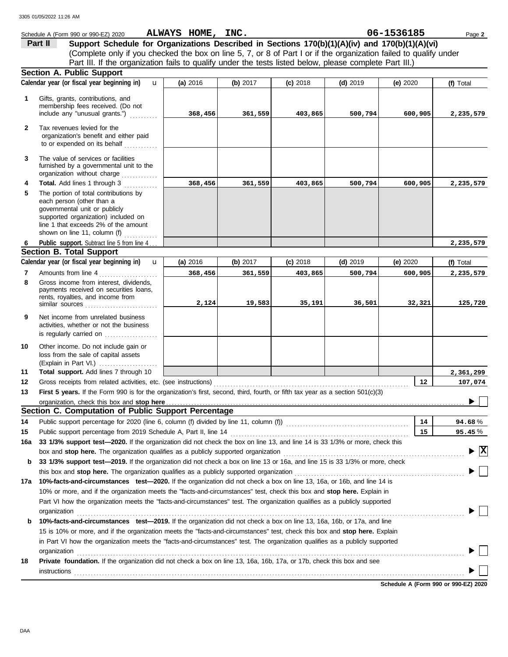|     | Schedule A (Form 990 or 990-EZ) 2020                                                                                                                                                                                                                                           | ALWAYS HOME, INC. |          |            |            | 06-1536185                           | Page 2                   |
|-----|--------------------------------------------------------------------------------------------------------------------------------------------------------------------------------------------------------------------------------------------------------------------------------|-------------------|----------|------------|------------|--------------------------------------|--------------------------|
|     | Support Schedule for Organizations Described in Sections 170(b)(1)(A)(iv) and 170(b)(1)(A)(vi)<br>Part II                                                                                                                                                                      |                   |          |            |            |                                      |                          |
|     | (Complete only if you checked the box on line 5, 7, or 8 of Part I or if the organization failed to qualify under                                                                                                                                                              |                   |          |            |            |                                      |                          |
|     | Part III. If the organization fails to qualify under the tests listed below, please complete Part III.)                                                                                                                                                                        |                   |          |            |            |                                      |                          |
|     | <b>Section A. Public Support</b>                                                                                                                                                                                                                                               |                   |          |            |            |                                      |                          |
|     | Calendar year (or fiscal year beginning in)<br>$\mathbf{u}$                                                                                                                                                                                                                    | (a) 2016          | (b) 2017 | $(c)$ 2018 | $(d)$ 2019 | (e) $2020$                           | (f) Total                |
| 1   | Gifts, grants, contributions, and<br>membership fees received. (Do not<br>include any "unusual grants.")                                                                                                                                                                       | 368,456           | 361,559  | 403,865    | 500,794    | 600,905                              | 2,235,579                |
|     |                                                                                                                                                                                                                                                                                |                   |          |            |            |                                      |                          |
| 2   | Tax revenues levied for the<br>organization's benefit and either paid<br>to or expended on its behalf                                                                                                                                                                          |                   |          |            |            |                                      |                          |
| 3   | The value of services or facilities<br>furnished by a governmental unit to the<br>organization without charge                                                                                                                                                                  |                   |          |            |            |                                      |                          |
| 4   | <b>Total.</b> Add lines 1 through 3<br><u>.</u>                                                                                                                                                                                                                                | 368,456           | 361,559  | 403,865    | 500,794    | 600,905                              | 2,235,579                |
| 5   | The portion of total contributions by<br>each person (other than a<br>governmental unit or publicly<br>supported organization) included on<br>line 1 that exceeds 2% of the amount<br>shown on line 11, column (f)<br>in in de la caractería.<br>Constituídas de la caractería |                   |          |            |            |                                      |                          |
| 6   | Public support. Subtract line 5 from line 4.                                                                                                                                                                                                                                   |                   |          |            |            |                                      | 2,235,579                |
|     | <b>Section B. Total Support</b>                                                                                                                                                                                                                                                |                   |          |            |            |                                      |                          |
|     | Calendar year (or fiscal year beginning in)<br>$\mathbf{u}$                                                                                                                                                                                                                    | (a) 2016          | (b) 2017 | $(c)$ 2018 | $(d)$ 2019 | (e) $2020$                           | (f) Total                |
| 7   | Amounts from line 4<br>.                                                                                                                                                                                                                                                       | 368,456           | 361,559  | 403,865    | 500,794    | 600,905                              | 2,235,579                |
| 8   | Gross income from interest, dividends,<br>payments received on securities loans,<br>rents, royalties, and income from<br>similar sources                                                                                                                                       | 2,124             | 19,583   | 35,191     | 36,501     | 32,321                               | 125,720                  |
| 9   | Net income from unrelated business<br>activities, whether or not the business<br>is regularly carried on                                                                                                                                                                       |                   |          |            |            |                                      |                          |
| 10  | Other income. Do not include gain or<br>loss from the sale of capital assets                                                                                                                                                                                                   |                   |          |            |            |                                      |                          |
| 11  | Total support. Add lines 7 through 10                                                                                                                                                                                                                                          |                   |          |            |            |                                      | 2,361,299                |
| 12  | Gross receipts from related activities, etc. (see instructions)                                                                                                                                                                                                                |                   |          |            |            | 12                                   | 107,074                  |
| 13  | First 5 years. If the Form 990 is for the organization's first, second, third, fourth, or fifth tax year as a section 501(c)(3)                                                                                                                                                |                   |          |            |            |                                      |                          |
|     |                                                                                                                                                                                                                                                                                |                   |          |            |            |                                      |                          |
|     | Section C. Computation of Public Support Percentage                                                                                                                                                                                                                            |                   |          |            |            |                                      |                          |
| 14  | Public support percentage for 2020 (line 6, column (f) divided by line 11, column (f)) [[[[[[[[[[[[[[[[[[[[[[                                                                                                                                                                  |                   |          |            |            | 14                                   | 94.68%                   |
| 15  |                                                                                                                                                                                                                                                                                |                   |          |            |            | 15                                   | 95.45%                   |
| 16a | 33 1/3% support test-2020. If the organization did not check the box on line 13, and line 14 is 33 1/3% or more, check this                                                                                                                                                    |                   |          |            |            |                                      |                          |
|     | box and stop here. The organization qualifies as a publicly supported organization                                                                                                                                                                                             |                   |          |            |            |                                      | $\vert \mathbf{x} \vert$ |
| b   | 33 1/3% support test-2019. If the organization did not check a box on line 13 or 16a, and line 15 is 33 1/3% or more, check                                                                                                                                                    |                   |          |            |            |                                      |                          |
|     |                                                                                                                                                                                                                                                                                |                   |          |            |            |                                      |                          |
| 17а | 10%-facts-and-circumstances test-2020. If the organization did not check a box on line 13, 16a, or 16b, and line 14 is                                                                                                                                                         |                   |          |            |            |                                      |                          |
|     | 10% or more, and if the organization meets the "facts-and-circumstances" test, check this box and stop here. Explain in                                                                                                                                                        |                   |          |            |            |                                      |                          |
|     | Part VI how the organization meets the "facts-and-circumstances" test. The organization qualifies as a publicly supported                                                                                                                                                      |                   |          |            |            |                                      |                          |
|     | organization                                                                                                                                                                                                                                                                   |                   |          |            |            |                                      |                          |
| b   | 10%-facts-and-circumstances test-2019. If the organization did not check a box on line 13, 16a, 16b, or 17a, and line<br>15 is 10% or more, and if the organization meets the "facts-and-circumstances" test, check this box and stop here. Explain                            |                   |          |            |            |                                      |                          |
|     | in Part VI how the organization meets the "facts-and-circumstances" test. The organization qualifies as a publicly supported                                                                                                                                                   |                   |          |            |            |                                      |                          |
|     | organization                                                                                                                                                                                                                                                                   |                   |          |            |            |                                      |                          |
| 18  | Private foundation. If the organization did not check a box on line 13, 16a, 16b, 17a, or 17b, check this box and see<br>instructions                                                                                                                                          |                   |          |            |            |                                      |                          |
|     |                                                                                                                                                                                                                                                                                |                   |          |            |            | Schedule A (Form 990 or 990-EZ) 2020 |                          |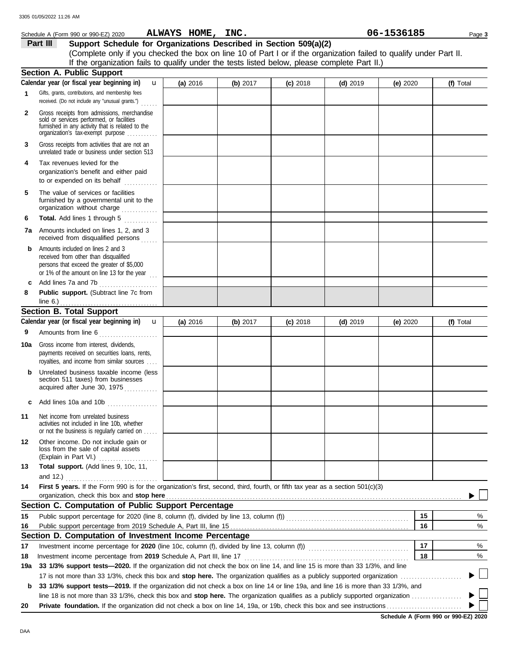|     | Schedule A (Form 990 or 990-EZ) 2020                                                                                                                                              | ALWAYS HOME, INC. |            |            |            | 06-1536185 | Page 3    |
|-----|-----------------------------------------------------------------------------------------------------------------------------------------------------------------------------------|-------------------|------------|------------|------------|------------|-----------|
|     | Support Schedule for Organizations Described in Section 509(a)(2)<br>Part III                                                                                                     |                   |            |            |            |            |           |
|     | (Complete only if you checked the box on line 10 of Part I or if the organization failed to qualify under Part II.                                                                |                   |            |            |            |            |           |
|     | If the organization fails to qualify under the tests listed below, please complete Part II.)                                                                                      |                   |            |            |            |            |           |
|     | <b>Section A. Public Support</b>                                                                                                                                                  |                   |            |            |            |            |           |
|     | Calendar year (or fiscal year beginning in)<br>$\mathbf{u}$                                                                                                                       | (a) 2016          | (b) $2017$ | $(c)$ 2018 | $(d)$ 2019 | (e) $2020$ | (f) Total |
|     | Gifts, grants, contributions, and membership fees<br>received. (Do not include any "unusual grants.")                                                                             |                   |            |            |            |            |           |
| 2   | Gross receipts from admissions, merchandise<br>sold or services performed, or facilities<br>furnished in any activity that is related to the<br>organization's tax-exempt purpose |                   |            |            |            |            |           |
| 3   | Gross receipts from activities that are not an<br>unrelated trade or business under section 513                                                                                   |                   |            |            |            |            |           |
| 4   | Tax revenues levied for the<br>organization's benefit and either paid<br>to or expended on its behalf                                                                             |                   |            |            |            |            |           |
| 5   | The value of services or facilities<br>furnished by a governmental unit to the<br>organization without charge                                                                     |                   |            |            |            |            |           |
| 6   | Total. Add lines 1 through 5                                                                                                                                                      |                   |            |            |            |            |           |
|     | <b>7a</b> Amounts included on lines 1, 2, and 3<br>received from disqualified persons                                                                                             |                   |            |            |            |            |           |
| b   | Amounts included on lines 2 and 3<br>received from other than disqualified<br>persons that exceed the greater of \$5,000<br>or 1% of the amount on line 13 for the year $\ldots$  |                   |            |            |            |            |           |
| c   | Add lines 7a and 7b                                                                                                                                                               |                   |            |            |            |            |           |
| 8   | Public support. (Subtract line 7c from<br>line $6.$ )                                                                                                                             |                   |            |            |            |            |           |
|     | <b>Section B. Total Support</b>                                                                                                                                                   |                   |            |            |            |            |           |
|     | Calendar year (or fiscal year beginning in)<br>$\mathbf{u}$                                                                                                                       | (a) 2016          | (b) 2017   | $(c)$ 2018 | $(d)$ 2019 | (e) $2020$ | (f) Total |
| 9   | Amounts from line 6                                                                                                                                                               |                   |            |            |            |            |           |
| 10a | Gross income from interest, dividends,<br>payments received on securities loans, rents,<br>royalties, and income from similar sources                                             |                   |            |            |            |            |           |
| b   | Unrelated business taxable income (less<br>section 511 taxes) from businesses<br>acquired after June 30, 1975                                                                     |                   |            |            |            |            |           |
| с   | Add lines 10a and 10b<br>.                                                                                                                                                        |                   |            |            |            |            |           |
| 11  | Net income from unrelated business<br>activities not included in line 10b, whether<br>or not the business is regularly carried on                                                 |                   |            |            |            |            |           |
| 12  | Other income. Do not include gain or<br>loss from the sale of capital assets<br>(Explain in Part VI.)                                                                             |                   |            |            |            |            |           |
| 13  | Total support. (Add lines 9, 10c, 11,                                                                                                                                             |                   |            |            |            |            |           |
|     | and 12.) $\ldots$                                                                                                                                                                 |                   |            |            |            |            |           |
| 14  | First 5 years. If the Form 990 is for the organization's first, second, third, fourth, or fifth tax year as a section 501(c)(3)<br>organization, check this box and stop here     |                   |            |            |            |            |           |
|     | Section C. Computation of Public Support Percentage                                                                                                                               |                   |            |            |            |            |           |
| 15  |                                                                                                                                                                                   |                   |            |            |            | 15         | %         |
| 16  |                                                                                                                                                                                   |                   |            |            |            | 16         | %         |
|     | Section D. Computation of Investment Income Percentage                                                                                                                            |                   |            |            |            |            |           |
| 17  |                                                                                                                                                                                   |                   |            |            |            | 17         | %         |
| 18  |                                                                                                                                                                                   |                   |            |            |            | 18         | %         |
| 19a | 33 1/3% support tests-2020. If the organization did not check the box on line 14, and line 15 is more than 33 1/3%, and line                                                      |                   |            |            |            |            |           |
|     |                                                                                                                                                                                   |                   |            |            |            |            |           |
| b   | 33 1/3% support tests-2019. If the organization did not check a box on line 14 or line 19a, and line 16 is more than 33 1/3%, and                                                 |                   |            |            |            |            |           |
|     |                                                                                                                                                                                   |                   |            |            |            |            |           |
| 20  |                                                                                                                                                                                   |                   |            |            |            |            |           |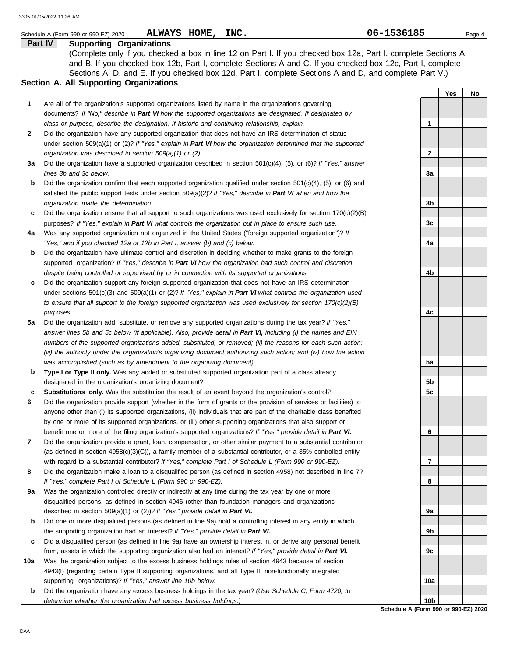|              | ALWAYS HOME, INC.<br>Schedule A (Form 990 or 990-EZ) 2020                                                           | 06-1536185      |     | Page 4 |
|--------------|---------------------------------------------------------------------------------------------------------------------|-----------------|-----|--------|
|              | Part IV<br><b>Supporting Organizations</b>                                                                          |                 |     |        |
|              | (Complete only if you checked a box in line 12 on Part I. If you checked box 12a, Part I, complete Sections A       |                 |     |        |
|              | and B. If you checked box 12b, Part I, complete Sections A and C. If you checked box 12c, Part I, complete          |                 |     |        |
|              | Sections A, D, and E. If you checked box 12d, Part I, complete Sections A and D, and complete Part V.)              |                 |     |        |
|              | <b>Section A. All Supporting Organizations</b>                                                                      |                 |     |        |
|              |                                                                                                                     |                 | Yes | No     |
| 1            | Are all of the organization's supported organizations listed by name in the organization's governing                |                 |     |        |
|              | documents? If "No," describe in Part VI how the supported organizations are designated. If designated by            |                 |     |        |
|              | class or purpose, describe the designation. If historic and continuing relationship, explain.                       | 1               |     |        |
| $\mathbf{2}$ | Did the organization have any supported organization that does not have an IRS determination of status              |                 |     |        |
|              | under section 509(a)(1) or (2)? If "Yes," explain in Part VI how the organization determined that the supported     |                 |     |        |
|              | organization was described in section 509(a)(1) or (2).                                                             | 2               |     |        |
| За           | Did the organization have a supported organization described in section $501(c)(4)$ , (5), or (6)? If "Yes," answer |                 |     |        |
|              | lines 3b and 3c below.                                                                                              | 3a              |     |        |
| b            | Did the organization confirm that each supported organization qualified under section 501(c)(4), (5), or (6) and    |                 |     |        |
|              | satisfied the public support tests under section 509(a)(2)? If "Yes," describe in Part VI when and how the          |                 |     |        |
|              |                                                                                                                     |                 |     |        |
|              | organization made the determination.                                                                                | 3b              |     |        |
| c            | Did the organization ensure that all support to such organizations was used exclusively for section $170(c)(2)(B)$  |                 |     |        |
|              | purposes? If "Yes," explain in Part VI what controls the organization put in place to ensure such use.              | 3c              |     |        |
| 4a           | Was any supported organization not organized in the United States ("foreign supported organization")? If            |                 |     |        |
|              | "Yes," and if you checked 12a or 12b in Part I, answer (b) and (c) below.                                           | 4a              |     |        |
| b            | Did the organization have ultimate control and discretion in deciding whether to make grants to the foreign         |                 |     |        |
|              | supported organization? If "Yes," describe in Part VI how the organization had such control and discretion          |                 |     |        |
|              | despite being controlled or supervised by or in connection with its supported organizations.                        | 4b              |     |        |
| c            | Did the organization support any foreign supported organization that does not have an IRS determination             |                 |     |        |
|              | under sections $501(c)(3)$ and $509(a)(1)$ or (2)? If "Yes," explain in Part VI what controls the organization used |                 |     |        |
|              | to ensure that all support to the foreign supported organization was used exclusively for section $170(c)(2)(B)$    |                 |     |        |
|              | purposes.                                                                                                           | 4c              |     |        |
| 5a           | Did the organization add, substitute, or remove any supported organizations during the tax year? If "Yes,"          |                 |     |        |
|              | answer lines 5b and 5c below (if applicable). Also, provide detail in Part VI, including (i) the names and EIN      |                 |     |        |
|              | numbers of the supported organizations added, substituted, or removed; (ii) the reasons for each such action;       |                 |     |        |
|              | (iii) the authority under the organization's organizing document authorizing such action; and (iv) how the action   |                 |     |        |
|              | was accomplished (such as by amendment to the organizing document).                                                 | 5a              |     |        |
| b            | Type I or Type II only. Was any added or substituted supported organization part of a class already                 |                 |     |        |
|              | designated in the organization's organizing document?                                                               | 5b              |     |        |
| c            | <b>Substitutions only.</b> Was the substitution the result of an event beyond the organization's control?           | 5c              |     |        |
| 6            | Did the organization provide support (whether in the form of grants or the provision of services or facilities) to  |                 |     |        |
|              | anyone other than (i) its supported organizations, (ii) individuals that are part of the charitable class benefited |                 |     |        |
|              | by one or more of its supported organizations, or (iii) other supporting organizations that also support or         |                 |     |        |
|              | benefit one or more of the filing organization's supported organizations? If "Yes," provide detail in Part VI.      | 6               |     |        |
| 7            | Did the organization provide a grant, loan, compensation, or other similar payment to a substantial contributor     |                 |     |        |
|              | (as defined in section $4958(c)(3)(C)$ ), a family member of a substantial contributor, or a 35% controlled entity  |                 |     |        |
|              | with regard to a substantial contributor? If "Yes," complete Part I of Schedule L (Form 990 or 990-EZ).             | 7               |     |        |
| 8            | Did the organization make a loan to a disqualified person (as defined in section 4958) not described in line 7?     |                 |     |        |
|              | If "Yes," complete Part I of Schedule L (Form 990 or 990-EZ).                                                       | 8               |     |        |
| 9a           | Was the organization controlled directly or indirectly at any time during the tax year by one or more               |                 |     |        |
|              | disqualified persons, as defined in section 4946 (other than foundation managers and organizations                  |                 |     |        |
|              | described in section 509(a)(1) or (2))? If "Yes," provide detail in Part VI.                                        | 9a              |     |        |
| b            | Did one or more disqualified persons (as defined in line 9a) hold a controlling interest in any entity in which     |                 |     |        |
|              | the supporting organization had an interest? If "Yes," provide detail in Part VI.                                   | 9b              |     |        |
| c            | Did a disqualified person (as defined in line 9a) have an ownership interest in, or derive any personal benefit     |                 |     |        |
|              | from, assets in which the supporting organization also had an interest? If "Yes," provide detail in Part VI.        | 9c              |     |        |
| 10a          | Was the organization subject to the excess business holdings rules of section 4943 because of section               |                 |     |        |
|              | 4943(f) (regarding certain Type II supporting organizations, and all Type III non-functionally integrated           |                 |     |        |
|              | supporting organizations)? If "Yes," answer line 10b below.                                                         | 10a             |     |        |
| b            | Did the organization have any excess business holdings in the tax year? (Use Schedule C, Form 4720, to              |                 |     |        |
|              | determine whether the organization had excess business holdings.)                                                   | 10 <sub>b</sub> |     |        |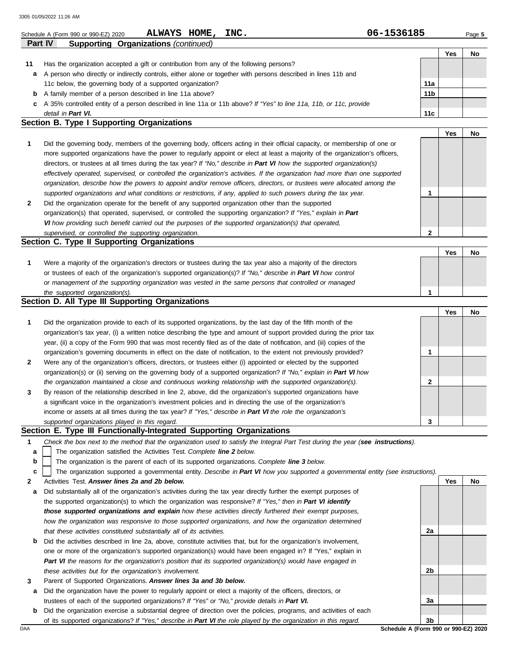|                | ALWAYS HOME,<br>INC.<br>Schedule A (Form 990 or 990-EZ) 2020                                                                                                                                                                                 | 06-1536185 |     | Page 5 |
|----------------|----------------------------------------------------------------------------------------------------------------------------------------------------------------------------------------------------------------------------------------------|------------|-----|--------|
| <b>Part IV</b> | <b>Supporting Organizations (continued)</b>                                                                                                                                                                                                  |            |     |        |
|                |                                                                                                                                                                                                                                              |            | Yes | No     |
| 11             | Has the organization accepted a gift or contribution from any of the following persons?                                                                                                                                                      |            |     |        |
| а              | A person who directly or indirectly controls, either alone or together with persons described in lines 11b and                                                                                                                               |            |     |        |
|                | 11c below, the governing body of a supported organization?                                                                                                                                                                                   | 11a        |     |        |
| b              | A family member of a person described in line 11a above?                                                                                                                                                                                     | 11b        |     |        |
| C              | A 35% controlled entity of a person described in line 11a or 11b above? If "Yes" to line 11a, 11b, or 11c, provide                                                                                                                           |            |     |        |
|                | detail in Part VI.<br>Section B. Type I Supporting Organizations                                                                                                                                                                             | 11c        |     |        |
|                |                                                                                                                                                                                                                                              |            |     |        |
|                |                                                                                                                                                                                                                                              |            | Yes | No     |
| 1              | Did the governing body, members of the governing body, officers acting in their official capacity, or membership of one or                                                                                                                   |            |     |        |
|                | more supported organizations have the power to regularly appoint or elect at least a majority of the organization's officers,                                                                                                                |            |     |        |
|                | directors, or trustees at all times during the tax year? If "No," describe in Part VI how the supported organization(s)                                                                                                                      |            |     |        |
|                | effectively operated, supervised, or controlled the organization's activities. If the organization had more than one supported                                                                                                               |            |     |        |
|                | organization, describe how the powers to appoint and/or remove officers, directors, or trustees were allocated among the<br>supported organizations and what conditions or restrictions, if any, applied to such powers during the tax year. | 1          |     |        |
| 2              | Did the organization operate for the benefit of any supported organization other than the supported                                                                                                                                          |            |     |        |
|                | organization(s) that operated, supervised, or controlled the supporting organization? If "Yes," explain in Part                                                                                                                              |            |     |        |
|                | VI how providing such benefit carried out the purposes of the supported organization(s) that operated,                                                                                                                                       |            |     |        |
|                | supervised, or controlled the supporting organization.                                                                                                                                                                                       | 2          |     |        |
|                | Section C. Type II Supporting Organizations                                                                                                                                                                                                  |            |     |        |
|                |                                                                                                                                                                                                                                              |            | Yes | No     |
| 1              | Were a majority of the organization's directors or trustees during the tax year also a majority of the directors                                                                                                                             |            |     |        |
|                | or trustees of each of the organization's supported organization(s)? If "No," describe in Part VI how control                                                                                                                                |            |     |        |
|                | or management of the supporting organization was vested in the same persons that controlled or managed                                                                                                                                       |            |     |        |
|                | the supported organization(s).                                                                                                                                                                                                               | 1          |     |        |
|                | Section D. All Type III Supporting Organizations                                                                                                                                                                                             |            |     |        |
|                |                                                                                                                                                                                                                                              |            | Yes | No     |
| 1              | Did the organization provide to each of its supported organizations, by the last day of the fifth month of the                                                                                                                               |            |     |        |
|                | organization's tax year, (i) a written notice describing the type and amount of support provided during the prior tax                                                                                                                        |            |     |        |
|                | year, (ii) a copy of the Form 990 that was most recently filed as of the date of notification, and (iii) copies of the                                                                                                                       |            |     |        |
|                | organization's governing documents in effect on the date of notification, to the extent not previously provided?                                                                                                                             | 1          |     |        |
| 2              | Were any of the organization's officers, directors, or trustees either (i) appointed or elected by the supported                                                                                                                             |            |     |        |
|                | organization(s) or (ii) serving on the governing body of a supported organization? If "No," explain in Part VI how                                                                                                                           |            |     |        |
|                | the organization maintained a close and continuous working relationship with the supported organization(s).                                                                                                                                  | 2          |     |        |
| 3              | By reason of the relationship described in line 2, above, did the organization's supported organizations have                                                                                                                                |            |     |        |
|                | a significant voice in the organization's investment policies and in directing the use of the organization's                                                                                                                                 |            |     |        |
|                | income or assets at all times during the tax year? If "Yes," describe in Part VI the role the organization's                                                                                                                                 |            |     |        |
|                | supported organizations played in this regard.                                                                                                                                                                                               | 3          |     |        |
|                | Section E. Type III Functionally-Integrated Supporting Organizations                                                                                                                                                                         |            |     |        |
| 1              | Check the box next to the method that the organization used to satisfy the Integral Part Test during the year (see instructions).                                                                                                            |            |     |        |
| a              | The organization satisfied the Activities Test. Complete line 2 below.                                                                                                                                                                       |            |     |        |
| b              | The organization is the parent of each of its supported organizations. Complete line 3 below.                                                                                                                                                |            |     |        |
| c              | The organization supported a governmental entity. Describe in Part VI how you supported a governmental entity (see instructions).                                                                                                            |            |     |        |
| 2              | Activities Test. Answer lines 2a and 2b below.                                                                                                                                                                                               |            | Yes | No     |
| а              | Did substantially all of the organization's activities during the tax year directly further the exempt purposes of                                                                                                                           |            |     |        |
|                | the supported organization(s) to which the organization was responsive? If "Yes," then in Part VI identify                                                                                                                                   |            |     |        |

|   | those supported organizations and explain how these activities directly furthered their exempt purposes,            |  |  |  |  |  |
|---|---------------------------------------------------------------------------------------------------------------------|--|--|--|--|--|
|   | how the organization was responsive to those supported organizations, and how the organization determined           |  |  |  |  |  |
|   | that these activities constituted substantially all of its activities.                                              |  |  |  |  |  |
| b | Did the activities described in line 2a, above, constitute activities that, but for the organization's involvement, |  |  |  |  |  |
|   | one or more of the organization's supported organization(s) would have been engaged in? If "Yes," explain in        |  |  |  |  |  |
|   | Part VI the reasons for the organization's position that its supported organization(s) would have engaged in        |  |  |  |  |  |
|   | these activities but for the organization's involvement.                                                            |  |  |  |  |  |
|   |                                                                                                                     |  |  |  |  |  |

- **3** Parent of Supported Organizations. *Answer lines 3a and 3b below.*
- **a** Did the organization have the power to regularly appoint or elect a majority of the officers, directors, or trustees of each of the supported organizations? *If "Yes" or "No," provide details in Part VI.*
- **b** Did the organization exercise a substantial degree of direction over the policies, programs, and activities of each of its supported organizations? *If "Yes," describe in Part VI the role played by the organization in this regard.*

DAA **Schedule A (Form 990 or 990-EZ) 2020 3b**

**2a**

**2b**

**3a**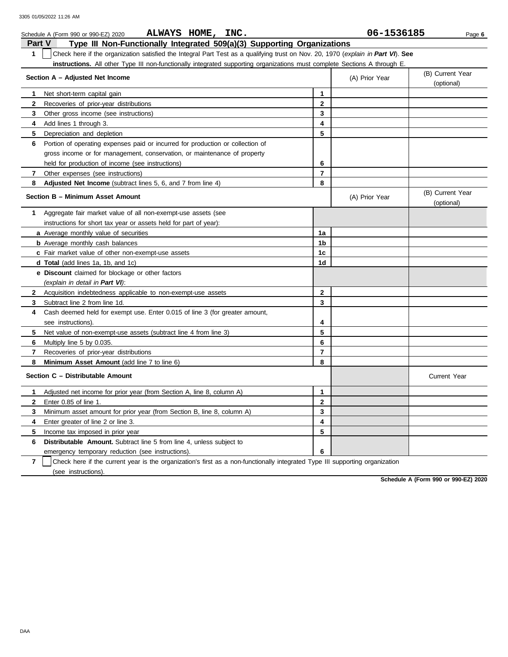|                | ALWAYS HOME, INC.<br>Schedule A (Form 990 or 990-EZ) 2020                                                                        |                | 06-1536185     | Page 6                         |
|----------------|----------------------------------------------------------------------------------------------------------------------------------|----------------|----------------|--------------------------------|
| <b>Part V</b>  | Type III Non-Functionally Integrated 509(a)(3) Supporting Organizations                                                          |                |                |                                |
| $\mathbf{1}$   | Check here if the organization satisfied the Integral Part Test as a qualifying trust on Nov. 20, 1970 (explain in Part VI). See |                |                |                                |
|                | instructions. All other Type III non-functionally integrated supporting organizations must complete Sections A through E.        |                |                |                                |
|                | Section A - Adjusted Net Income                                                                                                  |                | (A) Prior Year | (B) Current Year<br>(optional) |
| 1              | Net short-term capital gain                                                                                                      | $\mathbf{1}$   |                |                                |
| $\mathbf{2}$   | Recoveries of prior-year distributions                                                                                           | $\mathbf{2}$   |                |                                |
| 3              | Other gross income (see instructions)                                                                                            | 3              |                |                                |
| 4              | Add lines 1 through 3.                                                                                                           | 4              |                |                                |
| 5              | Depreciation and depletion                                                                                                       | 5              |                |                                |
| 6              | Portion of operating expenses paid or incurred for production or collection of                                                   |                |                |                                |
|                | gross income or for management, conservation, or maintenance of property                                                         |                |                |                                |
|                | held for production of income (see instructions)                                                                                 | 6              |                |                                |
| 7              | Other expenses (see instructions)                                                                                                | $\overline{7}$ |                |                                |
| 8              | Adjusted Net Income (subtract lines 5, 6, and 7 from line 4)                                                                     | 8              |                |                                |
|                | Section B - Minimum Asset Amount                                                                                                 |                | (A) Prior Year | (B) Current Year<br>(optional) |
| 1              | Aggregate fair market value of all non-exempt-use assets (see                                                                    |                |                |                                |
|                | instructions for short tax year or assets held for part of year):                                                                |                |                |                                |
|                | a Average monthly value of securities                                                                                            | 1a             |                |                                |
|                | <b>b</b> Average monthly cash balances                                                                                           | 1b             |                |                                |
|                | c Fair market value of other non-exempt-use assets                                                                               | 1c             |                |                                |
|                | d Total (add lines 1a, 1b, and 1c)                                                                                               | 1d             |                |                                |
|                | <b>e</b> Discount claimed for blockage or other factors                                                                          |                |                |                                |
|                | (explain in detail in Part VI):                                                                                                  |                |                |                                |
|                | 2 Acquisition indebtedness applicable to non-exempt-use assets                                                                   | $\mathbf{2}$   |                |                                |
| 3              | Subtract line 2 from line 1d.                                                                                                    | 3              |                |                                |
| 4              | Cash deemed held for exempt use. Enter 0.015 of line 3 (for greater amount,                                                      |                |                |                                |
|                | see instructions).                                                                                                               | 4              |                |                                |
| 5              | Net value of non-exempt-use assets (subtract line 4 from line 3)                                                                 | 5              |                |                                |
| 6              | Multiply line 5 by 0.035.                                                                                                        | 6              |                |                                |
| $\overline{7}$ | Recoveries of prior-year distributions                                                                                           | $\overline{7}$ |                |                                |
| 8              | Minimum Asset Amount (add line 7 to line 6)                                                                                      | 8              |                |                                |
|                | Section C - Distributable Amount                                                                                                 |                |                | <b>Current Year</b>            |
| 1              | Adjusted net income for prior year (from Section A, line 8, column A)                                                            | $\mathbf{1}$   |                |                                |
| $\mathbf{2}$   | Enter 0.85 of line 1.                                                                                                            | $\mathbf{2}$   |                |                                |
| 3              | Minimum asset amount for prior year (from Section B, line 8, column A)                                                           | 3              |                |                                |
| 4              | Enter greater of line 2 or line 3.                                                                                               | 4              |                |                                |
| 5              | Income tax imposed in prior year                                                                                                 | 5              |                |                                |
| 6              | <b>Distributable Amount.</b> Subtract line 5 from line 4, unless subject to                                                      |                |                |                                |
|                | emergency temporary reduction (see instructions).                                                                                | 6              |                |                                |
|                |                                                                                                                                  |                |                |                                |

**7** | Check here if the current year is the organization's first as a non-functionally integrated Type III supporting organization (see instructions).

**Schedule A (Form 990 or 990-EZ) 2020**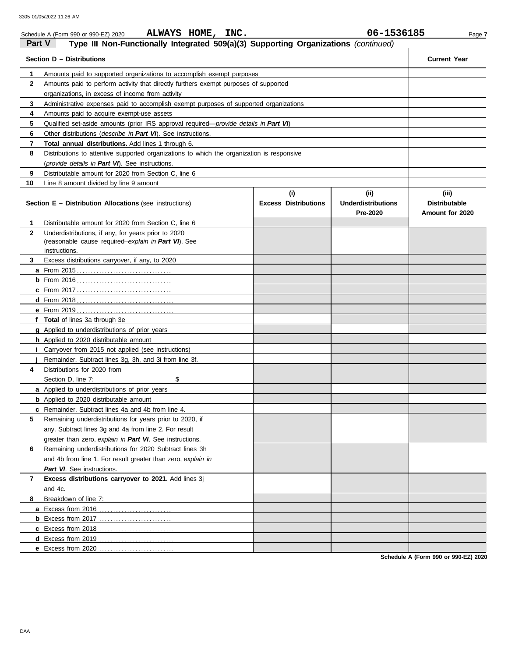|               | ALWAYS HOME, INC.<br>Schedule A (Form 990 or 990-EZ) 2020                                     |                             | 06-1536185                | Page 7               |
|---------------|-----------------------------------------------------------------------------------------------|-----------------------------|---------------------------|----------------------|
| <b>Part V</b> | Type III Non-Functionally Integrated 509(a)(3) Supporting Organizations (continued)           |                             |                           |                      |
|               | Section D - Distributions                                                                     |                             |                           | <b>Current Year</b>  |
| 1             | Amounts paid to supported organizations to accomplish exempt purposes                         |                             |                           |                      |
| $\mathbf{2}$  | Amounts paid to perform activity that directly furthers exempt purposes of supported          |                             |                           |                      |
|               | organizations, in excess of income from activity                                              |                             |                           |                      |
| 3             | Administrative expenses paid to accomplish exempt purposes of supported organizations         |                             |                           |                      |
| 4             | Amounts paid to acquire exempt-use assets                                                     |                             |                           |                      |
| 5             | Qualified set-aside amounts (prior IRS approval required— <i>provide details in Part VI</i> ) |                             |                           |                      |
| 6             | Other distributions ( <i>describe in Part VI</i> ). See instructions.                         |                             |                           |                      |
| 7             | Total annual distributions. Add lines 1 through 6.                                            |                             |                           |                      |
| 8             | Distributions to attentive supported organizations to which the organization is responsive    |                             |                           |                      |
|               | (provide details in Part VI). See instructions.                                               |                             |                           |                      |
| 9             | Distributable amount for 2020 from Section C, line 6                                          |                             |                           |                      |
| 10            | Line 8 amount divided by line 9 amount                                                        |                             |                           |                      |
|               |                                                                                               | (i)                         | (iii)                     | (iii)                |
|               | <b>Section E - Distribution Allocations (see instructions)</b>                                | <b>Excess Distributions</b> | <b>Underdistributions</b> | <b>Distributable</b> |
|               |                                                                                               |                             | Pre-2020                  | Amount for 2020      |
| 1             | Distributable amount for 2020 from Section C, line 6                                          |                             |                           |                      |
| $\mathbf{2}$  | Underdistributions, if any, for years prior to 2020                                           |                             |                           |                      |
|               | (reasonable cause required-explain in Part VI). See                                           |                             |                           |                      |
| 3             | instructions.                                                                                 |                             |                           |                      |
|               | Excess distributions carryover, if any, to 2020                                               |                             |                           |                      |
|               |                                                                                               |                             |                           |                      |
|               |                                                                                               |                             |                           |                      |
|               |                                                                                               |                             |                           |                      |
|               |                                                                                               |                             |                           |                      |
|               | f Total of lines 3a through 3e                                                                |                             |                           |                      |
|               | g Applied to underdistributions of prior years                                                |                             |                           |                      |
|               | <b>h</b> Applied to 2020 distributable amount                                                 |                             |                           |                      |
|               | Carryover from 2015 not applied (see instructions)                                            |                             |                           |                      |
|               | Remainder. Subtract lines 3g, 3h, and 3i from line 3f.                                        |                             |                           |                      |
| 4             | Distributions for 2020 from                                                                   |                             |                           |                      |
|               | \$<br>Section D, line 7:                                                                      |                             |                           |                      |
|               | <b>a</b> Applied to underdistributions of prior years                                         |                             |                           |                      |
|               | <b>b</b> Applied to 2020 distributable amount                                                 |                             |                           |                      |
|               | <b>c</b> Remainder. Subtract lines 4a and 4b from line 4.                                     |                             |                           |                      |
| 5             | Remaining underdistributions for years prior to 2020, if                                      |                             |                           |                      |
|               | any. Subtract lines 3g and 4a from line 2. For result                                         |                             |                           |                      |
|               | greater than zero, explain in Part VI. See instructions.                                      |                             |                           |                      |
| 6             | Remaining underdistributions for 2020 Subtract lines 3h                                       |                             |                           |                      |
|               | and 4b from line 1. For result greater than zero, explain in                                  |                             |                           |                      |
|               | Part VI. See instructions.                                                                    |                             |                           |                      |
| 7             | Excess distributions carryover to 2021. Add lines 3j                                          |                             |                           |                      |
|               | and 4c.                                                                                       |                             |                           |                      |
| 8             | Breakdown of line 7:                                                                          |                             |                           |                      |
|               | a Excess from 2016                                                                            |                             |                           |                      |
|               |                                                                                               |                             |                           |                      |
|               | c Excess from 2018                                                                            |                             |                           |                      |
|               | d Excess from 2019                                                                            |                             |                           |                      |
|               | e Excess from 2020                                                                            |                             |                           |                      |
|               |                                                                                               |                             |                           |                      |

**Schedule A (Form 990 or 990-EZ) 2020**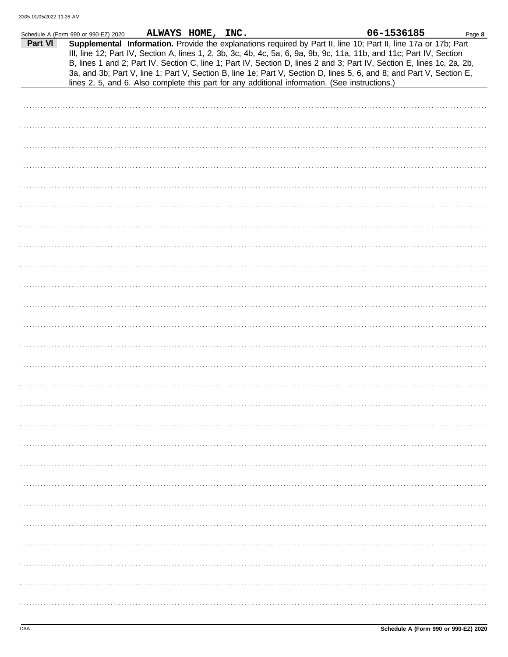|         | Schedule A (Form 990 or 990-EZ) 2020 | ALWAYS HOME, INC. |  |                                                                                                                                                                                                                                                                                                                                                                                                                                                                                                                                                                                             | 06-1536185 | Page 8 |
|---------|--------------------------------------|-------------------|--|---------------------------------------------------------------------------------------------------------------------------------------------------------------------------------------------------------------------------------------------------------------------------------------------------------------------------------------------------------------------------------------------------------------------------------------------------------------------------------------------------------------------------------------------------------------------------------------------|------------|--------|
| Part VI |                                      |                   |  | Supplemental Information. Provide the explanations required by Part II, line 10; Part II, line 17a or 17b; Part<br>III, line 12; Part IV, Section A, lines 1, 2, 3b, 3c, 4b, 4c, 5a, 6, 9a, 9b, 9c, 11a, 11b, and 11c; Part IV, Section<br>B, lines 1 and 2; Part IV, Section C, line 1; Part IV, Section D, lines 2 and 3; Part IV, Section E, lines 1c, 2a, 2b,<br>3a, and 3b; Part V, line 1; Part V, Section B, line 1e; Part V, Section D, lines 5, 6, and 8; and Part V, Section E,<br>lines 2, 5, and 6. Also complete this part for any additional information. (See instructions.) |            |        |
|         |                                      |                   |  |                                                                                                                                                                                                                                                                                                                                                                                                                                                                                                                                                                                             |            |        |
|         |                                      |                   |  |                                                                                                                                                                                                                                                                                                                                                                                                                                                                                                                                                                                             |            |        |
|         |                                      |                   |  |                                                                                                                                                                                                                                                                                                                                                                                                                                                                                                                                                                                             |            |        |
|         |                                      |                   |  |                                                                                                                                                                                                                                                                                                                                                                                                                                                                                                                                                                                             |            |        |
|         |                                      |                   |  |                                                                                                                                                                                                                                                                                                                                                                                                                                                                                                                                                                                             |            |        |
|         |                                      |                   |  |                                                                                                                                                                                                                                                                                                                                                                                                                                                                                                                                                                                             |            |        |
|         |                                      |                   |  |                                                                                                                                                                                                                                                                                                                                                                                                                                                                                                                                                                                             |            |        |
|         |                                      |                   |  |                                                                                                                                                                                                                                                                                                                                                                                                                                                                                                                                                                                             |            |        |
|         |                                      |                   |  |                                                                                                                                                                                                                                                                                                                                                                                                                                                                                                                                                                                             |            |        |
|         |                                      |                   |  |                                                                                                                                                                                                                                                                                                                                                                                                                                                                                                                                                                                             |            |        |
|         |                                      |                   |  |                                                                                                                                                                                                                                                                                                                                                                                                                                                                                                                                                                                             |            |        |
|         |                                      |                   |  |                                                                                                                                                                                                                                                                                                                                                                                                                                                                                                                                                                                             |            |        |
|         |                                      |                   |  |                                                                                                                                                                                                                                                                                                                                                                                                                                                                                                                                                                                             |            |        |
|         |                                      |                   |  |                                                                                                                                                                                                                                                                                                                                                                                                                                                                                                                                                                                             |            |        |
|         |                                      |                   |  |                                                                                                                                                                                                                                                                                                                                                                                                                                                                                                                                                                                             |            |        |
|         |                                      |                   |  |                                                                                                                                                                                                                                                                                                                                                                                                                                                                                                                                                                                             |            |        |
|         |                                      |                   |  |                                                                                                                                                                                                                                                                                                                                                                                                                                                                                                                                                                                             |            |        |
|         |                                      |                   |  |                                                                                                                                                                                                                                                                                                                                                                                                                                                                                                                                                                                             |            |        |
|         |                                      |                   |  |                                                                                                                                                                                                                                                                                                                                                                                                                                                                                                                                                                                             |            |        |
|         |                                      |                   |  |                                                                                                                                                                                                                                                                                                                                                                                                                                                                                                                                                                                             |            |        |
|         |                                      |                   |  |                                                                                                                                                                                                                                                                                                                                                                                                                                                                                                                                                                                             |            |        |
|         |                                      |                   |  |                                                                                                                                                                                                                                                                                                                                                                                                                                                                                                                                                                                             |            |        |
|         |                                      |                   |  |                                                                                                                                                                                                                                                                                                                                                                                                                                                                                                                                                                                             |            |        |
|         |                                      |                   |  |                                                                                                                                                                                                                                                                                                                                                                                                                                                                                                                                                                                             |            |        |
|         |                                      |                   |  |                                                                                                                                                                                                                                                                                                                                                                                                                                                                                                                                                                                             |            |        |
|         |                                      |                   |  |                                                                                                                                                                                                                                                                                                                                                                                                                                                                                                                                                                                             |            |        |
|         |                                      |                   |  |                                                                                                                                                                                                                                                                                                                                                                                                                                                                                                                                                                                             |            |        |
|         |                                      |                   |  |                                                                                                                                                                                                                                                                                                                                                                                                                                                                                                                                                                                             |            |        |
|         |                                      |                   |  |                                                                                                                                                                                                                                                                                                                                                                                                                                                                                                                                                                                             |            |        |
|         |                                      |                   |  |                                                                                                                                                                                                                                                                                                                                                                                                                                                                                                                                                                                             |            |        |
|         |                                      |                   |  |                                                                                                                                                                                                                                                                                                                                                                                                                                                                                                                                                                                             |            |        |
|         |                                      |                   |  |                                                                                                                                                                                                                                                                                                                                                                                                                                                                                                                                                                                             |            |        |
|         |                                      |                   |  |                                                                                                                                                                                                                                                                                                                                                                                                                                                                                                                                                                                             |            |        |
|         |                                      |                   |  |                                                                                                                                                                                                                                                                                                                                                                                                                                                                                                                                                                                             |            |        |
|         |                                      |                   |  |                                                                                                                                                                                                                                                                                                                                                                                                                                                                                                                                                                                             |            |        |
|         |                                      |                   |  |                                                                                                                                                                                                                                                                                                                                                                                                                                                                                                                                                                                             |            |        |
|         |                                      |                   |  |                                                                                                                                                                                                                                                                                                                                                                                                                                                                                                                                                                                             |            |        |
|         |                                      |                   |  |                                                                                                                                                                                                                                                                                                                                                                                                                                                                                                                                                                                             |            |        |
|         |                                      |                   |  |                                                                                                                                                                                                                                                                                                                                                                                                                                                                                                                                                                                             |            |        |
|         |                                      |                   |  |                                                                                                                                                                                                                                                                                                                                                                                                                                                                                                                                                                                             |            |        |
|         |                                      |                   |  |                                                                                                                                                                                                                                                                                                                                                                                                                                                                                                                                                                                             |            |        |
|         |                                      |                   |  |                                                                                                                                                                                                                                                                                                                                                                                                                                                                                                                                                                                             |            |        |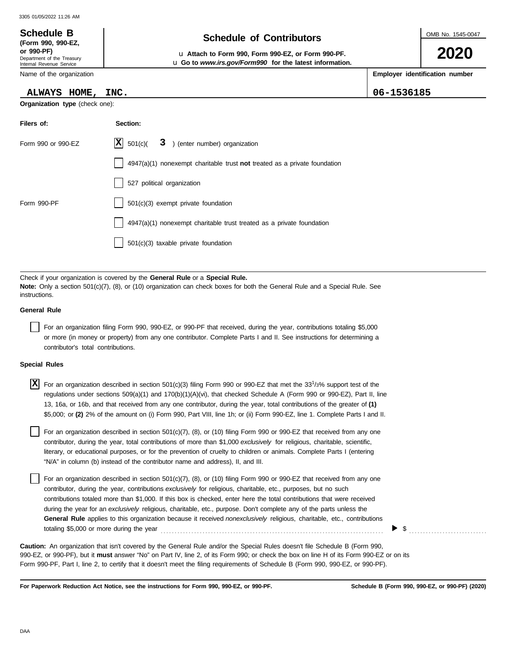#### OMB No. 1545-0047 Department of the Treasury Internal Revenue Service Name of the organization **2020 Schedule of Contributors Schedule B (Form 990, 990-EZ, or 990-PF)** u **Attach to Form 990, Form 990-EZ, or Form 990-PF. Employer identification number Organization type** (check one): **Filers of: Section:** u **Go to** *www.irs.gov/Form990* **for the latest information. ALWAYS HOME, INC. 06-1536185**

| Form 990 or 990-EZ | $ \mathbf{X} $ 501(c)(<br>3 ) (enter number) organization                   |
|--------------------|-----------------------------------------------------------------------------|
|                    | $4947(a)(1)$ nonexempt charitable trust not treated as a private foundation |
|                    | 527 political organization                                                  |
| Form 990-PF        | 501(c)(3) exempt private foundation                                         |
|                    | 4947(a)(1) nonexempt charitable trust treated as a private foundation       |
|                    | 501(c)(3) taxable private foundation                                        |
|                    |                                                                             |

Check if your organization is covered by the **General Rule** or a **Special Rule. Note:** Only a section 501(c)(7), (8), or (10) organization can check boxes for both the General Rule and a Special Rule. See instructions.

### **General Rule**

For an organization filing Form 990, 990-EZ, or 990-PF that received, during the year, contributions totaling \$5,000 or more (in money or property) from any one contributor. Complete Parts I and II. See instructions for determining a contributor's total contributions.

#### **Special Rules**

| X For an organization described in section 501(c)(3) filing Form 990 or 990-EZ that met the 33 <sup>1</sup> /3% support test of the |
|-------------------------------------------------------------------------------------------------------------------------------------|
| regulations under sections 509(a)(1) and 170(b)(1)(A)(vi), that checked Schedule A (Form 990 or 990-EZ), Part II, line              |
| 13, 16a, or 16b, and that received from any one contributor, during the year, total contributions of the greater of (1)             |
| \$5,000; or (2) 2% of the amount on (i) Form 990, Part VIII, line 1h; or (ii) Form 990-EZ, line 1. Complete Parts I and II.         |

literary, or educational purposes, or for the prevention of cruelty to children or animals. Complete Parts I (entering For an organization described in section 501(c)(7), (8), or (10) filing Form 990 or 990-EZ that received from any one contributor, during the year, total contributions of more than \$1,000 *exclusively* for religious, charitable, scientific, "N/A" in column (b) instead of the contributor name and address), II, and III.

For an organization described in section 501(c)(7), (8), or (10) filing Form 990 or 990-EZ that received from any one contributor, during the year, contributions *exclusively* for religious, charitable, etc., purposes, but no such contributions totaled more than \$1,000. If this box is checked, enter here the total contributions that were received during the year for an *exclusively* religious, charitable, etc., purpose. Don't complete any of the parts unless the **General Rule** applies to this organization because it received *nonexclusively* religious, charitable, etc., contributions totaling \$5,000 or more during the year . . . . . . . . . . . . . . . . . . . . . . . . . . . . . . . . . . . . . . . . . . . . . . . . . . . . . . . . . . . . . . . . . . . . . . . . . . . . . . . .

990-EZ, or 990-PF), but it **must** answer "No" on Part IV, line 2, of its Form 990; or check the box on line H of its Form 990-EZ or on its Form 990-PF, Part I, line 2, to certify that it doesn't meet the filing requirements of Schedule B (Form 990, 990-EZ, or 990-PF). **Caution:** An organization that isn't covered by the General Rule and/or the Special Rules doesn't file Schedule B (Form 990,

**For Paperwork Reduction Act Notice, see the instructions for Form 990, 990-EZ, or 990-PF.**

▶

\$ . . . . . . . . . . . . . . . . . . . . . . . . . . . .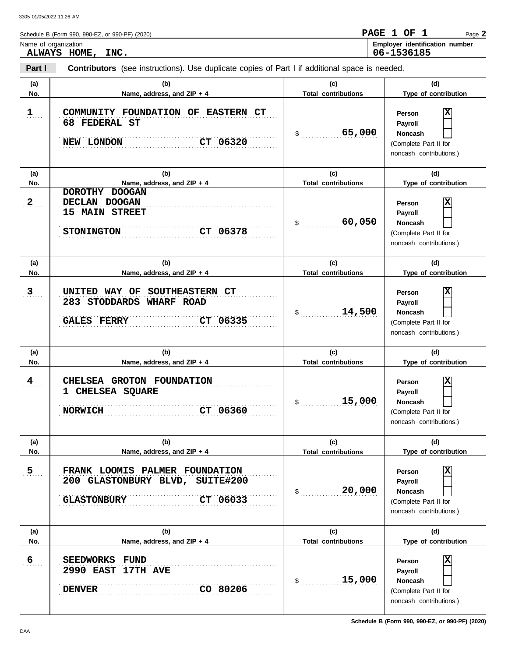|                  | Name of organization                                                                                                |                            | Employer identification number<br>06-1536185                                                        |
|------------------|---------------------------------------------------------------------------------------------------------------------|----------------------------|-----------------------------------------------------------------------------------------------------|
| Part I           | ALWAYS HOME, INC.<br>Contributors (see instructions). Use duplicate copies of Part I if additional space is needed. |                            |                                                                                                     |
| (a)              | (b)                                                                                                                 | (c)                        | (d)                                                                                                 |
| No.              | Name, address, and ZIP + 4                                                                                          | <b>Total contributions</b> | Type of contribution                                                                                |
| $1$              | COMMUNITY FOUNDATION OF EASTERN CT<br>68 FEDERAL ST<br>CT 06320<br>NEW LONDON                                       | 65,000<br>$\mathsf{\$}$    | Person<br>Payroll<br><b>Noncash</b><br>(Complete Part II for<br>noncash contributions.)             |
| (a)              | (b)                                                                                                                 | (c)                        | (d)                                                                                                 |
| No.              | Name, address, and ZIP + 4                                                                                          | <b>Total contributions</b> | Type of contribution                                                                                |
| $2_{\ldots}$     | DOROTHY DOOGAN<br>DECLAN DOOGAN<br><b>15 MAIN STREET</b><br>CT 06378<br><b>STONINGTON</b>                           | 60,050<br>\$               | Person<br>Payroll<br><b>Noncash</b><br>(Complete Part II for<br>noncash contributions.)             |
| (a)              | (b)                                                                                                                 | (c)                        | (d)                                                                                                 |
| No.              | Name, address, and ZIP + 4                                                                                          | <b>Total contributions</b> | Type of contribution                                                                                |
| 3                | UNITED WAY OF SOUTHEASTERN CT<br>283 STODDARDS WHARF ROAD<br><b>GALES FERRY</b><br>CT 06335                         | 14,500<br>$$^{\circ}$      | ΙX<br>Person<br>Payroll<br>Noncash<br>(Complete Part II for<br>noncash contributions.)              |
| (a)              | (b)                                                                                                                 | (c)                        | (d)                                                                                                 |
| No.              | Name, address, and ZIP + 4                                                                                          | <b>Total contributions</b> | Type of contribution                                                                                |
| $\frac{4}{1}$    | CHELSEA GROTON FOUNDATION<br>1 CHELSEA SQUARE<br>CT 06360<br><b>NORWICH</b>                                         | 15,000<br>\$               | x<br><b>Person</b><br><b>Payroll</b><br>Noncash<br>(Complete Part II for<br>noncash contributions.) |
| (a)              | (b)                                                                                                                 | (c)                        | (d)                                                                                                 |
| No.              | Name, address, and ZIP + 4                                                                                          | <b>Total contributions</b> | Type of contribution                                                                                |
| 5 <sub>1</sub>   | FRANK LOOMIS PALMER FOUNDATION<br>200 GLASTONBURY BLVD, SUITE#200<br>CT 06033<br><b>GLASTONBURY</b>                 | 20,000<br>\$               | х<br>Person<br>Payroll<br>Noncash<br>(Complete Part II for<br>noncash contributions.)               |
| (a)              | (b)                                                                                                                 | (c)                        | (d)                                                                                                 |
| No.              | Name, address, and ZIP + 4                                                                                          | <b>Total contributions</b> | Type of contribution                                                                                |
| $6 \overline{6}$ | <b>SEEDWORKS</b><br>FUND<br>2990 EAST 17TH AVE                                                                      |                            | x<br>Person<br>Payroll                                                                              |

. . . . . . . . . . . . . . . . . . . . . . . . . . . . . . . . . . . . . . . . . . . . . . . . . . . . . . . . . . . . . . . . . . . . . . . . . . . . . . . . . . . . . . . . . . . . . . . . . . . . . . . . . . . . . . . . . . . . . . . . . . . . . . . . . . . . . . . . . . . . . . . . . . . . . . . . . . . . **DENVER CO 80206**

(Complete Part II for noncash contributions.)

Г

**Noncash**

\$ . . . . . . . . . . . . . . . . . . . . . . . . . . . . **15,000**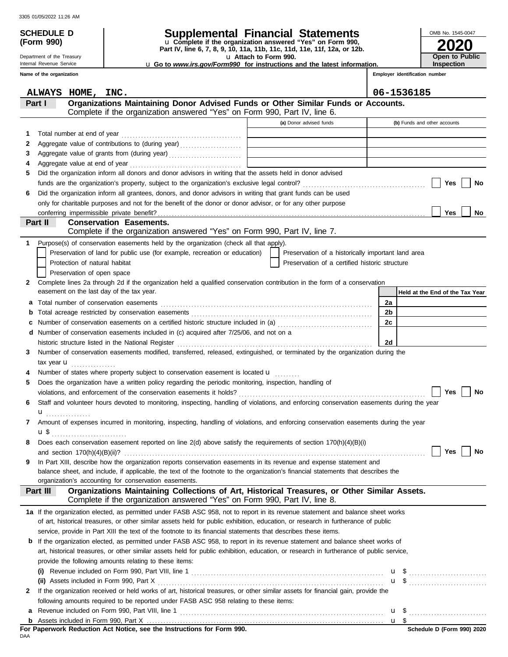Department of the Treasury Internal Revenue Service

**(Form 990)**

# **SCHEDULE D Supplemental Financial Statements**

**Part IV, line 6, 7, 8, 9, 10, 11a, 11b, 11c, 11d, 11e, 11f, 12a, or 12b.** u **Complete if the organization answered "Yes" on Form 990,**

u **Attach to Form 990.**  u **Go to** *www.irs.gov/Form990* **for instructions and the latest information.**

**Employer identification num Inspection**

**2020**

**Open to Public**

OMB No. 1545-0047

|              | Name of the organization |                                                                                                                                                                            |                                                    |    | Employer identification number  |
|--------------|--------------------------|----------------------------------------------------------------------------------------------------------------------------------------------------------------------------|----------------------------------------------------|----|---------------------------------|
|              |                          | ALWAYS HOME, INC.                                                                                                                                                          |                                                    |    | 06-1536185                      |
|              | Part I                   | Organizations Maintaining Donor Advised Funds or Other Similar Funds or Accounts.<br>Complete if the organization answered "Yes" on Form 990, Part IV, line 6.             |                                                    |    |                                 |
|              |                          |                                                                                                                                                                            | (a) Donor advised funds                            |    | (b) Funds and other accounts    |
|              |                          |                                                                                                                                                                            |                                                    |    |                                 |
| 1            |                          |                                                                                                                                                                            |                                                    |    |                                 |
| 2<br>З       |                          |                                                                                                                                                                            |                                                    |    |                                 |
| 4            |                          |                                                                                                                                                                            |                                                    |    |                                 |
| 5.           |                          | Did the organization inform all donors and donor advisors in writing that the assets held in donor advised                                                                 |                                                    |    |                                 |
|              |                          |                                                                                                                                                                            |                                                    |    | Yes<br>No                       |
| 6            |                          | Did the organization inform all grantees, donors, and donor advisors in writing that grant funds can be used                                                               |                                                    |    |                                 |
|              |                          | only for charitable purposes and not for the benefit of the donor or donor advisor, or for any other purpose                                                               |                                                    |    |                                 |
|              |                          |                                                                                                                                                                            |                                                    |    | Yes<br>No                       |
|              | Part II                  | <b>Conservation Easements.</b>                                                                                                                                             |                                                    |    |                                 |
|              |                          | Complete if the organization answered "Yes" on Form 990, Part IV, line 7.                                                                                                  |                                                    |    |                                 |
| 1            |                          | Purpose(s) of conservation easements held by the organization (check all that apply).                                                                                      |                                                    |    |                                 |
|              |                          | Preservation of land for public use (for example, recreation or education)                                                                                                 | Preservation of a historically important land area |    |                                 |
|              |                          | Protection of natural habitat                                                                                                                                              | Preservation of a certified historic structure     |    |                                 |
|              |                          | Preservation of open space                                                                                                                                                 |                                                    |    |                                 |
| $\mathbf{2}$ |                          | Complete lines 2a through 2d if the organization held a qualified conservation contribution in the form of a conservation                                                  |                                                    |    |                                 |
|              |                          | easement on the last day of the tax year.                                                                                                                                  |                                                    |    | Held at the End of the Tax Year |
| а            |                          | Total number of conservation easements                                                                                                                                     |                                                    | 2a |                                 |
| b            |                          |                                                                                                                                                                            |                                                    | 2b |                                 |
| c            |                          | Number of conservation easements on a certified historic structure included in (a) [11] Number of conservation easements on a certified historic structure included in (a) |                                                    | 2c |                                 |
| d            |                          | Number of conservation easements included in (c) acquired after 7/25/06, and not on a                                                                                      |                                                    |    |                                 |
|              |                          | historic structure listed in the National Register                                                                                                                         |                                                    | 2d |                                 |
| 3.           |                          | Number of conservation easements modified, transferred, released, extinguished, or terminated by the organization during the                                               |                                                    |    |                                 |
|              |                          | tax year $\mathbf u$                                                                                                                                                       |                                                    |    |                                 |
|              |                          | Number of states where property subject to conservation easement is located <b>u</b>                                                                                       |                                                    |    |                                 |
| 5            |                          | Does the organization have a written policy regarding the periodic monitoring, inspection, handling of                                                                     |                                                    |    |                                 |
|              |                          |                                                                                                                                                                            |                                                    |    | Yes<br>No                       |
| 6            |                          | Staff and volunteer hours devoted to monitoring, inspecting, handling of violations, and enforcing conservation easements during the year                                  |                                                    |    |                                 |
|              |                          |                                                                                                                                                                            |                                                    |    |                                 |
|              |                          | Amount of expenses incurred in monitoring, inspecting, handling of violations, and enforcing conservation easements during the year                                        |                                                    |    |                                 |
|              |                          |                                                                                                                                                                            |                                                    |    |                                 |
|              |                          | Does each conservation easement reported on line 2(d) above satisfy the requirements of section 170(h)(4)(B)(i)                                                            |                                                    |    |                                 |
|              |                          | and section $170(h)(4)(B)(ii)?$                                                                                                                                            |                                                    |    | Yes<br>No                       |
| 9            |                          | In Part XIII, describe how the organization reports conservation easements in its revenue and expense statement and                                                        |                                                    |    |                                 |
|              |                          | balance sheet, and include, if applicable, the text of the footnote to the organization's financial statements that describes the                                          |                                                    |    |                                 |
|              |                          | organization's accounting for conservation easements.                                                                                                                      |                                                    |    |                                 |
|              | Part III                 | Organizations Maintaining Collections of Art, Historical Treasures, or Other Similar Assets.<br>Complete if the organization answered "Yes" on Form 990, Part IV, line 8.  |                                                    |    |                                 |
|              |                          |                                                                                                                                                                            |                                                    |    |                                 |
|              |                          | 1a If the organization elected, as permitted under FASB ASC 958, not to report in its revenue statement and balance sheet works                                            |                                                    |    |                                 |
|              |                          | of art, historical treasures, or other similar assets held for public exhibition, education, or research in furtherance of public                                          |                                                    |    |                                 |
|              |                          | service, provide in Part XIII the text of the footnote to its financial statements that describes these items.                                                             |                                                    |    |                                 |
| b            |                          | If the organization elected, as permitted under FASB ASC 958, to report in its revenue statement and balance sheet works of                                                |                                                    |    |                                 |
|              |                          | art, historical treasures, or other similar assets held for public exhibition, education, or research in furtherance of public service,                                    |                                                    |    |                                 |
|              |                          | provide the following amounts relating to these items:                                                                                                                     |                                                    |    |                                 |
|              |                          |                                                                                                                                                                            |                                                    |    |                                 |
|              |                          | (ii) Assets included in Form 990, Part X                                                                                                                                   |                                                    |    |                                 |
| 2            |                          | If the organization received or held works of art, historical treasures, or other similar assets for financial gain, provide the                                           |                                                    |    |                                 |
|              |                          | following amounts required to be reported under FASB ASC 958 relating to these items:                                                                                      |                                                    |    |                                 |
| a            |                          |                                                                                                                                                                            |                                                    |    |                                 |
|              |                          |                                                                                                                                                                            |                                                    |    |                                 |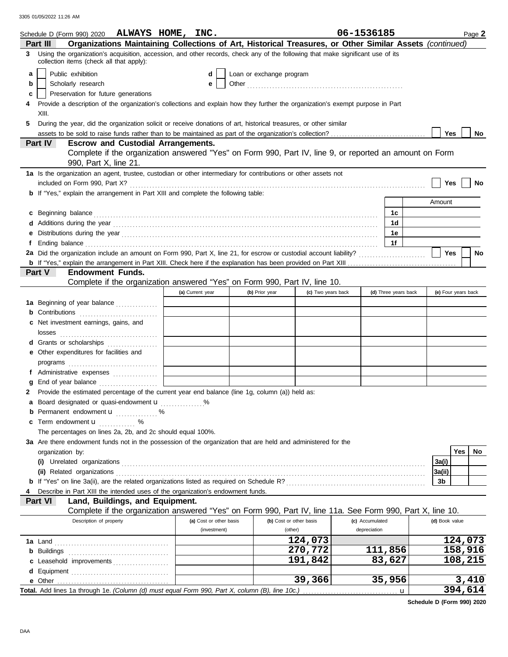|   | Schedule D (Form 990) 2020 ALWAYS HOME, INC.                                                                                                                                                                                         |                         |                          |                    | 06-1536185      |                      | Page 2              |
|---|--------------------------------------------------------------------------------------------------------------------------------------------------------------------------------------------------------------------------------------|-------------------------|--------------------------|--------------------|-----------------|----------------------|---------------------|
|   | Organizations Maintaining Collections of Art, Historical Treasures, or Other Similar Assets (continued)<br>Part III                                                                                                                  |                         |                          |                    |                 |                      |                     |
| 3 | Using the organization's acquisition, accession, and other records, check any of the following that make significant use of its<br>collection items (check all that apply):                                                          |                         |                          |                    |                 |                      |                     |
| a | Public exhibition                                                                                                                                                                                                                    | d                       | Loan or exchange program |                    |                 |                      |                     |
| b | Scholarly research                                                                                                                                                                                                                   | е                       |                          |                    |                 |                      |                     |
| c | Preservation for future generations                                                                                                                                                                                                  |                         |                          |                    |                 |                      |                     |
| 4 | Provide a description of the organization's collections and explain how they further the organization's exempt purpose in Part                                                                                                       |                         |                          |                    |                 |                      |                     |
| 5 | XIII.<br>During the year, did the organization solicit or receive donations of art, historical treasures, or other similar                                                                                                           |                         |                          |                    |                 |                      |                     |
|   |                                                                                                                                                                                                                                      |                         |                          |                    |                 |                      | Yes<br>No           |
|   | Part IV<br><b>Escrow and Custodial Arrangements.</b>                                                                                                                                                                                 |                         |                          |                    |                 |                      |                     |
|   | Complete if the organization answered "Yes" on Form 990, Part IV, line 9, or reported an amount on Form                                                                                                                              |                         |                          |                    |                 |                      |                     |
|   | 990, Part X, line 21.                                                                                                                                                                                                                |                         |                          |                    |                 |                      |                     |
|   | 1a Is the organization an agent, trustee, custodian or other intermediary for contributions or other assets not                                                                                                                      |                         |                          |                    |                 |                      |                     |
|   |                                                                                                                                                                                                                                      |                         |                          |                    |                 |                      | Yes<br>No           |
|   | <b>b</b> If "Yes," explain the arrangement in Part XIII and complete the following table:                                                                                                                                            |                         |                          |                    |                 |                      |                     |
|   |                                                                                                                                                                                                                                      |                         |                          |                    |                 |                      | Amount              |
|   | c Beginning balance <b>contract to the contract of the set of the contract of the contract of the contract of the contract of the contract of the contract of the contract of the contract of the contract of the contract of th</b> |                         |                          |                    |                 | 1c                   |                     |
|   |                                                                                                                                                                                                                                      |                         |                          |                    |                 | 1d                   |                     |
|   |                                                                                                                                                                                                                                      |                         |                          |                    |                 | 1e                   |                     |
|   | Ending balance <b>constructs</b> and constructs and constructs and constructs and constructs and constructs and constructs and constructs and constructs and constructs and constructs and constructs and constructs and constructs  |                         |                          |                    |                 | 1f                   |                     |
|   |                                                                                                                                                                                                                                      |                         |                          |                    |                 |                      | Yes<br>No           |
|   | <b>b</b> If "Yes," explain the arrangement in Part XIII. Check here if the explanation has been provided on Part XIII.                                                                                                               |                         |                          |                    |                 |                      |                     |
|   | Part V<br><b>Endowment Funds.</b>                                                                                                                                                                                                    |                         |                          |                    |                 |                      |                     |
|   | Complete if the organization answered "Yes" on Form 990, Part IV, line 10.                                                                                                                                                           |                         |                          |                    |                 |                      |                     |
|   |                                                                                                                                                                                                                                      | (a) Current year        | (b) Prior year           | (c) Two years back |                 | (d) Three years back | (e) Four years back |
|   | 1a Beginning of year balance                                                                                                                                                                                                         |                         |                          |                    |                 |                      |                     |
|   | <b>b</b> Contributions <b>contributions</b>                                                                                                                                                                                          |                         |                          |                    |                 |                      |                     |
|   | c Net investment earnings, gains, and                                                                                                                                                                                                |                         |                          |                    |                 |                      |                     |
|   | losses                                                                                                                                                                                                                               |                         |                          |                    |                 |                      |                     |
|   | d Grants or scholarships                                                                                                                                                                                                             |                         |                          |                    |                 |                      |                     |
|   | e Other expenditures for facilities and                                                                                                                                                                                              |                         |                          |                    |                 |                      |                     |
|   |                                                                                                                                                                                                                                      |                         |                          |                    |                 |                      |                     |
|   | f Administrative expenses                                                                                                                                                                                                            |                         |                          |                    |                 |                      |                     |
|   |                                                                                                                                                                                                                                      |                         |                          |                    |                 |                      |                     |
| 2 | Provide the estimated percentage of the current year end balance (line 1g, column (a)) held as:                                                                                                                                      |                         |                          |                    |                 |                      |                     |
|   | a Board designated or quasi-endowment u                                                                                                                                                                                              |                         |                          |                    |                 |                      |                     |
|   | <b>b</b> Permanent endowment <b>u</b> %                                                                                                                                                                                              |                         |                          |                    |                 |                      |                     |
|   | c Term endowment <b>u</b><br>. %                                                                                                                                                                                                     |                         |                          |                    |                 |                      |                     |
|   | The percentages on lines 2a, 2b, and 2c should equal 100%.                                                                                                                                                                           |                         |                          |                    |                 |                      |                     |
|   | 3a Are there endowment funds not in the possession of the organization that are held and administered for the                                                                                                                        |                         |                          |                    |                 |                      | Yes                 |
|   | organization by:                                                                                                                                                                                                                     |                         |                          |                    |                 |                      | No                  |
|   |                                                                                                                                                                                                                                      |                         |                          |                    |                 |                      | 3a(i)<br>3a(ii)     |
|   |                                                                                                                                                                                                                                      |                         |                          |                    |                 |                      | 3b                  |
|   | Describe in Part XIII the intended uses of the organization's endowment funds.                                                                                                                                                       |                         |                          |                    |                 |                      |                     |
|   | Land, Buildings, and Equipment.<br>Part VI                                                                                                                                                                                           |                         |                          |                    |                 |                      |                     |
|   | Complete if the organization answered "Yes" on Form 990, Part IV, line 11a. See Form 990, Part X, line 10.                                                                                                                           |                         |                          |                    |                 |                      |                     |
|   | Description of property                                                                                                                                                                                                              | (a) Cost or other basis | (b) Cost or other basis  |                    | (c) Accumulated |                      | (d) Book value      |
|   |                                                                                                                                                                                                                                      | (investment)            | (other)                  |                    | depreciation    |                      |                     |
|   |                                                                                                                                                                                                                                      |                         |                          | 124,073            |                 |                      | 124,073             |
|   | <b>b</b> Buildings                                                                                                                                                                                                                   |                         |                          | 270,772            |                 | 111,856              | 158,916             |
|   | c Leasehold improvements                                                                                                                                                                                                             |                         |                          | 191,842            |                 | 83,627               | 108,215             |
|   |                                                                                                                                                                                                                                      |                         |                          |                    |                 |                      |                     |
|   | e Other                                                                                                                                                                                                                              |                         |                          | 39,366             |                 | 35,956               | 3,410               |
|   | Total. Add lines 1a through 1e. (Column (d) must equal Form 990, Part X, column (B), line 10c.)                                                                                                                                      |                         |                          |                    |                 | u                    | 394,614             |

**Schedule D (Form 990) 2020**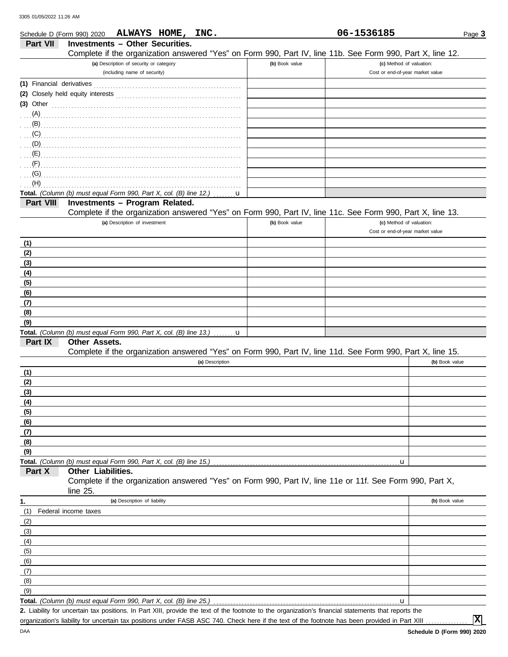|                           | ALWAYS HOME, INC.<br>Schedule D (Form 990) 2020                                                                                                      |                | 06-1536185                       | Page 3         |
|---------------------------|------------------------------------------------------------------------------------------------------------------------------------------------------|----------------|----------------------------------|----------------|
| Part VII                  | <b>Investments - Other Securities.</b>                                                                                                               |                |                                  |                |
|                           | Complete if the organization answered "Yes" on Form 990, Part IV, line 11b. See Form 990, Part X, line 12.                                           |                |                                  |                |
|                           | (a) Description of security or category                                                                                                              | (b) Book value | (c) Method of valuation:         |                |
|                           | (including name of security)                                                                                                                         |                | Cost or end-of-year market value |                |
| (1) Financial derivatives |                                                                                                                                                      |                |                                  |                |
|                           |                                                                                                                                                      |                |                                  |                |
| $(3)$ Other               |                                                                                                                                                      |                |                                  |                |
|                           |                                                                                                                                                      |                |                                  |                |
|                           |                                                                                                                                                      |                |                                  |                |
|                           |                                                                                                                                                      |                |                                  |                |
|                           |                                                                                                                                                      |                |                                  |                |
|                           | $\mathbf{E}$ (E) and the contract of the contract of the contract of the contract of the contract of the contract of $\mathbf{E}$                    |                |                                  |                |
|                           |                                                                                                                                                      |                |                                  |                |
| (G)                       |                                                                                                                                                      |                |                                  |                |
| (H)                       |                                                                                                                                                      |                |                                  |                |
|                           | Total. (Column (b) must equal Form 990, Part X, col. (B) line 12.)                                                                                   |                |                                  |                |
| Part VIII                 | Investments - Program Related.                                                                                                                       |                |                                  |                |
|                           | Complete if the organization answered "Yes" on Form 990, Part IV, line 11c. See Form 990, Part X, line 13.                                           |                |                                  |                |
|                           | (a) Description of investment                                                                                                                        | (b) Book value | (c) Method of valuation:         |                |
|                           |                                                                                                                                                      |                | Cost or end-of-year market value |                |
| (1)                       |                                                                                                                                                      |                |                                  |                |
| (2)                       |                                                                                                                                                      |                |                                  |                |
| (3)                       |                                                                                                                                                      |                |                                  |                |
| (4)                       |                                                                                                                                                      |                |                                  |                |
| (5)                       |                                                                                                                                                      |                |                                  |                |
| (6)                       |                                                                                                                                                      |                |                                  |                |
| (7)                       |                                                                                                                                                      |                |                                  |                |
| (8)                       |                                                                                                                                                      |                |                                  |                |
| (9)                       |                                                                                                                                                      |                |                                  |                |
|                           | Total. (Column (b) must equal Form 990, Part X, col. (B) line 13.) $\dots \dots u$                                                                   |                |                                  |                |
| Part IX                   | <b>Other Assets.</b>                                                                                                                                 |                |                                  |                |
|                           | Complete if the organization answered "Yes" on Form 990, Part IV, line 11d. See Form 990, Part X, line 15.                                           |                |                                  |                |
|                           | (a) Description                                                                                                                                      |                |                                  | (b) Book value |
| (1)                       |                                                                                                                                                      |                |                                  |                |
| (2)                       |                                                                                                                                                      |                |                                  |                |
| (3)                       |                                                                                                                                                      |                |                                  |                |
| (4)                       |                                                                                                                                                      |                |                                  |                |
| (5)                       |                                                                                                                                                      |                |                                  |                |
| (6)                       |                                                                                                                                                      |                |                                  |                |
| (7)                       |                                                                                                                                                      |                |                                  |                |
| (8)                       |                                                                                                                                                      |                |                                  |                |
| (9)                       |                                                                                                                                                      |                |                                  |                |
| Part X                    | Total. (Column (b) must equal Form 990, Part X, col. (B) line 15.)<br>Other Liabilities.                                                             |                | u                                |                |
|                           | Complete if the organization answered "Yes" on Form 990, Part IV, line 11e or 11f. See Form 990, Part X,<br>line $25$ .                              |                |                                  |                |
| 1.                        | (a) Description of liability                                                                                                                         |                |                                  | (b) Book value |
| (1)                       | Federal income taxes                                                                                                                                 |                |                                  |                |
| (2)                       |                                                                                                                                                      |                |                                  |                |
| (3)                       |                                                                                                                                                      |                |                                  |                |
| (4)                       |                                                                                                                                                      |                |                                  |                |
| (5)                       |                                                                                                                                                      |                |                                  |                |
| (6)                       |                                                                                                                                                      |                |                                  |                |
| (7)                       |                                                                                                                                                      |                |                                  |                |
| (8)                       |                                                                                                                                                      |                |                                  |                |
| (9)                       |                                                                                                                                                      |                |                                  |                |
|                           | Total. (Column (b) must equal Form 990, Part X, col. (B) line 25.)                                                                                   |                | u                                |                |
|                           | 2. Liability for uncertain tax positions. In Part XIII, provide the text of the footnote to the organization's financial statements that reports the |                |                                  |                |

Liability for uncertain tax positions. In Part XIII, provide the text of the footnote to the organization's financial statements that reports the **2.** organization's liability for uncertain tax positions under FASB ASC 740. Check here if the text of the footnote has been provided in Part XIII . . . . . . . . . . . . . . .

**X**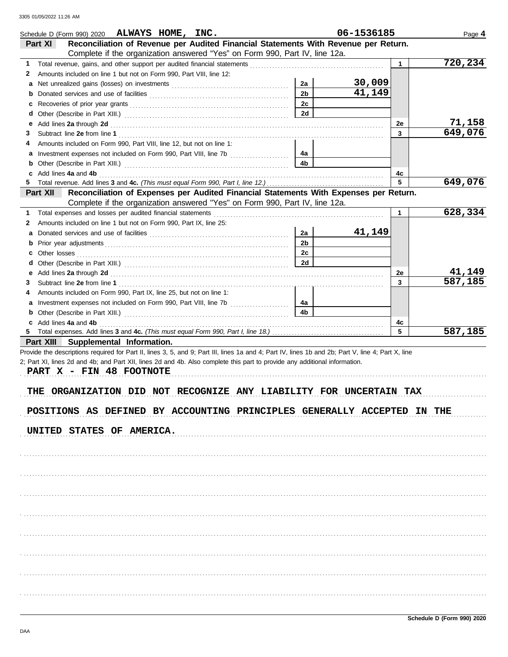|    | Schedule D (Form 990) 2020 ALWAYS HOME, INC.                                                                                                                                                                                   |                | 06-1536185 |              | Page 4                   |
|----|--------------------------------------------------------------------------------------------------------------------------------------------------------------------------------------------------------------------------------|----------------|------------|--------------|--------------------------|
|    | Reconciliation of Revenue per Audited Financial Statements With Revenue per Return.<br>Part XI                                                                                                                                 |                |            |              |                          |
|    | Complete if the organization answered "Yes" on Form 990, Part IV, line 12a.                                                                                                                                                    |                |            |              |                          |
| 1  |                                                                                                                                                                                                                                |                |            | $\mathbf 1$  | 720,234                  |
| 2  | Amounts included on line 1 but not on Form 990, Part VIII, line 12:                                                                                                                                                            |                |            |              |                          |
| а  |                                                                                                                                                                                                                                | 2a             | 30,009     |              |                          |
| b  | Donated services and use of facilities [[11, 11] contracts and the service of facilities [[11, 11] contracts and the service of facilities [[11, 11] contracts and the service of facilities [[11, 11] contracts are service o | 2 <sub>b</sub> | 41,149     |              |                          |
| с  |                                                                                                                                                                                                                                | 2c             |            |              |                          |
| d  |                                                                                                                                                                                                                                | 2d             |            |              |                          |
| е  | Add lines 2a through 2d [11] Add [12] Add [12] Add lines 2a through 2d [12] Add lines 2a through 2d [12] Add [12] Add [12] Add [12] Add [12] Addd [12] Add [12] Add [12] Add [12] Add [12] Add [12] Add [12] Add [12] Add [12] |                |            | 2e           | $\frac{71,158}{649,076}$ |
| 3  |                                                                                                                                                                                                                                |                |            | $\mathbf{3}$ |                          |
| 4  | Amounts included on Form 990. Part VIII. line 12, but not on line 1:                                                                                                                                                           |                |            |              |                          |
|    | Investment expenses not included on Form 990, Part VIII, line 7b [100] [100] [100] [100] [100] [100] [100] [100] [100] [100] [100] [100] [100] [100] [100] [100] [100] [100] [100] [100] [100] [100] [100] [100] [100] [100] [ | 4а             |            |              |                          |
| b  |                                                                                                                                                                                                                                | 4 <sub>b</sub> |            |              |                          |
| c  | Add lines 4a and 4b                                                                                                                                                                                                            |                |            | 4c           |                          |
|    |                                                                                                                                                                                                                                |                |            | 5            | 649,076                  |
|    | Reconciliation of Expenses per Audited Financial Statements With Expenses per Return.<br>Part XII                                                                                                                              |                |            |              |                          |
|    | Complete if the organization answered "Yes" on Form 990, Part IV, line 12a.                                                                                                                                                    |                |            |              |                          |
| 1  | Total expenses and losses per audited financial statements                                                                                                                                                                     |                |            | $\mathbf{1}$ | 628,334                  |
| 2  | Amounts included on line 1 but not on Form 990, Part IX, line 25:                                                                                                                                                              |                |            |              |                          |
|    |                                                                                                                                                                                                                                | 2a             | 41,149     |              |                          |
| b  |                                                                                                                                                                                                                                | 2 <sub>b</sub> |            |              |                          |
| c  |                                                                                                                                                                                                                                | 2c             |            |              |                          |
| d  |                                                                                                                                                                                                                                | <b>2d</b>      |            |              |                          |
| е  | Add lines 2a through 2d [11] All and the contract of the contract of the contract of the contract of the contract of the contract of the contract of the contract of the contract of the contract of the contract of the contr |                |            | 2e           | 41,149                   |
| 3  |                                                                                                                                                                                                                                |                |            | 3            | 587,185                  |
| 4  | Amounts included on Form 990, Part IX, line 25, but not on line 1:                                                                                                                                                             |                |            |              |                          |
| а  |                                                                                                                                                                                                                                | 4a             |            |              |                          |
| b  |                                                                                                                                                                                                                                | 4 <sub>b</sub> |            |              |                          |
|    | c Add lines 4a and 4b                                                                                                                                                                                                          |                |            | 4c           |                          |
| 5. |                                                                                                                                                                                                                                |                |            | 5            | 587,185                  |
|    | Part XIII Supplemental Information.                                                                                                                                                                                            |                |            |              |                          |
|    | Provide the descriptions required for Part II, lines 3, 5, and 9; Part III, lines 1a and 4; Part IV, lines 1b and 2b; Part V, line 4; Part X, line                                                                             |                |            |              |                          |
|    | 2; Part XI, lines 2d and 4b; and Part XII, lines 2d and 4b. Also complete this part to provide any additional information.                                                                                                     |                |            |              |                          |
|    | PART X - FIN 48 FOOTNOTE                                                                                                                                                                                                       |                |            |              |                          |
|    |                                                                                                                                                                                                                                |                |            |              |                          |
|    | ORGANIZATION DID NOT RECOGNIZE ANY LIABILITY FOR UNCERTAIN TAX<br>THE                                                                                                                                                          |                |            |              |                          |
|    |                                                                                                                                                                                                                                |                |            |              |                          |
|    | POSITIONS AS DEFINED BY ACCOUNTING PRINCIPLES GENERALLY ACCEPTED IN                                                                                                                                                            |                |            |              |                          |
|    |                                                                                                                                                                                                                                |                |            |              |                          |
|    | UNITED STATES OF AMERICA.                                                                                                                                                                                                      |                |            |              |                          |
|    |                                                                                                                                                                                                                                |                |            |              |                          |
|    |                                                                                                                                                                                                                                |                |            |              |                          |
|    |                                                                                                                                                                                                                                |                |            |              |                          |
|    |                                                                                                                                                                                                                                |                |            |              |                          |
|    |                                                                                                                                                                                                                                |                |            |              |                          |
|    |                                                                                                                                                                                                                                |                |            |              |                          |
|    |                                                                                                                                                                                                                                |                |            |              |                          |
|    |                                                                                                                                                                                                                                |                |            |              |                          |
|    |                                                                                                                                                                                                                                |                |            |              |                          |
|    |                                                                                                                                                                                                                                |                |            |              |                          |
|    |                                                                                                                                                                                                                                |                |            |              |                          |
|    |                                                                                                                                                                                                                                |                |            |              |                          |
|    |                                                                                                                                                                                                                                |                |            |              |                          |
|    |                                                                                                                                                                                                                                |                |            |              |                          |
|    |                                                                                                                                                                                                                                |                |            |              |                          |
|    |                                                                                                                                                                                                                                |                |            |              |                          |
|    |                                                                                                                                                                                                                                |                |            |              |                          |
|    |                                                                                                                                                                                                                                |                |            |              |                          |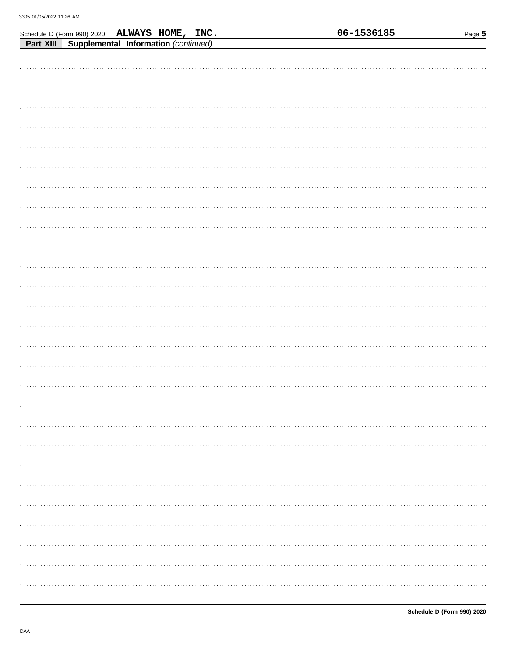| Schedule D (Form 990) 2020 |                                      | ALWAYS HOME, INC. |  |  | 06-1536185 | Page 5 |
|----------------------------|--------------------------------------|-------------------|--|--|------------|--------|
| Part XIII                  | Supplemental Information (continued) |                   |  |  |            |        |
|                            |                                      |                   |  |  |            |        |
|                            |                                      |                   |  |  |            |        |
|                            |                                      |                   |  |  |            |        |
|                            |                                      |                   |  |  |            |        |
|                            |                                      |                   |  |  |            |        |
|                            |                                      |                   |  |  |            |        |
|                            |                                      |                   |  |  |            |        |
|                            |                                      |                   |  |  |            |        |
|                            |                                      |                   |  |  |            |        |
|                            |                                      |                   |  |  |            |        |
|                            |                                      |                   |  |  |            |        |
|                            |                                      |                   |  |  |            |        |
|                            |                                      |                   |  |  |            |        |
|                            |                                      |                   |  |  |            |        |
|                            |                                      |                   |  |  |            |        |
|                            |                                      |                   |  |  |            |        |
|                            |                                      |                   |  |  |            |        |
|                            |                                      |                   |  |  |            |        |
|                            |                                      |                   |  |  |            |        |
|                            |                                      |                   |  |  |            |        |
|                            |                                      |                   |  |  |            |        |
|                            |                                      |                   |  |  |            |        |
|                            |                                      |                   |  |  |            |        |
|                            |                                      |                   |  |  |            |        |
|                            |                                      |                   |  |  |            |        |
|                            |                                      |                   |  |  |            |        |
|                            |                                      |                   |  |  |            |        |
|                            |                                      |                   |  |  |            |        |
|                            |                                      |                   |  |  |            |        |
|                            |                                      |                   |  |  |            |        |
|                            |                                      |                   |  |  |            |        |
|                            |                                      |                   |  |  |            |        |
|                            |                                      |                   |  |  |            |        |
|                            |                                      |                   |  |  |            |        |
|                            |                                      |                   |  |  |            |        |
|                            |                                      |                   |  |  |            |        |
|                            |                                      |                   |  |  |            |        |
|                            |                                      |                   |  |  |            |        |
|                            |                                      |                   |  |  |            |        |
|                            |                                      |                   |  |  |            |        |
|                            |                                      |                   |  |  |            |        |
|                            |                                      |                   |  |  |            |        |
|                            |                                      |                   |  |  |            |        |
|                            |                                      |                   |  |  |            |        |
|                            |                                      |                   |  |  |            |        |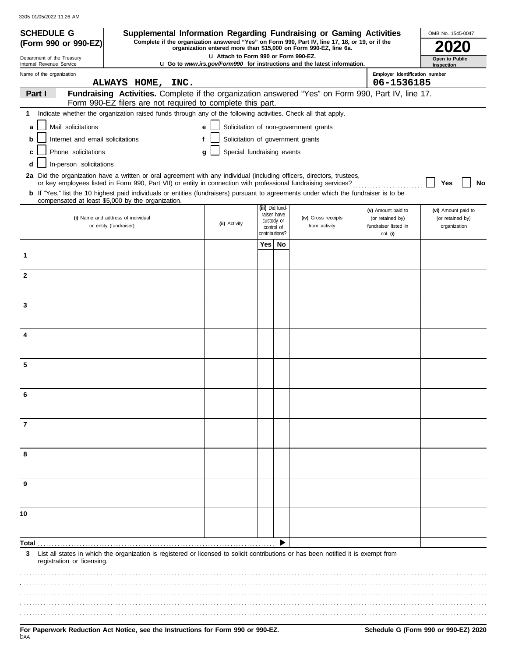|  | 3305 01/05/2022 11:26 AM |  |  |
|--|--------------------------|--|--|
|--|--------------------------|--|--|

| <b>SCHEDULE G</b>                                    | Supplemental Information Regarding Fundraising or Gaming Activities                                                                                                                        |              |                                       |     |                              |                                                                                 |                                          | OMB No. 1545-0047                |
|------------------------------------------------------|--------------------------------------------------------------------------------------------------------------------------------------------------------------------------------------------|--------------|---------------------------------------|-----|------------------------------|---------------------------------------------------------------------------------|------------------------------------------|----------------------------------|
| (Form 990 or 990-EZ)                                 | Complete if the organization answered "Yes" on Form 990, Part IV, line 17, 18, or 19, or if the                                                                                            |              |                                       |     |                              | organization entered more than \$15,000 on Form 990-EZ, line 6a.                |                                          |                                  |
| Department of the Treasury                           |                                                                                                                                                                                            |              | LI Attach to Form 990 or Form 990-EZ. |     |                              | <b>u</b> Go to www.irs.gov/Form990 for instructions and the latest information. |                                          | Open to Public                   |
| Internal Revenue Service<br>Name of the organization |                                                                                                                                                                                            |              |                                       |     |                              |                                                                                 | Employer identification number           | Inspection                       |
|                                                      | ALWAYS HOME, INC.                                                                                                                                                                          |              |                                       |     |                              |                                                                                 | 06-1536185                               |                                  |
| Part I                                               | Fundraising Activities. Complete if the organization answered "Yes" on Form 990, Part IV, line 17.<br>Form 990-EZ filers are not required to complete this part.                           |              |                                       |     |                              |                                                                                 |                                          |                                  |
| 1                                                    | Indicate whether the organization raised funds through any of the following activities. Check all that apply.                                                                              |              |                                       |     |                              |                                                                                 |                                          |                                  |
| Mail solicitations<br>a                              |                                                                                                                                                                                            | $\mathbf{e}$ |                                       |     |                              | Solicitation of non-government grants                                           |                                          |                                  |
| Internet and email solicitations<br>b                |                                                                                                                                                                                            | f            | Solicitation of government grants     |     |                              |                                                                                 |                                          |                                  |
| Phone solicitations<br>c                             |                                                                                                                                                                                            | g            | Special fundraising events            |     |                              |                                                                                 |                                          |                                  |
| In-person solicitations                              |                                                                                                                                                                                            |              |                                       |     |                              |                                                                                 |                                          |                                  |
|                                                      | 2a Did the organization have a written or oral agreement with any individual (including officers, directors, trustees,                                                                     |              |                                       |     |                              |                                                                                 |                                          |                                  |
|                                                      | or key employees listed in Form 990, Part VII) or entity in connection with professional fundraising services?                                                                             |              |                                       |     |                              |                                                                                 |                                          | Yes<br>No                        |
|                                                      | b If "Yes," list the 10 highest paid individuals or entities (fundraisers) pursuant to agreements under which the fundraiser is to be<br>compensated at least \$5,000 by the organization. |              |                                       |     |                              |                                                                                 |                                          |                                  |
|                                                      |                                                                                                                                                                                            |              |                                       |     | (iii) Did fund-              |                                                                                 | (v) Amount paid to                       | (vi) Amount paid to              |
|                                                      | (i) Name and address of individual<br>or entity (fundraiser)                                                                                                                               |              | (ii) Activity                         |     | raiser have<br>custody or    | (iv) Gross receipts<br>from activity                                            | (or retained by)<br>fundraiser listed in | (or retained by)<br>organization |
|                                                      |                                                                                                                                                                                            |              |                                       |     | control of<br>contributions? |                                                                                 | col. (i)                                 |                                  |
|                                                      |                                                                                                                                                                                            |              |                                       | Yes | No                           |                                                                                 |                                          |                                  |
| 1                                                    |                                                                                                                                                                                            |              |                                       |     |                              |                                                                                 |                                          |                                  |
|                                                      |                                                                                                                                                                                            |              |                                       |     |                              |                                                                                 |                                          |                                  |
| $\mathbf{2}$                                         |                                                                                                                                                                                            |              |                                       |     |                              |                                                                                 |                                          |                                  |
|                                                      |                                                                                                                                                                                            |              |                                       |     |                              |                                                                                 |                                          |                                  |
| 3                                                    |                                                                                                                                                                                            |              |                                       |     |                              |                                                                                 |                                          |                                  |
|                                                      |                                                                                                                                                                                            |              |                                       |     |                              |                                                                                 |                                          |                                  |
|                                                      |                                                                                                                                                                                            |              |                                       |     |                              |                                                                                 |                                          |                                  |
| 4                                                    |                                                                                                                                                                                            |              |                                       |     |                              |                                                                                 |                                          |                                  |
|                                                      |                                                                                                                                                                                            |              |                                       |     |                              |                                                                                 |                                          |                                  |
| 5                                                    |                                                                                                                                                                                            |              |                                       |     |                              |                                                                                 |                                          |                                  |
|                                                      |                                                                                                                                                                                            |              |                                       |     |                              |                                                                                 |                                          |                                  |
| 6                                                    |                                                                                                                                                                                            |              |                                       |     |                              |                                                                                 |                                          |                                  |
|                                                      |                                                                                                                                                                                            |              |                                       |     |                              |                                                                                 |                                          |                                  |
|                                                      |                                                                                                                                                                                            |              |                                       |     |                              |                                                                                 |                                          |                                  |
| 7                                                    |                                                                                                                                                                                            |              |                                       |     |                              |                                                                                 |                                          |                                  |
|                                                      |                                                                                                                                                                                            |              |                                       |     |                              |                                                                                 |                                          |                                  |
| 8                                                    |                                                                                                                                                                                            |              |                                       |     |                              |                                                                                 |                                          |                                  |
|                                                      |                                                                                                                                                                                            |              |                                       |     |                              |                                                                                 |                                          |                                  |
|                                                      |                                                                                                                                                                                            |              |                                       |     |                              |                                                                                 |                                          |                                  |
| 9                                                    |                                                                                                                                                                                            |              |                                       |     |                              |                                                                                 |                                          |                                  |
|                                                      |                                                                                                                                                                                            |              |                                       |     |                              |                                                                                 |                                          |                                  |
| 10                                                   |                                                                                                                                                                                            |              |                                       |     |                              |                                                                                 |                                          |                                  |
|                                                      |                                                                                                                                                                                            |              |                                       |     |                              |                                                                                 |                                          |                                  |
|                                                      |                                                                                                                                                                                            |              |                                       |     |                              |                                                                                 |                                          |                                  |
| Total                                                |                                                                                                                                                                                            |              |                                       |     |                              |                                                                                 |                                          |                                  |
| 3<br>registration or licensing.                      | List all states in which the organization is registered or licensed to solicit contributions or has been notified it is exempt from                                                        |              |                                       |     |                              |                                                                                 |                                          |                                  |
|                                                      |                                                                                                                                                                                            |              |                                       |     |                              |                                                                                 |                                          |                                  |
|                                                      |                                                                                                                                                                                            |              |                                       |     |                              |                                                                                 |                                          |                                  |
|                                                      |                                                                                                                                                                                            |              |                                       |     |                              |                                                                                 |                                          |                                  |
|                                                      |                                                                                                                                                                                            |              |                                       |     |                              |                                                                                 |                                          |                                  |
|                                                      |                                                                                                                                                                                            |              |                                       |     |                              |                                                                                 |                                          |                                  |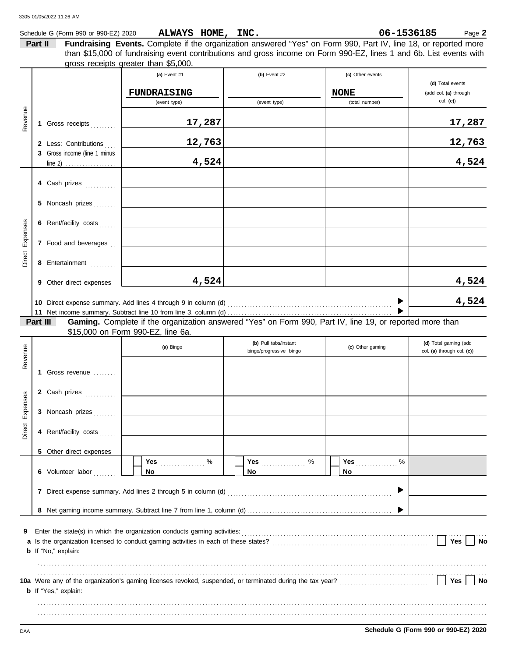| 3305 01/05/2022 11:26 AM     |                             |                                                                                                                                         |                                                             |                                                                                                                                                                                                                                                      |
|------------------------------|-----------------------------|-----------------------------------------------------------------------------------------------------------------------------------------|-------------------------------------------------------------|------------------------------------------------------------------------------------------------------------------------------------------------------------------------------------------------------------------------------------------------------|
|                              |                             |                                                                                                                                         |                                                             | 06-1536185<br>Page 2                                                                                                                                                                                                                                 |
| Part II                      |                             |                                                                                                                                         |                                                             |                                                                                                                                                                                                                                                      |
|                              | (a) Event #1                | (b) Event $#2$                                                                                                                          | (c) Other events                                            | (d) Total events<br>(add col. (a) through                                                                                                                                                                                                            |
|                              | (event type)                | (event type)                                                                                                                            | (total number)                                              | $col.$ (c))                                                                                                                                                                                                                                          |
| 1 Gross receipts             | 17,287                      |                                                                                                                                         |                                                             | 17,287                                                                                                                                                                                                                                               |
|                              | 12,763                      |                                                                                                                                         |                                                             | 12,763                                                                                                                                                                                                                                               |
| 3 Gross income (line 1 minus | 4,524                       |                                                                                                                                         |                                                             | 4,524                                                                                                                                                                                                                                                |
| 4 Cash prizes                |                             |                                                                                                                                         |                                                             |                                                                                                                                                                                                                                                      |
| 5 Noncash prizes             |                             |                                                                                                                                         |                                                             |                                                                                                                                                                                                                                                      |
| 6 Rent/facility costs        |                             |                                                                                                                                         |                                                             |                                                                                                                                                                                                                                                      |
| 7 Food and beverages         |                             |                                                                                                                                         |                                                             |                                                                                                                                                                                                                                                      |
| 8 Entertainment              |                             |                                                                                                                                         |                                                             |                                                                                                                                                                                                                                                      |
| 9 Other direct expenses      | 4,524                       |                                                                                                                                         |                                                             | 4,524                                                                                                                                                                                                                                                |
|                              |                             |                                                                                                                                         | ▶                                                           | 4,524                                                                                                                                                                                                                                                |
| Part III                     |                             |                                                                                                                                         |                                                             |                                                                                                                                                                                                                                                      |
|                              |                             |                                                                                                                                         |                                                             | (d) Total goming (odd                                                                                                                                                                                                                                |
|                              | 2 Less: Contributions<br>11 | Schedule G (Form 990 or 990-EZ) 2020<br>gross receipts greater than \$5,000.<br><b>FUNDRAISING</b><br>\$15,000 on Form 990-EZ, line 6a. | ALWAYS HOME, INC.<br>$\left  \right $ Dull to be line to nt | Fundraising Events. Complete if the organization answered "Yes" on Form 990, Part IV, line 18, or reported more<br>than \$15,000 of fundraising event contributions and gross income on Form 990-EZ, lines 1 and 6b. List events with<br><b>NONE</b> |

| Revenue         |                             | (a) Bingo                                                                | (b) Pull tabs/instant<br>bingo/progressive bingo | (c) Other gaming | (d) Total gaming (add<br>col. (a) through col. (c)) |
|-----------------|-----------------------------|--------------------------------------------------------------------------|--------------------------------------------------|------------------|-----------------------------------------------------|
|                 | 1.<br>Gross revenue         |                                                                          |                                                  |                  |                                                     |
|                 | 2 Cash prizes               |                                                                          |                                                  |                  |                                                     |
|                 | 3 Noncash prizes            |                                                                          |                                                  |                  |                                                     |
| Direct Expenses | 4 Rent/facility costs       |                                                                          |                                                  |                  |                                                     |
|                 | 5 Other direct expenses     |                                                                          |                                                  |                  |                                                     |
|                 | 6 Volunteer labor           | <b>No</b>                                                                | Yes <u></u> %<br><b>No</b>                       | %<br>No          |                                                     |
|                 |                             |                                                                          |                                                  |                  |                                                     |
|                 |                             |                                                                          |                                                  |                  |                                                     |
| 9               | <b>b</b> If "No," explain:  | Enter the state(s) in which the organization conducts gaming activities: |                                                  |                  | Yes<br>No                                           |
|                 |                             |                                                                          |                                                  |                  |                                                     |
|                 | <b>b</b> If "Yes," explain: |                                                                          |                                                  |                  | Yes<br><b>No</b>                                    |
|                 |                             |                                                                          |                                                  |                  |                                                     |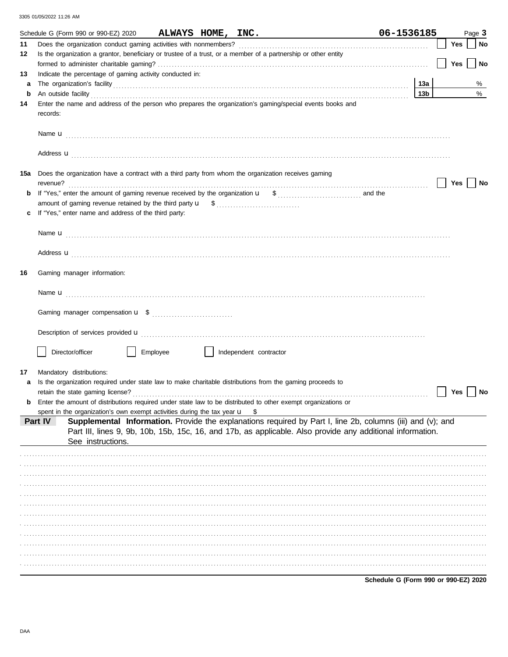|     | Schedule G (Form 990 or 990-EZ) 2020                                                                                                                                                                                                                                                                                                              | 06-1536185      |            | Page 3    |
|-----|---------------------------------------------------------------------------------------------------------------------------------------------------------------------------------------------------------------------------------------------------------------------------------------------------------------------------------------------------|-----------------|------------|-----------|
| 11  |                                                                                                                                                                                                                                                                                                                                                   |                 | Yes        | No        |
| 12  | Is the organization a grantor, beneficiary or trustee of a trust, or a member of a partnership or other entity                                                                                                                                                                                                                                    |                 |            |           |
|     |                                                                                                                                                                                                                                                                                                                                                   |                 | Yes        | <b>No</b> |
| 13  | Indicate the percentage of gaming activity conducted in:                                                                                                                                                                                                                                                                                          |                 |            |           |
| a   | The organization's facility encouragement and an architecture of the organization's facility                                                                                                                                                                                                                                                      | 13а             |            | %         |
| b   | An outside facility <b>contained a set of the contract of the contract of the contract of the contract of the contract of the contract of the contract of the contract of the contract of the contract of the contract of the co</b>                                                                                                              | 13 <sub>b</sub> |            | $\%$      |
| 14  | Enter the name and address of the person who prepares the organization's gaming/special events books and<br>records:                                                                                                                                                                                                                              |                 |            |           |
|     |                                                                                                                                                                                                                                                                                                                                                   |                 |            |           |
|     | Address <b>u</b>                                                                                                                                                                                                                                                                                                                                  |                 |            |           |
| 15a | Does the organization have a contract with a third party from whom the organization receives gaming<br>revenue?                                                                                                                                                                                                                                   |                 | <b>Yes</b> | No        |
| b   |                                                                                                                                                                                                                                                                                                                                                   |                 |            |           |
|     |                                                                                                                                                                                                                                                                                                                                                   |                 |            |           |
| c   | If "Yes," enter name and address of the third party:                                                                                                                                                                                                                                                                                              |                 |            |           |
|     |                                                                                                                                                                                                                                                                                                                                                   |                 |            |           |
|     |                                                                                                                                                                                                                                                                                                                                                   |                 |            |           |
|     |                                                                                                                                                                                                                                                                                                                                                   |                 |            |           |
|     | Address <b>u</b>                                                                                                                                                                                                                                                                                                                                  |                 |            |           |
| 16  | Gaming manager information:                                                                                                                                                                                                                                                                                                                       |                 |            |           |
|     |                                                                                                                                                                                                                                                                                                                                                   |                 |            |           |
|     |                                                                                                                                                                                                                                                                                                                                                   |                 |            |           |
|     | Description of services provided <b>u</b> electron contract the contract of the contract of the contract of the contract of the contract of the contract of the contract of the contract of the contract of the contract of the con                                                                                                               |                 |            |           |
|     | Director/officer<br>Employee<br>Independent contractor                                                                                                                                                                                                                                                                                            |                 |            |           |
|     |                                                                                                                                                                                                                                                                                                                                                   |                 |            |           |
| 17  | Mandatory distributions:                                                                                                                                                                                                                                                                                                                          |                 |            |           |
| a   | Is the organization required under state law to make charitable distributions from the gaming proceeds to<br>retain the state gaming license?                                                                                                                                                                                                     |                 | Yes        | No        |
|     | Enter the amount of distributions required under state law to be distributed to other exempt organizations or                                                                                                                                                                                                                                     |                 |            |           |
|     |                                                                                                                                                                                                                                                                                                                                                   |                 |            |           |
|     | spent in the organization's own exempt activities during the tax year $\mathbf{u}$ \$<br>Supplemental Information. Provide the explanations required by Part I, line 2b, columns (iii) and (v); and<br>Part IV<br>Part III, lines 9, 9b, 10b, 15b, 15c, 16, and 17b, as applicable. Also provide any additional information.<br>See instructions. |                 |            |           |
|     |                                                                                                                                                                                                                                                                                                                                                   |                 |            |           |
|     |                                                                                                                                                                                                                                                                                                                                                   |                 |            |           |
|     |                                                                                                                                                                                                                                                                                                                                                   |                 |            |           |
|     |                                                                                                                                                                                                                                                                                                                                                   |                 |            |           |
|     |                                                                                                                                                                                                                                                                                                                                                   |                 |            |           |
|     |                                                                                                                                                                                                                                                                                                                                                   |                 |            |           |
|     |                                                                                                                                                                                                                                                                                                                                                   |                 |            |           |
|     |                                                                                                                                                                                                                                                                                                                                                   |                 |            |           |
|     |                                                                                                                                                                                                                                                                                                                                                   |                 |            |           |
|     |                                                                                                                                                                                                                                                                                                                                                   |                 |            |           |
|     |                                                                                                                                                                                                                                                                                                                                                   |                 |            |           |
|     |                                                                                                                                                                                                                                                                                                                                                   |                 |            |           |
|     |                                                                                                                                                                                                                                                                                                                                                   |                 |            |           |

Schedule G (Form 990 or 990-EZ) 2020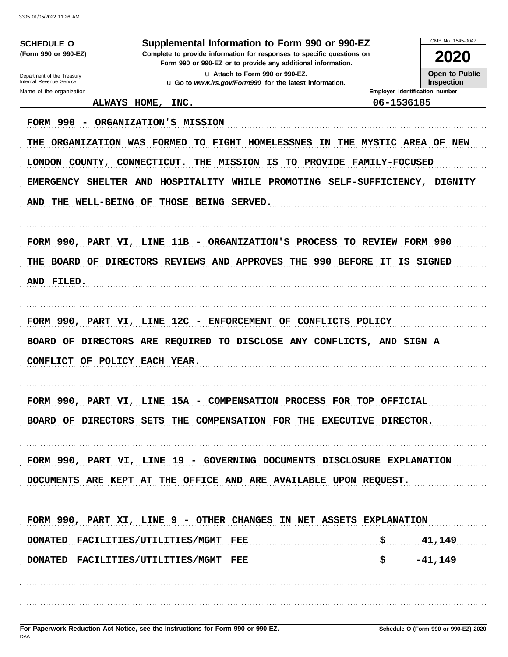OMB No. 1545-0047 **SCHEDULE O** Supplemental Information to Form 990 or 990-EZ (Form 990 or 990-EZ) Complete to provide information for responses to specific questions on 2020 Form 990 or 990-EZ or to provide any additional information. u Attach to Form 990 or 990-EZ. **Open to Public** Department of the Treasury<br>Internal Revenue Service Inspection u Go to www.irs.gov/Form990 for the latest information. Name of the organization Employer identification number ALWAYS HOME, 06-1536185 INC. FORM 990 - ORGANIZATION'S MISSION THE ORGANIZATION WAS FORMED TO FIGHT HOMELESSNES IN THE MYSTIC AREA OF NEW LONDON COUNTY, CONNECTICUT. THE MISSION IS TO PROVIDE FAMILY-FOCUSED EMERGENCY SHELTER AND HOSPITALITY WHILE PROMOTING SELF-SUFFICIENCY, **DIGNITY** AND THE WELL-BEING OF THOSE BEING SERVED. FORM 990, PART VI, LINE 11B - ORGANIZATION'S PROCESS TO REVIEW FORM 990 THE BOARD OF DIRECTORS REVIEWS AND APPROVES THE 990 BEFORE IT IS SIGNED AND FILED. FORM 990, PART VI, LINE 12C - ENFORCEMENT OF CONFLICTS POLICY BOARD OF DIRECTORS ARE REQUIRED TO DISCLOSE ANY CONFLICTS, AND SIGN A CONFLICT OF POLICY EACH YEAR. FORM 990, PART VI, LINE 15A - COMPENSATION PROCESS FOR TOP OFFICIAL BOARD OF DIRECTORS SETS THE COMPENSATION FOR THE EXECUTIVE DIRECTOR. FORM 990, PART VI, LINE 19 - GOVERNING DOCUMENTS DISCLOSURE EXPLANATION DOCUMENTS ARE KEPT AT THE OFFICE AND ARE AVAILABLE UPON REQUEST. FORM 990, PART XI, LINE 9 - OTHER CHANGES IN NET ASSETS EXPLANATION DONATED FACILITIES/UTILITIES/MGMT  $_{\rm{FEE}}$ \$ 41,149 \$ DONATED FACILITIES/UTILITIES/MGMT FEE  $-41,149$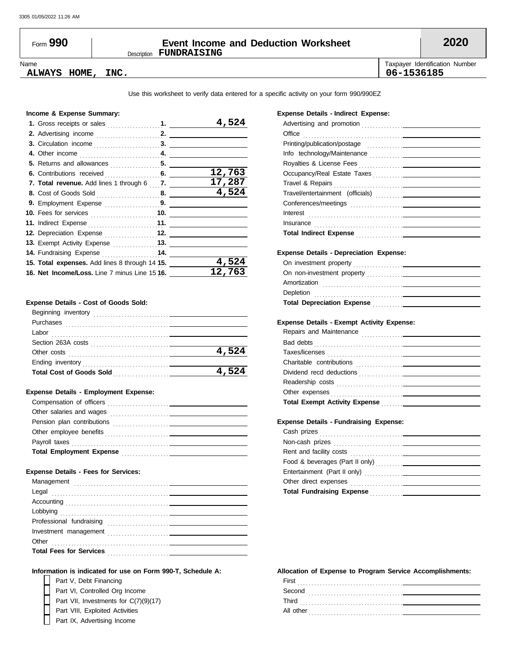# Description **FUNDRAISING** Form **990 Event Income and Deduction Worksheet 2020**

Name Taxpayer Identification Number **ALWAYS HOME, INC. 06-1536185**

Use this worksheet to verify data entered for a specific activity on your form 990/990EZ

#### **Income & Expense Summary:**

|                                                                                                                                                                                                                                           | 4,524  |
|-------------------------------------------------------------------------------------------------------------------------------------------------------------------------------------------------------------------------------------------|--------|
|                                                                                                                                                                                                                                           |        |
|                                                                                                                                                                                                                                           |        |
|                                                                                                                                                                                                                                           |        |
|                                                                                                                                                                                                                                           |        |
|                                                                                                                                                                                                                                           | 12,763 |
| 7. Total revenue. Add lines 1 through 6 7.                                                                                                                                                                                                | 17,287 |
|                                                                                                                                                                                                                                           | 4,524  |
| 9. Employment Expense 9.                                                                                                                                                                                                                  |        |
| <b>10.</b> Fees for services <b>container and the service of the service of the service of the service of the service of the service of the service of the service of the service of the service of the service of the service of the</b> |        |
|                                                                                                                                                                                                                                           |        |
|                                                                                                                                                                                                                                           |        |
| 13. Exempt Activity Expense 13.                                                                                                                                                                                                           |        |
| 14. Fundraising Expense 14.                                                                                                                                                                                                               |        |
| 15. Total expenses. Add lines 8 through 14 15.                                                                                                                                                                                            | 4,524  |
| 16. Net Income/Loss. Line 7 minus Line 15 16.                                                                                                                                                                                             | 12,763 |

#### **Expense Details - Cost of Goods Sold:**

| Beginning inventory             |       |
|---------------------------------|-------|
| Purchases                       |       |
| Labor                           |       |
| Section 263A costs              |       |
| Other costs                     | 4,524 |
| Ending inventory                |       |
| <b>Total Cost of Goods Sold</b> | 4,524 |
|                                 |       |

#### **Expense Details - Employment Expense:**

| Compensation of officers<br>the contract of the contract of the contract of the contract of the contract of |  |
|-------------------------------------------------------------------------------------------------------------|--|
| Other salaries and wages                                                                                    |  |
| Pension plan contributions                                                                                  |  |
| Other employee benefits                                                                                     |  |
| Payroll taxes                                                                                               |  |
| <b>Total Employment Expense</b><br><u> 1986 - John Stone, amerikansk politiker (</u>                        |  |

### **Expense Details - Fees for Services:**

### **Information is indicated for use on Form 990-T, Schedule A:**

Part V, Debt Financing Part IX, Advertising Income Part VIII, Exploited Activities Part VI, Controlled Org Income Part VII, Investments for C(7)(9)(17)

 $\vdash$ 

#### **Expense Details - Indirect Expense:**

| Office                                                                                                                                                                                                                               |  |
|--------------------------------------------------------------------------------------------------------------------------------------------------------------------------------------------------------------------------------------|--|
|                                                                                                                                                                                                                                      |  |
|                                                                                                                                                                                                                                      |  |
|                                                                                                                                                                                                                                      |  |
|                                                                                                                                                                                                                                      |  |
|                                                                                                                                                                                                                                      |  |
|                                                                                                                                                                                                                                      |  |
|                                                                                                                                                                                                                                      |  |
| Interest <b>contract and the contract of the contract of the contract of the contract of the contract of the contract of the contract of the contract of the contract of the contract of the contract of the contract of the con</b> |  |
| Insurance in the contract of the contract of the contract of the contract of the contract of the contract of the contract of the contract of the contract of the contract of the contract of the contract of the contract of t       |  |
| Total Indirect Expense <b>Commission</b> Contract Commission                                                                                                                                                                         |  |
| <b>Expense Details - Depreciation Expense:</b>                                                                                                                                                                                       |  |
|                                                                                                                                                                                                                                      |  |
|                                                                                                                                                                                                                                      |  |
|                                                                                                                                                                                                                                      |  |
|                                                                                                                                                                                                                                      |  |
|                                                                                                                                                                                                                                      |  |
| Depletion contains and the contact of the contact of the contact of the contact of the contact of the contact of the contact of the contact of the contact of the contact of the contact of the contact of the contact of the        |  |
| Total Depreciation Expense <b>Manual Accept Contract Contract Contract Contract Contract Contract Contract Contract</b>                                                                                                              |  |
|                                                                                                                                                                                                                                      |  |
| <b>Expense Details - Exempt Activity Expense:</b>                                                                                                                                                                                    |  |
|                                                                                                                                                                                                                                      |  |
|                                                                                                                                                                                                                                      |  |
|                                                                                                                                                                                                                                      |  |
|                                                                                                                                                                                                                                      |  |
|                                                                                                                                                                                                                                      |  |
|                                                                                                                                                                                                                                      |  |
|                                                                                                                                                                                                                                      |  |
| <b>Expense Details - Fundraising Expense:</b>                                                                                                                                                                                        |  |
|                                                                                                                                                                                                                                      |  |
|                                                                                                                                                                                                                                      |  |
|                                                                                                                                                                                                                                      |  |
|                                                                                                                                                                                                                                      |  |

#### **Allocation of Expense to Program Service Accomplishments:**

**Total Fundraising Expense** . . . . . . . . . . . . . .

Other direct expenses . . . . . . . . . . . . . . . . . . . . .

| First      |  |
|------------|--|
| Second     |  |
| Third<br>. |  |
| All other  |  |
| .          |  |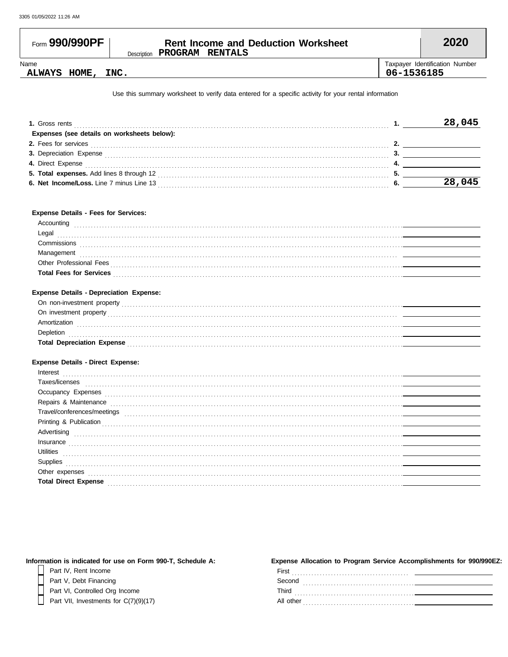ſ

| Form 990/990PF | <b>Rent Income and Deduction Worksheet</b> |            | 2020                           |
|----------------|--------------------------------------------|------------|--------------------------------|
|                | Description <b>PROGRAM RENTALS</b>         |            |                                |
| Name           |                                            |            | Taxpayer Identification Number |
| ALWAYS HOME,   | INC.                                       | 06-1536185 |                                |

Use this summary worksheet to verify data entered for a specific activity for your rental information

| <b>1.</b> Gross rents                       | 28. |
|---------------------------------------------|-----|
| Expenses (see details on worksheets below): |     |
| 2. Fees for services                        |     |
| <b>3. Depreciation Expense</b>              |     |
| 4. Direct Expense                           |     |
| 5. Total expenses. Add lines 8 through 12   |     |
| 6. Net Income/Loss. Line 7 minus Line 13    |     |

### **Expense Details - Fees for Services:**

| าtıno                          |  |
|--------------------------------|--|
| Legal                          |  |
| Commissions                    |  |
| าaɑement                       |  |
| <b>Professional Fees</b>       |  |
| <b>Total Fees for Services</b> |  |
|                                |  |

## **Expense Details - Depreciation Expense:**

| On non-investment property        |  |
|-----------------------------------|--|
| On investment property            |  |
| 4mortization                      |  |
| Jepletion                         |  |
| <b>Total Depreciation Expense</b> |  |

## **Expense Details - Direct Expense:**

| Interest                    |  |
|-----------------------------|--|
| Taxes/licenses              |  |
| Occupancy Expenses          |  |
| Repairs & Maintenance       |  |
| Travel/conferences/meetings |  |
| Printing & Publication      |  |
| Advertising                 |  |
| Insurance                   |  |
| Utilities                   |  |
| Supplies                    |  |
| Other expenses              |  |
| <b>Total Direct Expense</b> |  |

| Information is indicated for use on Form 990-T, Schedule A: | Expense Allocation to Program Service Accomplishments for 990/990EZ: |
|-------------------------------------------------------------|----------------------------------------------------------------------|
| Part IV, Rent Income                                        | First                                                                |
| Part V, Debt Financing                                      | Second                                                               |
| Part VI, Controlled Org Income                              | Third                                                                |
| Part VII, Investments for C(7)(9)(17)                       | All other                                                            |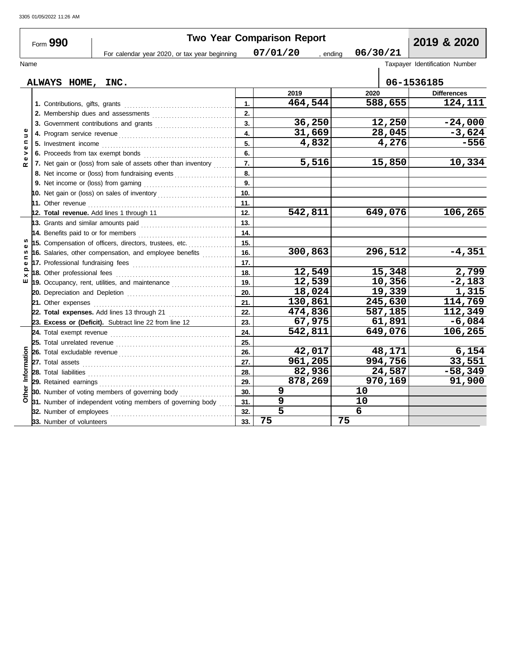| Form 990                               |  |                                        | <b>Two Year Comparison Report</b>                                            | 2019 & 2020 |                    |          |                    |  |  |  |  |
|----------------------------------------|--|----------------------------------------|------------------------------------------------------------------------------|-------------|--------------------|----------|--------------------|--|--|--|--|
|                                        |  |                                        | For calendar year 2020, or tax year beginning                                |             | 07/01/20<br>ending | 06/30/21 |                    |  |  |  |  |
| Taxpayer Identification Number<br>Name |  |                                        |                                                                              |             |                    |          |                    |  |  |  |  |
|                                        |  |                                        |                                                                              |             |                    |          |                    |  |  |  |  |
|                                        |  | ALWAYS HOME, INC.                      |                                                                              |             |                    |          | 06-1536185         |  |  |  |  |
|                                        |  |                                        |                                                                              |             | 2019               | 2020     | <b>Differences</b> |  |  |  |  |
|                                        |  |                                        |                                                                              |             | 464,544            | 588,655  | 124,111            |  |  |  |  |
|                                        |  | 2. Membership dues and assessments     |                                                                              | 2.          |                    |          |                    |  |  |  |  |
|                                        |  | 3. Government contributions and grants |                                                                              |             | 36,250             | 12,250   | $-24,000$          |  |  |  |  |
| $\pmb{\omega}$<br>$\Rightarrow$        |  |                                        |                                                                              | 4.          | 31,669             | 28,045   | $-3,624$           |  |  |  |  |
| $\blacksquare$<br>Ф                    |  |                                        |                                                                              | 5.          | 4,832              | 4,276    | $-556$             |  |  |  |  |
| >                                      |  |                                        |                                                                              | 6.          |                    |          |                    |  |  |  |  |
| $\alpha$                               |  |                                        | 7. Net gain or (loss) from sale of assets other than inventory               | 7.          | 5,516              | 15,850   | 10,334             |  |  |  |  |
|                                        |  |                                        | 8. Net income or (loss) from fundraising events                              | 8.          |                    |          |                    |  |  |  |  |
|                                        |  |                                        |                                                                              | 9.          |                    |          |                    |  |  |  |  |
|                                        |  |                                        | 10. Net gain or (loss) on sales of inventory                                 | 10.         |                    |          |                    |  |  |  |  |
|                                        |  |                                        |                                                                              | 11.         |                    |          |                    |  |  |  |  |
|                                        |  |                                        | 12. Total revenue. Add lines 1 through 11                                    | 12.         | 542,811            | 649,076  | 106,265            |  |  |  |  |
|                                        |  |                                        | 13. Grants and similar amounts paid                                          | 13.         |                    |          |                    |  |  |  |  |
|                                        |  |                                        | 14. Benefits paid to or for members                                          | 14.         |                    |          |                    |  |  |  |  |
|                                        |  |                                        | 15. Compensation of officers, directors, trustees, etc.                      |             |                    |          |                    |  |  |  |  |
| w<br>c                                 |  |                                        | 16. Salaries, other compensation, and employee benefits                      |             | 300,863            | 296,512  | $-4,351$           |  |  |  |  |
|                                        |  |                                        | 17. Professional fundraising fees                                            | 17.         |                    |          |                    |  |  |  |  |
| ௨<br>×                                 |  |                                        |                                                                              | 18.         | 12,549             | 15,348   | 2,799              |  |  |  |  |
| ш                                      |  |                                        | 19. Occupancy, rent, utilities, and maintenance <i>[[[[[[[[[[[[[[[[[]]]]</i> | 19.         | 12,539             | 10,356   | $-2,183$           |  |  |  |  |
|                                        |  |                                        |                                                                              |             | 18,024             | 19,339   | 1,315              |  |  |  |  |
|                                        |  | 21. Other expenses                     |                                                                              | 21.         | 130,861            | 245,630  | 114,769            |  |  |  |  |
|                                        |  |                                        | 22. Total expenses. Add lines 13 through 21                                  | 22.         | 474,836            | 587,185  | 112,349            |  |  |  |  |
|                                        |  |                                        | 23. Excess or (Deficit). Subtract line 22 from line 12                       | 23.         | 67,975             | 61,891   | $-6,084$           |  |  |  |  |
|                                        |  |                                        |                                                                              | 24.         | 542,811            | 649,076  | 106,265            |  |  |  |  |
|                                        |  |                                        |                                                                              | 25.         |                    |          |                    |  |  |  |  |
|                                        |  |                                        |                                                                              | 26.         | 42,017             | 48,171   | 6,154              |  |  |  |  |
| Information<br>Other                   |  |                                        |                                                                              | 27.         | 961,205            | 994,756  | 33,551             |  |  |  |  |
|                                        |  | 28. Total liabilities                  |                                                                              | 28.         | 82,936             | 24,587   | $-58,349$          |  |  |  |  |
|                                        |  |                                        |                                                                              | 29.         | 878,269            | 970,169  | 91,900             |  |  |  |  |
|                                        |  |                                        | <b>30.</b> Number of voting members of governing body                        | 30.         | 9                  | 10       |                    |  |  |  |  |
|                                        |  |                                        | 31. Number of independent voting members of governing body                   | 31.         | 9                  | 10       |                    |  |  |  |  |
|                                        |  | 32. Number of employees                |                                                                              | 32.         | 5                  | 6        |                    |  |  |  |  |
|                                        |  | 33. Number of volunteers               |                                                                              | 33.         | 75                 | 75       |                    |  |  |  |  |